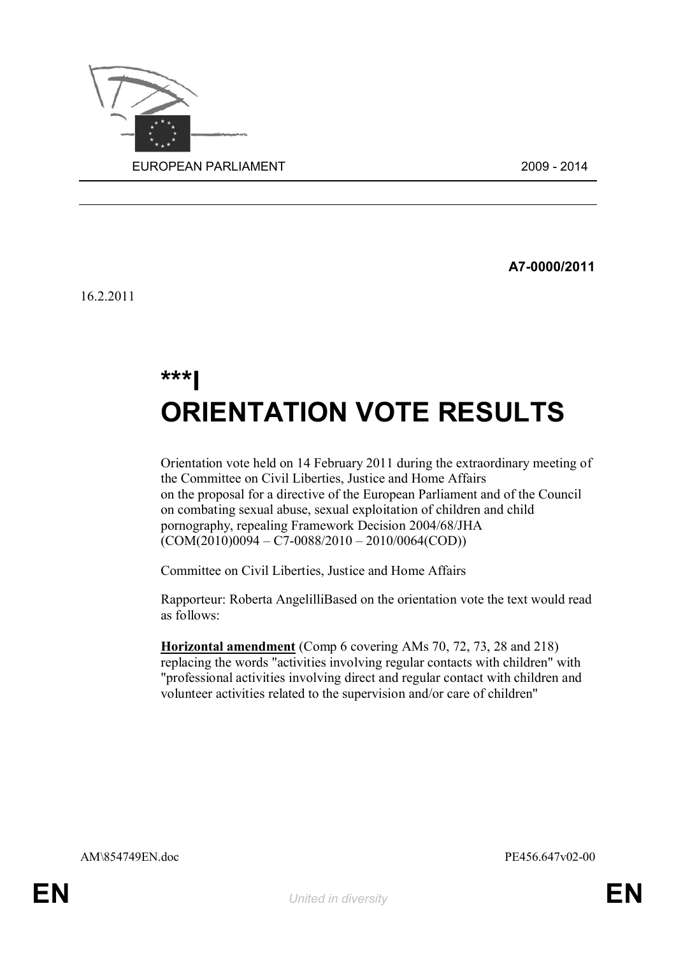

**A7-0000/2011**

16.2.2011

# **\*\*\*I ORIENTATION VOTE RESULTS**

Orientation vote held on 14 February 2011 during the extraordinary meeting of the Committee on Civil Liberties, Justice and Home Affairs on the proposal for a directive of the European Parliament and of the Council on combating sexual abuse, sexual exploitation of children and child pornography, repealing Framework Decision 2004/68/JHA  $(COM(2010)0094 - C7 - 0088/2010 - 2010/0064(COD))$ 

Committee on Civil Liberties, Justice and Home Affairs

Rapporteur: Roberta AngelilliBased on the orientation vote the text would read as follows:

**Horizontal amendment** (Comp 6 covering AMs 70, 72, 73, 28 and 218) replacing the words "activities involving regular contacts with children" with "professional activities involving direct and regular contact with children and volunteer activities related to the supervision and/or care of children"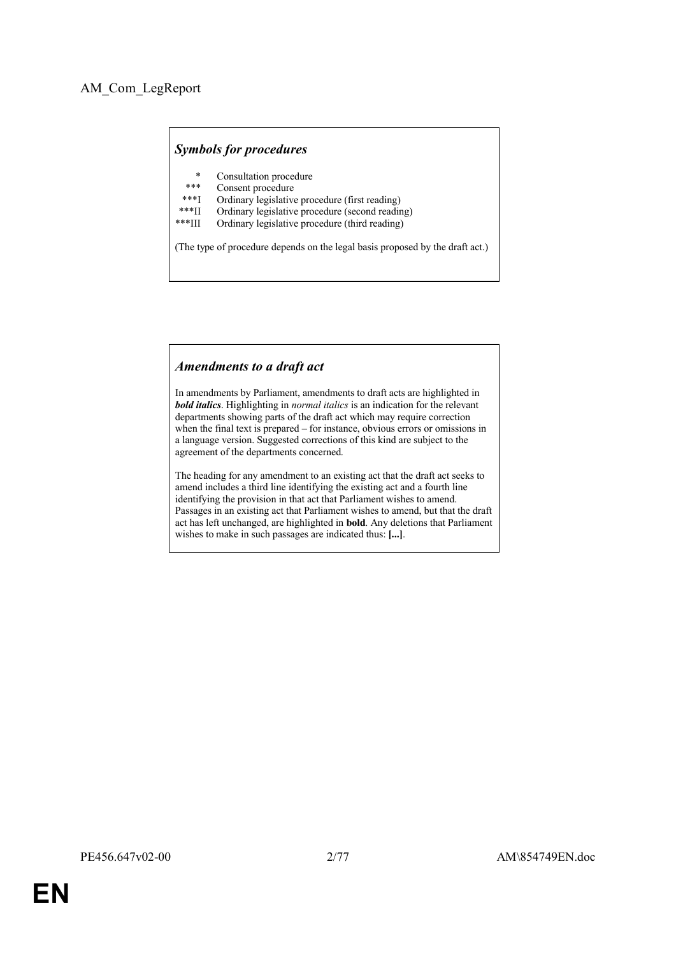# *Symbols for procedures*

- \* Consultation procedure
- \*\*\* Consent procedure
- \*\*\*I Ordinary legislative procedure (first reading)<br>\*\*\*II Ordinary legislative procedure (second reading)
- \*\*\*II Ordinary legislative procedure (second reading)<br>\*\*\*III Ordinary legislative procedure (third reading)
- Ordinary legislative procedure (third reading)

(The type of procedure depends on the legal basis proposed by the draft act.)

# *Amendments to a draft act*

In amendments by Parliament, amendments to draft acts are highlighted in *bold italics*. Highlighting in *normal italics* is an indication for the relevant departments showing parts of the draft act which may require correction when the final text is prepared – for instance, obvious errors or omissions in a language version. Suggested corrections of this kind are subject to the agreement of the departments concerned.

The heading for any amendment to an existing act that the draft act seeks to amend includes a third line identifying the existing act and a fourth line identifying the provision in that act that Parliament wishes to amend. Passages in an existing act that Parliament wishes to amend, but that the draft act has left unchanged, are highlighted in **bold**. Any deletions that Parliament wishes to make in such passages are indicated thus: **[...]**.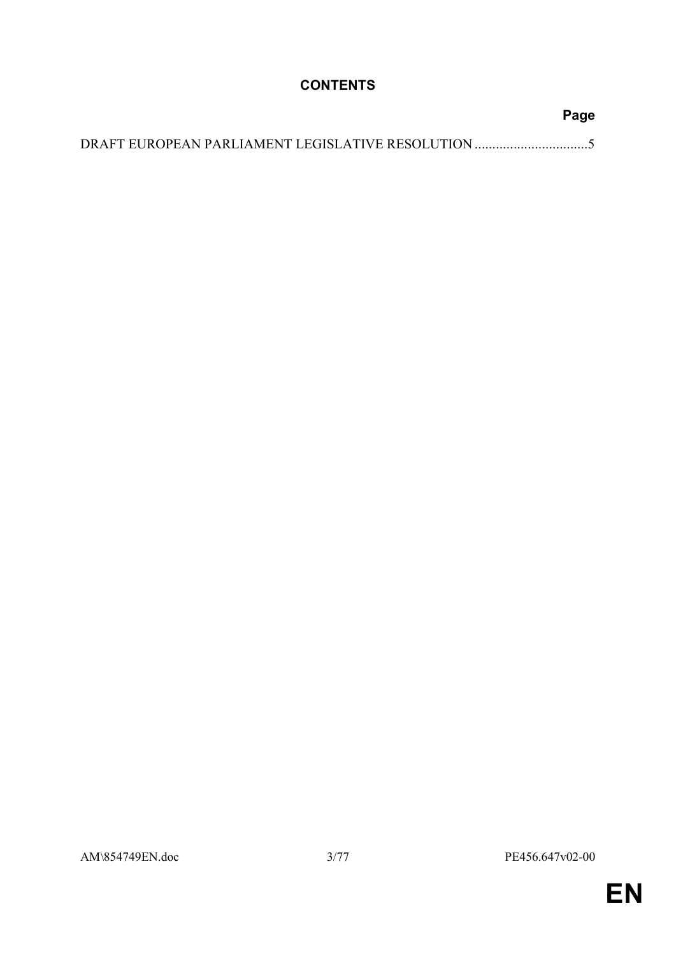# **CONTENTS**

| Page |
|------|
|      |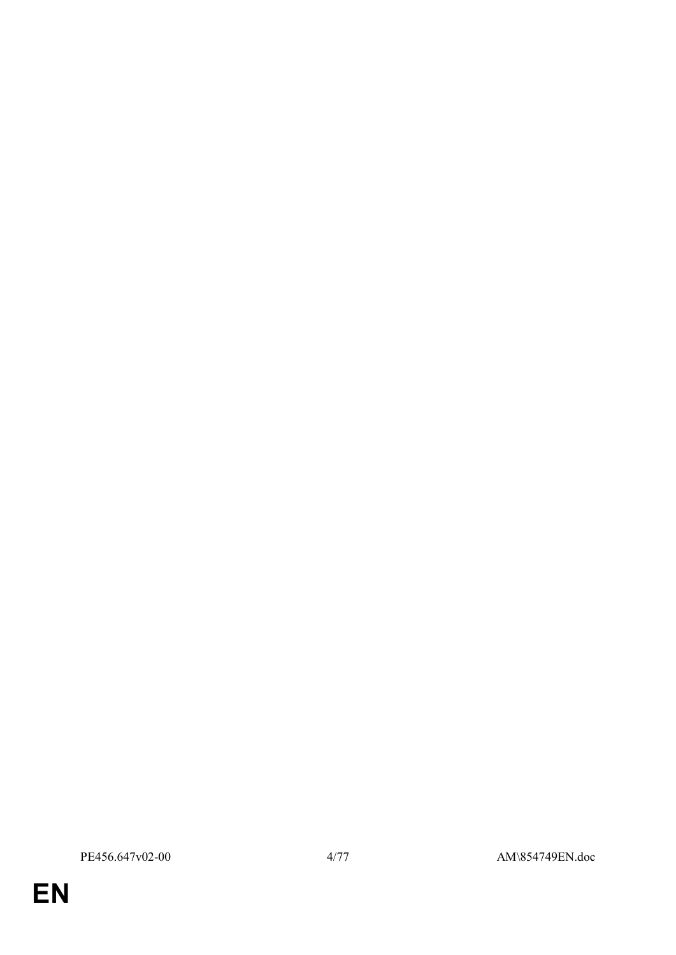PE456.647v02 -00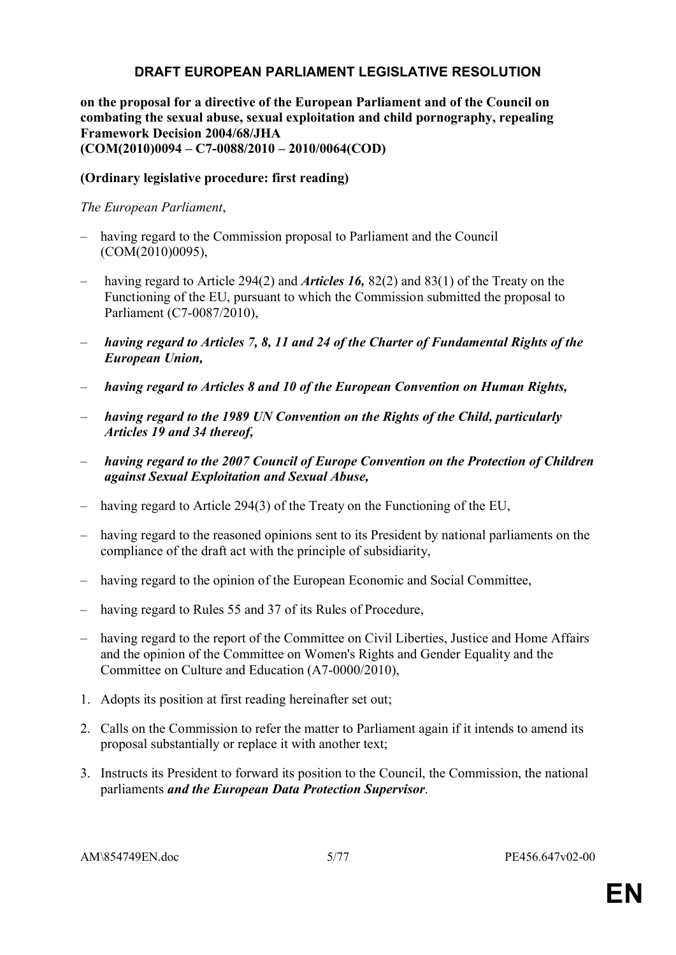# **DRAFT EUROPEAN PARLIAMENT LEGISLATIVE RESOLUTION**

**on the proposal for a directive of the European Parliament and of the Council on combating the sexual abuse, sexual exploitation and child pornography, repealing Framework Decision 2004/68/JHA (COM(2010)0094 – C7-0088/2010 – 2010/0064(COD)**

# **(Ordinary legislative procedure: first reading)**

*The European Parliament*,

- having regard to the Commission proposal to Parliament and the Council (COM(2010)0095),
- having regard to Article 294(2) and *Articles 16,* 82(2) and 83(1) of the Treaty on the Functioning of the EU, pursuant to which the Commission submitted the proposal to Parliament (C7-0087/2010),
- *having regard to Articles 7, 8, 11 and 24 of the Charter of Fundamental Rights of the European Union,*
- *having regard to Articles 8 and 10 of the European Convention on Human Rights,*
- *having regard to the 1989 UN Convention on the Rights of the Child, particularly Articles 19 and 34 thereof,*
- *having regard to the 2007 Council of Europe Convention on the Protection of Children against Sexual Exploitation and Sexual Abuse,*
- having regard to Article 294(3) of the Treaty on the Functioning of the EU,
- having regard to the reasoned opinions sent to its President by national parliaments on the compliance of the draft act with the principle of subsidiarity,
- having regard to the opinion of the European Economic and Social Committee,
- having regard to Rules 55 and 37 of its Rules of Procedure,
- having regard to the report of the Committee on Civil Liberties, Justice and Home Affairs and the opinion of the Committee on Women's Rights and Gender Equality and the Committee on Culture and Education (A7-0000/2010),
- 1. Adopts its position at first reading hereinafter set out;
- 2. Calls on the Commission to refer the matter to Parliament again if it intends to amend its proposal substantially or replace it with another text;
- 3. Instructs its President to forward its position to the Council, the Commission, the national parliaments *and the European Data Protection Supervisor*.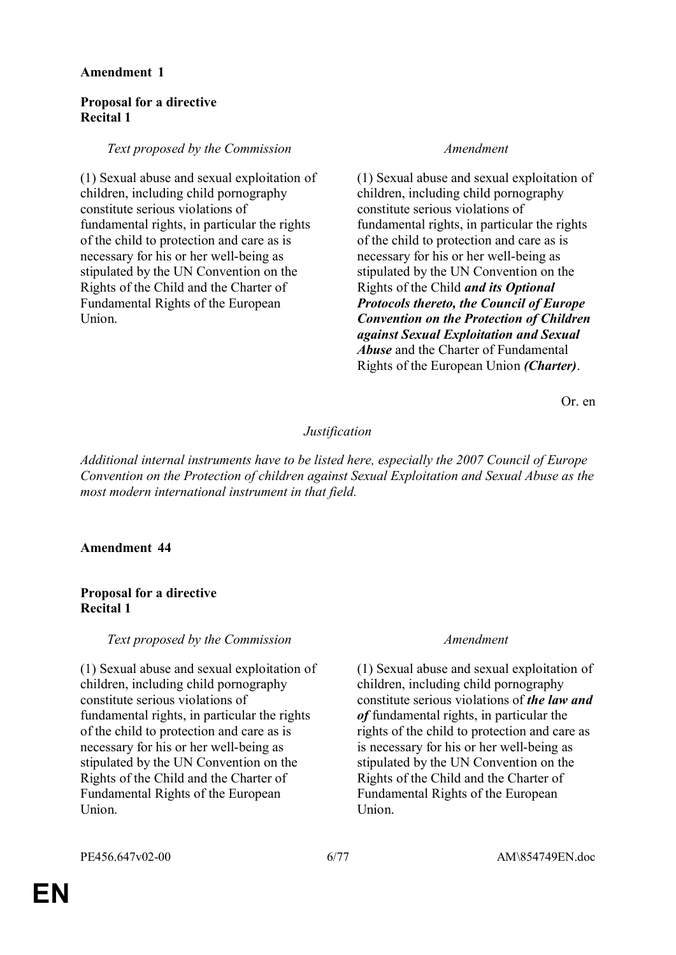# **Proposal for a directive Recital 1**

# *Text proposed by the Commission Amendment*

(1) Sexual abuse and sexual exploitation of children, including child pornography constitute serious violations of fundamental rights, in particular the rights of the child to protection and care as is necessary for his or her well-being as stipulated by the UN Convention on the Rights of the Child and the Charter of Fundamental Rights of the European Union.

(1) Sexual abuse and sexual exploitation of children, including child pornography constitute serious violations of fundamental rights, in particular the rights of the child to protection and care as is necessary for his or her well-being as stipulated by the UN Convention on the Rights of the Child *and its Optional Protocols thereto, the Council of Europe Convention on the Protection of Children against Sexual Exploitation and Sexual Abuse* and the Charter of Fundamental Rights of the European Union *(Charter)*.

Or. en

# *Justification*

*Additional internal instruments have to be listed here, especially the 2007 Council of Europe Convention on the Protection of children against Sexual Exploitation and Sexual Abuse as the most modern international instrument in that field.*

# **Amendment 44**

# **Proposal for a directive Recital 1**

*Text proposed by the Commission Amendment*

(1) Sexual abuse and sexual exploitation of children, including child pornography constitute serious violations of fundamental rights, in particular the rights of the child to protection and care as is necessary for his or her well-being as stipulated by the UN Convention on the Rights of the Child and the Charter of Fundamental Rights of the European Union.

(1) Sexual abuse and sexual exploitation of children, including child pornography constitute serious violations of *the law and of* fundamental rights, in particular the rights of the child to protection and care as is necessary for his or her well-being as stipulated by the UN Convention on the Rights of the Child and the Charter of Fundamental Rights of the European Union.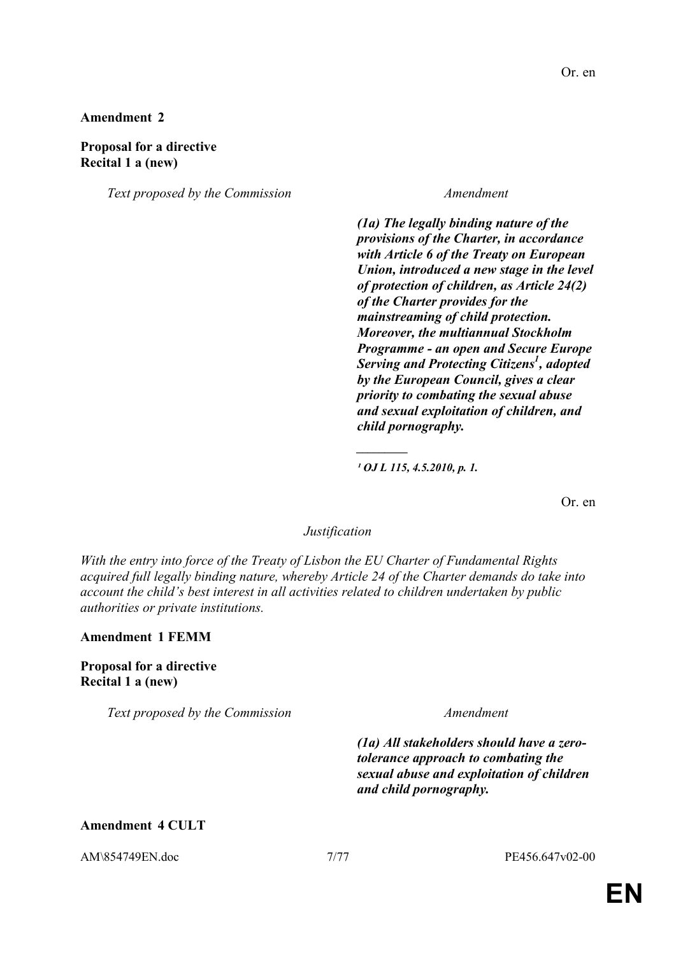# **Proposal for a directive Recital 1 a (new)**

*Text proposed by the Commission Amendment*

*(1a) The legally binding nature of the provisions of the Charter, in accordance with Article 6 of the Treaty on European Union, introduced a new stage in the level of protection of children, as Article 24(2) of the Charter provides for the mainstreaming of child protection. Moreover, the multiannual Stockholm Programme - an open and Secure Europe Serving and Protecting Citizens<sup>1</sup> , adopted by the European Council, gives a clear priority to combating the sexual abuse and sexual exploitation of children, and child pornography.*

*¹ OJ L 115, 4.5.2010, p. 1.*

*\_\_\_\_\_\_\_\_\_*

Or. en

# *Justification*

*With the entry into force of the Treaty of Lisbon the EU Charter of Fundamental Rights acquired full legally binding nature, whereby Article 24 of the Charter demands do take into account the child's best interest in all activities related to children undertaken by public authorities or private institutions.*

# **Amendment 1 FEMM**

**Proposal for a directive Recital 1 a (new)** 

*Text proposed by the Commission Amendment*

*(1a) All stakeholders should have a zerotolerance approach to combating the sexual abuse and exploitation of children and child pornography.*

# **Amendment 4 CULT**

AM\854749EN.doc  $7/77$  PE456.647v02-00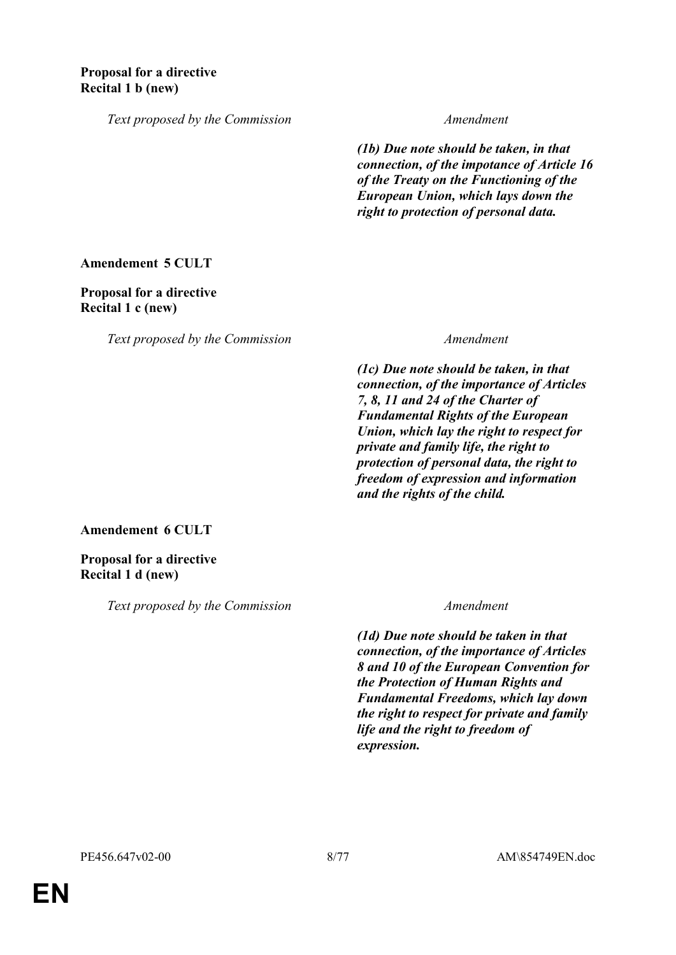*Text proposed by the Commission Amendment*

*(1b) Due note should be taken, in that connection, of the impotance of Article 16 of the Treaty on the Functioning of the European Union, which lays down the right to protection of personal data.*

**Amendement 5 CULT**

# **Proposal for a directive Recital 1 c (new)**

*Text proposed by the Commission Amendment*

*(1c) Due note should be taken, in that connection, of the importance of Articles 7, 8, 11 and 24 of the Charter of Fundamental Rights of the European Union, which lay the right to respect for private and family life, the right to protection of personal data, the right to freedom of expression and information and the rights of the child.*

**Amendement 6 CULT**

**Proposal for a directive Recital 1 d (new)**

*Text proposed by the Commission Amendment*

*(1d) Due note should be taken in that connection, of the importance of Articles 8 and 10 of the European Convention for the Protection of Human Rights and Fundamental Freedoms, which lay down the right to respect for private and family life and the right to freedom of expression.*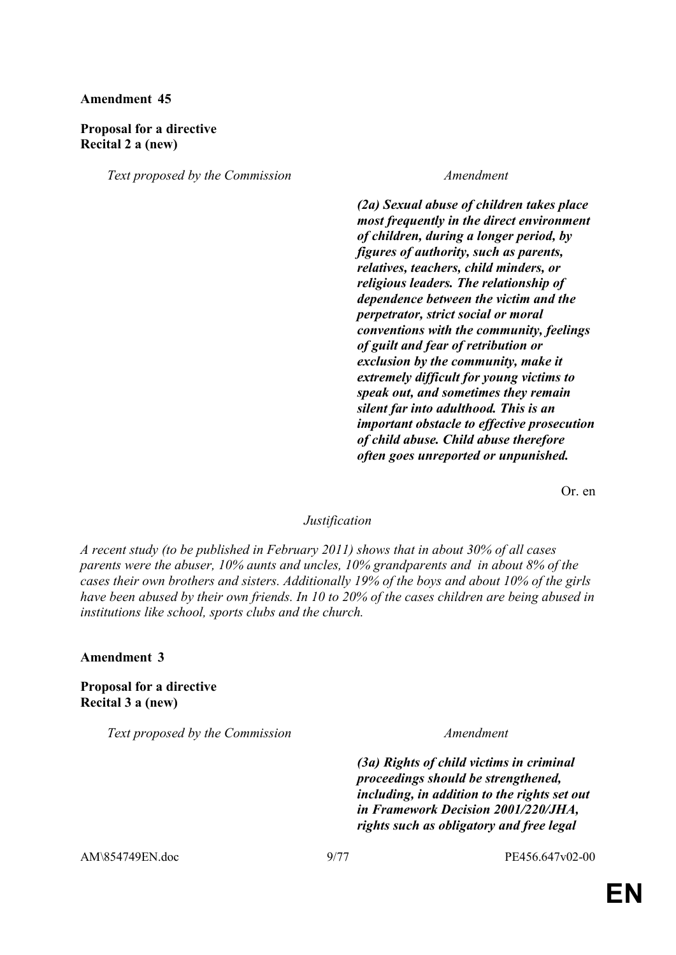# **Proposal for a directive Recital 2 a (new)**

*Text proposed by the Commission Amendment*

*(2a) Sexual abuse of children takes place most frequently in the direct environment of children, during a longer period, by figures of authority, such as parents, relatives, teachers, child minders, or religious leaders. The relationship of dependence between the victim and the perpetrator, strict social or moral conventions with the community, feelings of guilt and fear of retribution or exclusion by the community, make it extremely difficult for young victims to speak out, and sometimes they remain silent far into adulthood. This is an important obstacle to effective prosecution of child abuse. Child abuse therefore often goes unreported or unpunished.*

Or. en

### *Justification*

*A recent study (to be published in February 2011) shows that in about 30% of all cases parents were the abuser, 10% aunts and uncles, 10% grandparents and in about 8% of the cases their own brothers and sisters. Additionally 19% of the boys and about 10% of the girls have been abused by their own friends. In 10 to 20% of the cases children are being abused in institutions like school, sports clubs and the church.*

**Amendment 3**

**Proposal for a directive Recital 3 a (new)**

*Text proposed by the Commission Amendment*

*(3a) Rights of child victims in criminal proceedings should be strengthened, including, in addition to the rights set out in Framework Decision 2001/220/JHA, rights such as obligatory and free legal*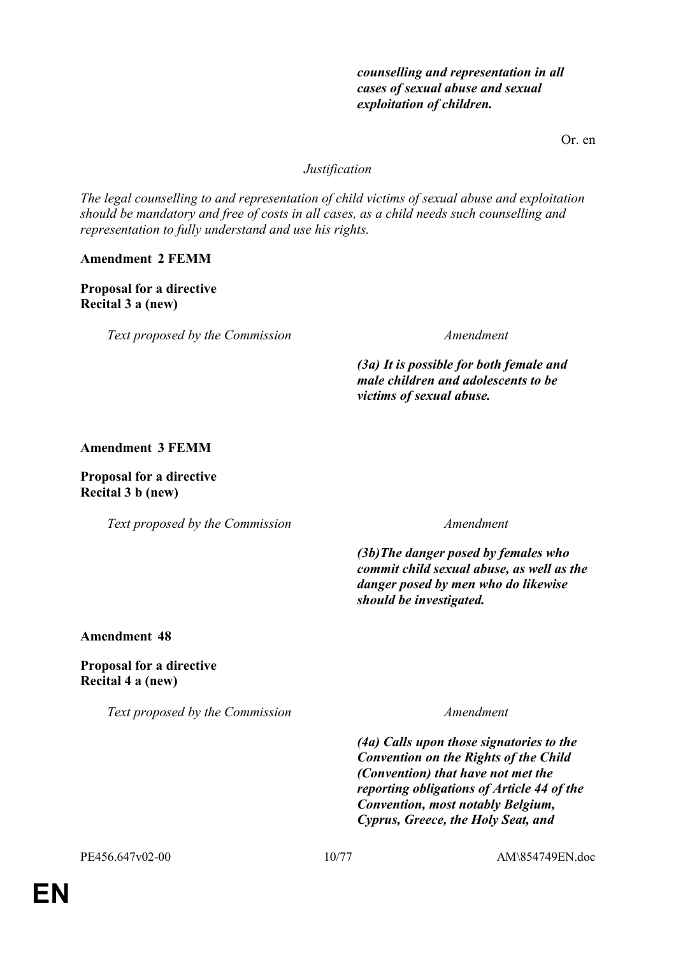Or. en

# *Justification*

*The legal counselling to and representation of child victims of sexual abuse and exploitation should be mandatory and free of costs in all cases, as a child needs such counselling and representation to fully understand and use his rights.*

# **Amendment 2 FEMM**

**Proposal for a directive Recital 3 a (new)**

*Text proposed by the Commission Amendment*

*(3a) It is possible for both female and male children and adolescents to be victims of sexual abuse.*

# **Amendment 3 FEMM**

# **Proposal for a directive Recital 3 b (new)**

*Text proposed by the Commission Amendment*

*(3b)The danger posed by females who commit child sexual abuse, as well as the danger posed by men who do likewise should be investigated.*

**Amendment 48**

# **Proposal for a directive Recital 4 a (new)**

*Text proposed by the Commission Amendment*

*(4a) Calls upon those signatories to the Convention on the Rights of the Child (Convention) that have not met the reporting obligations of Article 44 of the Convention, most notably Belgium, Cyprus, Greece, the Holy Seat, and*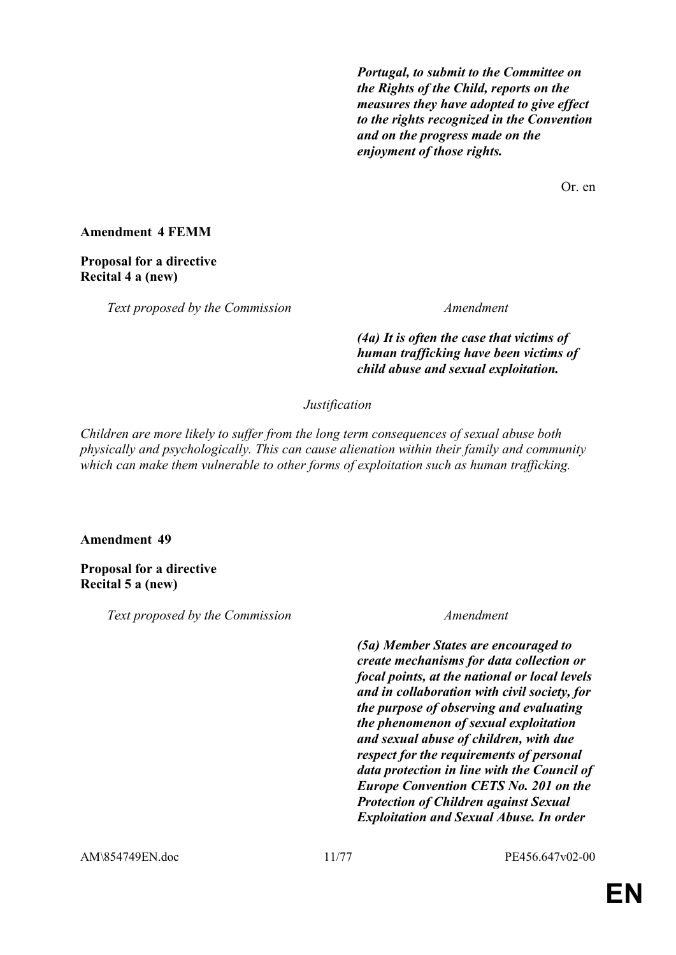*Portugal, to submit to the Committee on the Rights of the Child, reports on the measures they have adopted to give effect to the rights recognized in the Convention and on the progress made on the enjoyment of those rights.*

Or. en

### **Amendment 4 FEMM**

# **Proposal for a directive Recital 4 a (new)**

*Text proposed by the Commission Amendment*

*(4a) It is often the case that victims of human trafficking have been victims of child abuse and sexual exploitation.*

# *Justification*

*Children are more likely to suffer from the long term consequences of sexual abuse both physically and psychologically. This can cause alienation within their family and community which can make them vulnerable to other forms of exploitation such as human trafficking.*

# **Amendment 49**

**Proposal for a directive Recital 5 a (new)** 

*Text proposed by the Commission Amendment*

*(5a) Member States are encouraged to create mechanisms for data collection or focal points, at the national or local levels and in collaboration with civil society, for the purpose of observing and evaluating the phenomenon of sexual exploitation and sexual abuse of children, with due respect for the requirements of personal data protection in line with the Council of Europe Convention CETS No. 201 on the Protection of Children against Sexual Exploitation and Sexual Abuse. In order*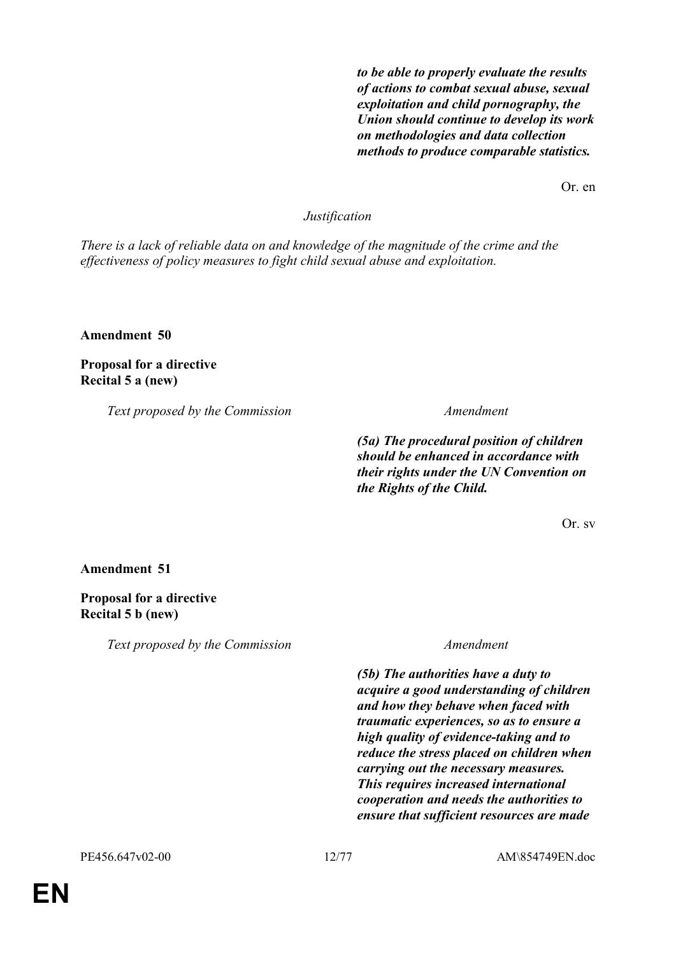*to be able to properly evaluate the results of actions to combat sexual abuse, sexual exploitation and child pornography, the Union should continue to develop its work on methodologies and data collection methods to produce comparable statistics.*

Or. en

### *Justification*

*There is a lack of reliable data on and knowledge of the magnitude of the crime and the effectiveness of policy measures to fight child sexual abuse and exploitation.*

**Amendment 50**

# **Proposal for a directive Recital 5 a (new)**

*Text proposed by the Commission Amendment*

*(5a) The procedural position of children should be enhanced in accordance with their rights under the UN Convention on the Rights of the Child.*

Or. sv

# **Amendment 51**

# **Proposal for a directive Recital 5 b (new)**

*Text proposed by the Commission Amendment*

*(5b) The authorities have a duty to acquire a good understanding of children and how they behave when faced with traumatic experiences, so as to ensure a high quality of evidence-taking and to reduce the stress placed on children when carrying out the necessary measures. This requires increased international cooperation and needs the authorities to ensure that sufficient resources are made*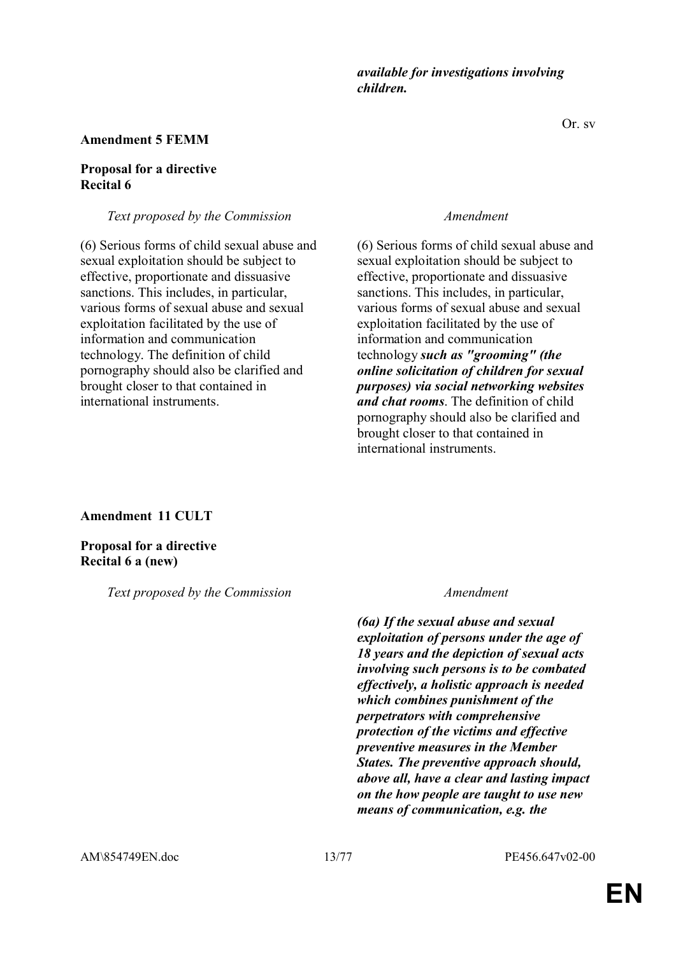### **Amendment 5 FEMM**

# **Proposal for a directive Recital 6**

### *Text proposed by the Commission Amendment*

(6) Serious forms of child sexual abuse and sexual exploitation should be subject to effective, proportionate and dissuasive sanctions. This includes, in particular, various forms of sexual abuse and sexual exploitation facilitated by the use of information and communication technology. The definition of child pornography should also be clarified and brought closer to that contained in international instruments.

Or. sv

(6) Serious forms of child sexual abuse and sexual exploitation should be subject to effective, proportionate and dissuasive sanctions. This includes, in particular, various forms of sexual abuse and sexual exploitation facilitated by the use of information and communication technology *such as "grooming" (the online solicitation of children for sexual purposes) via social networking websites and chat rooms*. The definition of child pornography should also be clarified and brought closer to that contained in international instruments.

# **Amendment 11 CULT**

**Proposal for a directive Recital 6 a (new)**

*Text proposed by the Commission Amendment*

*(6a) If the sexual abuse and sexual exploitation of persons under the age of 18 years and the depiction of sexual acts involving such persons is to be combated effectively, a holistic approach is needed which combines punishment of the perpetrators with comprehensive protection of the victims and effective preventive measures in the Member States. The preventive approach should, above all, have a clear and lasting impact on the how people are taught to use new means of communication, e.g. the*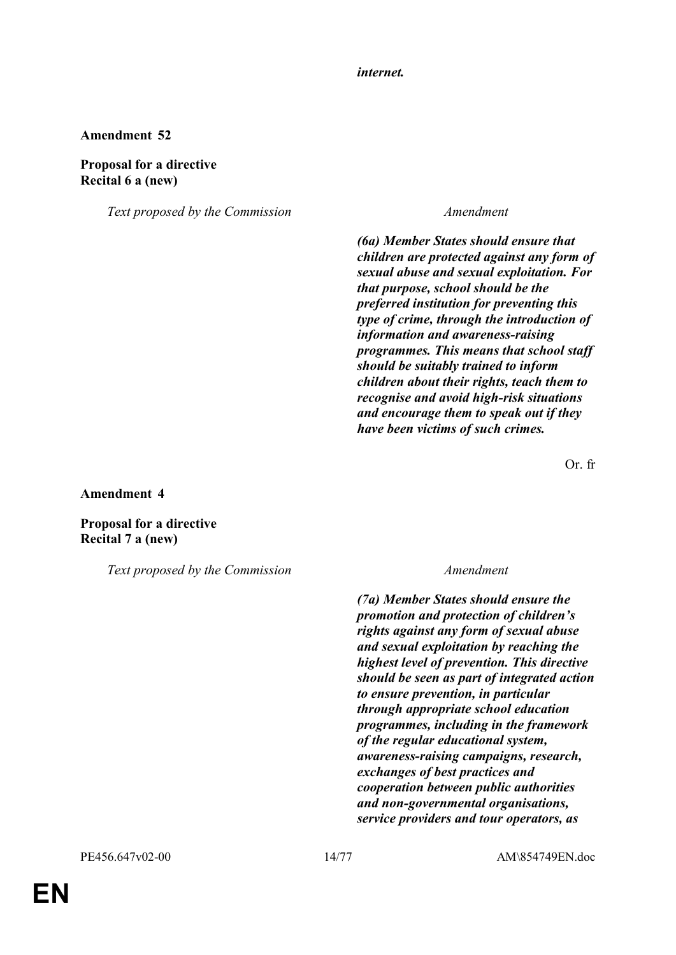*internet.*

# **Amendment 52**

### **Proposal for a directive Recital 6 a (new)**

*Text proposed by the Commission Amendment*

*(6a) Member States should ensure that children are protected against any form of sexual abuse and sexual exploitation. For that purpose, school should be the preferred institution for preventing this type of crime, through the introduction of information and awareness-raising programmes. This means that school staff should be suitably trained to inform children about their rights, teach them to recognise and avoid high-risk situations and encourage them to speak out if they have been victims of such crimes.*

Or. fr

**Amendment 4**

**Proposal for a directive Recital 7 a (new)**

*Text proposed by the Commission Amendment*

*(7a) Member States should ensure the promotion and protection of children's rights against any form of sexual abuse and sexual exploitation by reaching the highest level of prevention. This directive should be seen as part of integrated action to ensure prevention, in particular through appropriate school education programmes, including in the framework of the regular educational system, awareness-raising campaigns, research, exchanges of best practices and cooperation between public authorities and non-governmental organisations, service providers and tour operators, as*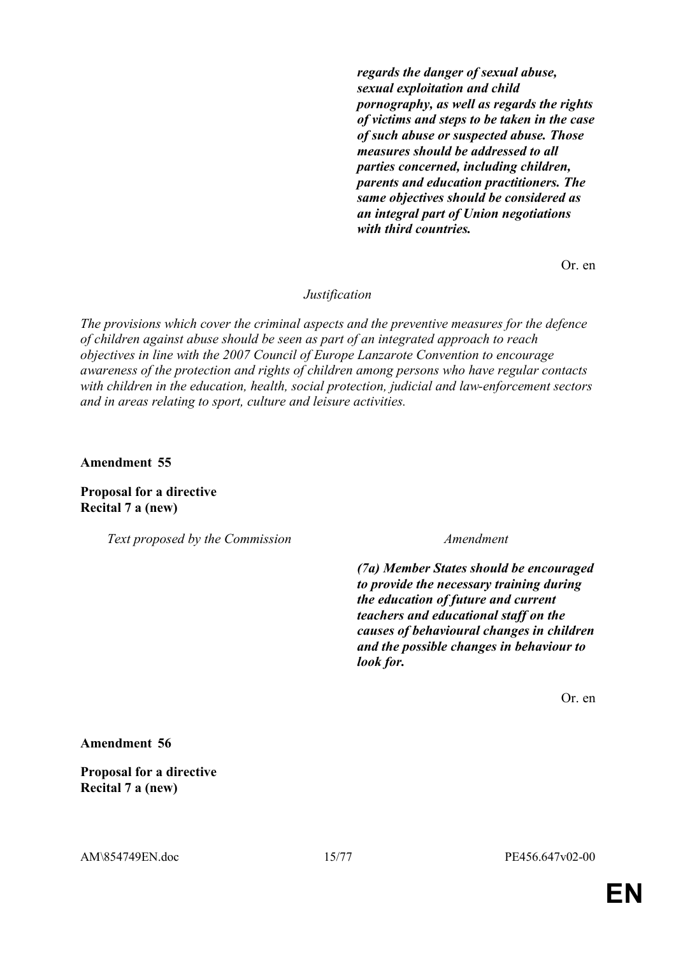*regards the danger of sexual abuse, sexual exploitation and child pornography, as well as regards the rights of victims and steps to be taken in the case of such abuse or suspected abuse. Those measures should be addressed to all parties concerned, including children, parents and education practitioners. The same objectives should be considered as an integral part of Union negotiations with third countries.*

Or. en

*Justification*

*The provisions which cover the criminal aspects and the preventive measures for the defence of children against abuse should be seen as part of an integrated approach to reach objectives in line with the 2007 Council of Europe Lanzarote Convention to encourage awareness of the protection and rights of children among persons who have regular contacts with children in the education, health, social protection, judicial and law-enforcement sectors and in areas relating to sport, culture and leisure activities.*

**Amendment 55**

**Proposal for a directive Recital 7 a (new)** 

*Text proposed by the Commission Amendment*

*(7a) Member States should be encouraged to provide the necessary training during the education of future and current teachers and educational staff on the causes of behavioural changes in children and the possible changes in behaviour to look for.*

Or. en

**Amendment 56**

**Proposal for a directive Recital 7 a (new)** 

AM\854749EN.doc 15/77 PE456.647v02-00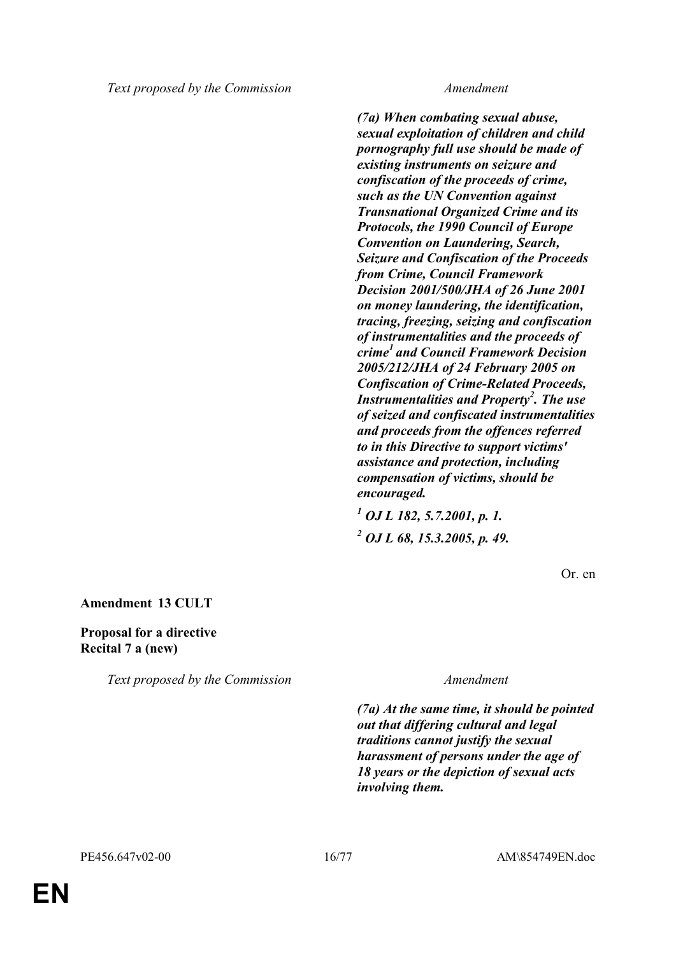*Text proposed by the Commission Amendment*

*(7a) When combating sexual abuse, sexual exploitation of children and child pornography full use should be made of existing instruments on seizure and confiscation of the proceeds of crime, such as the UN Convention against Transnational Organized Crime and its Protocols, the 1990 Council of Europe Convention on Laundering, Search, Seizure and Confiscation of the Proceeds from Crime, Council Framework Decision 2001/500/JHA of 26 June 2001 on money laundering, the identification, tracing, freezing, seizing and confiscation of instrumentalities and the proceeds of crime<sup>1</sup>and Council Framework Decision 2005/212/JHA of 24 February 2005 on Confiscation of Crime-Related Proceeds, Instrumentalities and Property<sup>2</sup> . The use of seized and confiscated instrumentalities and proceeds from the offences referred to in this Directive to support victims' assistance and protection, including compensation of victims, should be encouraged.*

*1 OJ L 182, 5.7.2001, p. 1. 2 OJ L 68, 15.3.2005, p. 49.*

Or. en

**Amendment 13 CULT**

# **Proposal for a directive Recital 7 a (new)**

*Text proposed by the Commission Amendment*

*(7a) At the same time, it should be pointed out that differing cultural and legal traditions cannot justify the sexual harassment of persons under the age of 18 years or the depiction of sexual acts involving them.*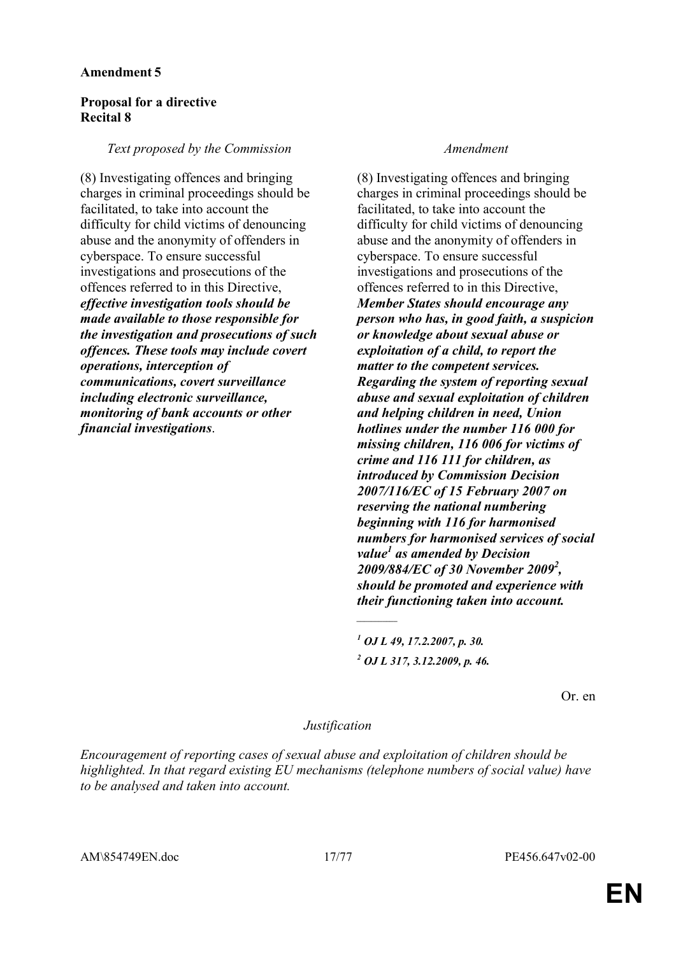# **Proposal for a directive Recital 8**

# *Text proposed by the Commission Amendment*

(8) Investigating offences and bringing charges in criminal proceedings should be facilitated, to take into account the difficulty for child victims of denouncing abuse and the anonymity of offenders in cyberspace. To ensure successful investigations and prosecutions of the offences referred to in this Directive, *effective investigation tools should be made available to those responsible for the investigation and prosecutions of such offences. These tools may include covert operations, interception of communications, covert surveillance including electronic surveillance, monitoring of bank accounts or other financial investigations*.

(8) Investigating offences and bringing charges in criminal proceedings should be facilitated, to take into account the difficulty for child victims of denouncing abuse and the anonymity of offenders in cyberspace. To ensure successful investigations and prosecutions of the offences referred to in this Directive, *Member States should encourage any person who has, in good faith, a suspicion or knowledge about sexual abuse or exploitation of a child, to report the matter to the competent services. Regarding the system of reporting sexual abuse and sexual exploitation of children and helping children in need, Union hotlines under the number 116 000 for missing children, 116 006 for victims of crime and 116 111 for children, as introduced by Commission Decision 2007/116/EC of 15 February 2007 on reserving the national numbering beginning with 116 for harmonised numbers for harmonised services of social value<sup>1</sup> as amended by Decision 2009/884/EC of 30 November 2009<sup>2</sup> , should be promoted and experience with their functioning taken into account.*

Or. en

# *Justification*

*Encouragement of reporting cases of sexual abuse and exploitation of children should be highlighted. In that regard existing EU mechanisms (telephone numbers of social value) have to be analysed and taken into account.*

*<sup>1</sup> OJ L 49, 17.2.2007, p. 30.*

*<sup>2</sup> OJ L 317, 3.12.2009, p. 46.*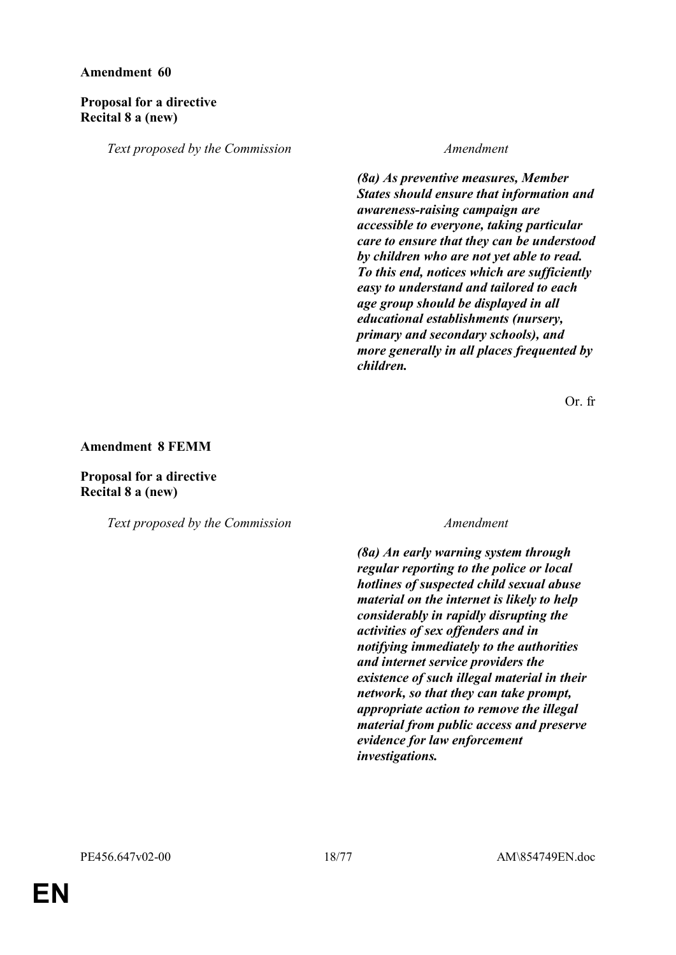### **Proposal for a directive Recital 8 a (new)**

*Text proposed by the Commission Amendment*

*(8a) As preventive measures, Member States should ensure that information and awareness-raising campaign are accessible to everyone, taking particular care to ensure that they can be understood by children who are not yet able to read. To this end, notices which are sufficiently easy to understand and tailored to each age group should be displayed in all educational establishments (nursery, primary and secondary schools), and more generally in all places frequented by children.*

Or. fr

### **Amendment 8 FEMM**

### **Proposal for a directive Recital 8 a (new)**

*Text proposed by the Commission Amendment*

*(8a) An early warning system through regular reporting to the police or local hotlines of suspected child sexual abuse material on the internet is likely to help considerably in rapidly disrupting the activities of sex offenders and in notifying immediately to the authorities and internet service providers the existence of such illegal material in their network, so that they can take prompt, appropriate action to remove the illegal material from public access and preserve evidence for law enforcement investigations.*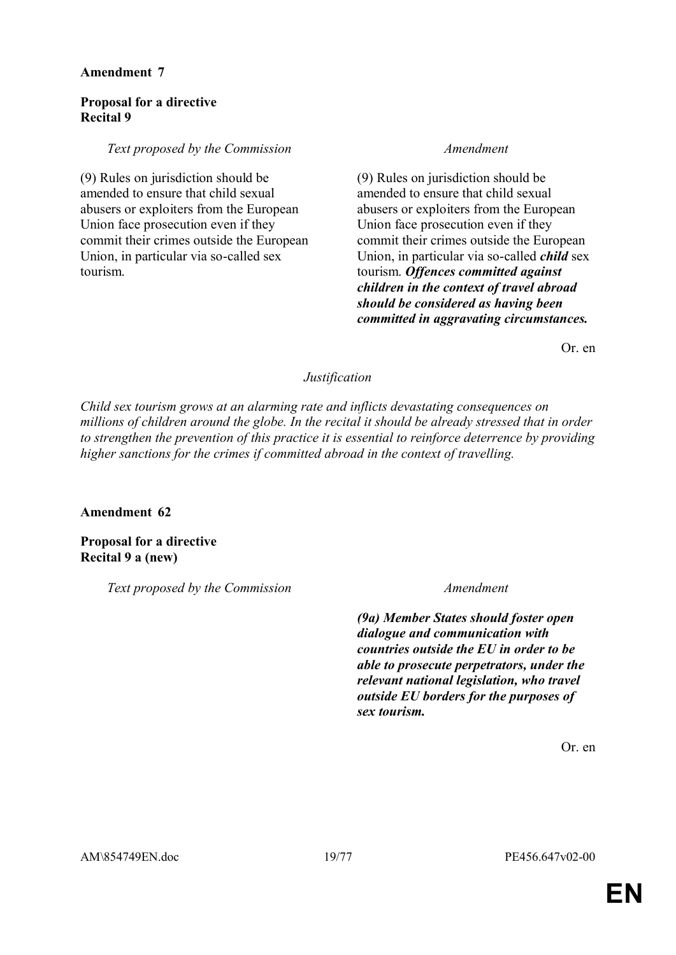# **Proposal for a directive Recital 9**

# *Text proposed by the Commission Amendment*

(9) Rules on jurisdiction should be amended to ensure that child sexual abusers or exploiters from the European Union face prosecution even if they commit their crimes outside the European Union, in particular via so-called sex tourism.

(9) Rules on jurisdiction should be amended to ensure that child sexual abusers or exploiters from the European Union face prosecution even if they commit their crimes outside the European Union, in particular via so-called *child* sex tourism. *Offences committed against children in the context of travel abroad should be considered as having been committed in aggravating circumstances.*

Or. en

# *Justification*

*Child sex tourism grows at an alarming rate and inflicts devastating consequences on millions of children around the globe. In the recital it should be already stressed that in order to strengthen the prevention of this practice it is essential to reinforce deterrence by providing higher sanctions for the crimes if committed abroad in the context of travelling.*

# **Amendment 62**

**Proposal for a directive Recital 9 a (new)** 

*Text proposed by the Commission Amendment*

*(9a) Member States should foster open dialogue and communication with countries outside the EU in order to be able to prosecute perpetrators, under the relevant national legislation, who travel outside EU borders for the purposes of sex tourism.*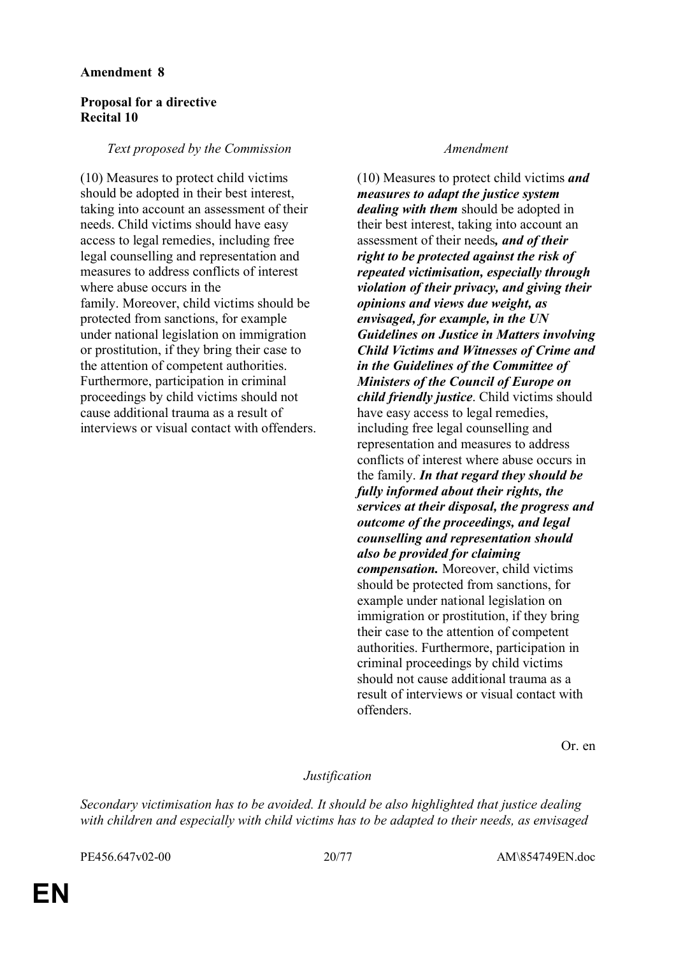# **Proposal for a directive Recital 10**

# *Text proposed by the Commission Amendment*

(10) Measures to protect child victims should be adopted in their best interest, taking into account an assessment of their needs. Child victims should have easy access to legal remedies, including free legal counselling and representation and measures to address conflicts of interest where abuse occurs in the family. Moreover, child victims should be protected from sanctions, for example under national legislation on immigration or prostitution, if they bring their case to the attention of competent authorities. Furthermore, participation in criminal proceedings by child victims should not cause additional trauma as a result of interviews or visual contact with offenders.

(10) Measures to protect child victims *and measures to adapt the justice system dealing with them* should be adopted in their best interest, taking into account an assessment of their needs*, and of their right to be protected against the risk of repeated victimisation, especially through violation of their privacy, and giving their opinions and views due weight, as envisaged, for example, in the UN Guidelines on Justice in Matters involving Child Victims and Witnesses of Crime and in the Guidelines of the Committee of Ministers of the Council of Europe on child friendly justice*. Child victims should have easy access to legal remedies, including free legal counselling and representation and measures to address conflicts of interest where abuse occurs in the family. *In that regard they should be fully informed about their rights, the services at their disposal, the progress and outcome of the proceedings, and legal counselling and representation should also be provided for claiming compensation.* Moreover, child victims should be protected from sanctions, for example under national legislation on immigration or prostitution, if they bring their case to the attention of competent authorities. Furthermore, participation in criminal proceedings by child victims should not cause additional trauma as a result of interviews or visual contact with offenders.

Or. en

# *Justification*

*Secondary victimisation has to be avoided. It should be also highlighted that justice dealing with children and especially with child victims has to be adapted to their needs, as envisaged*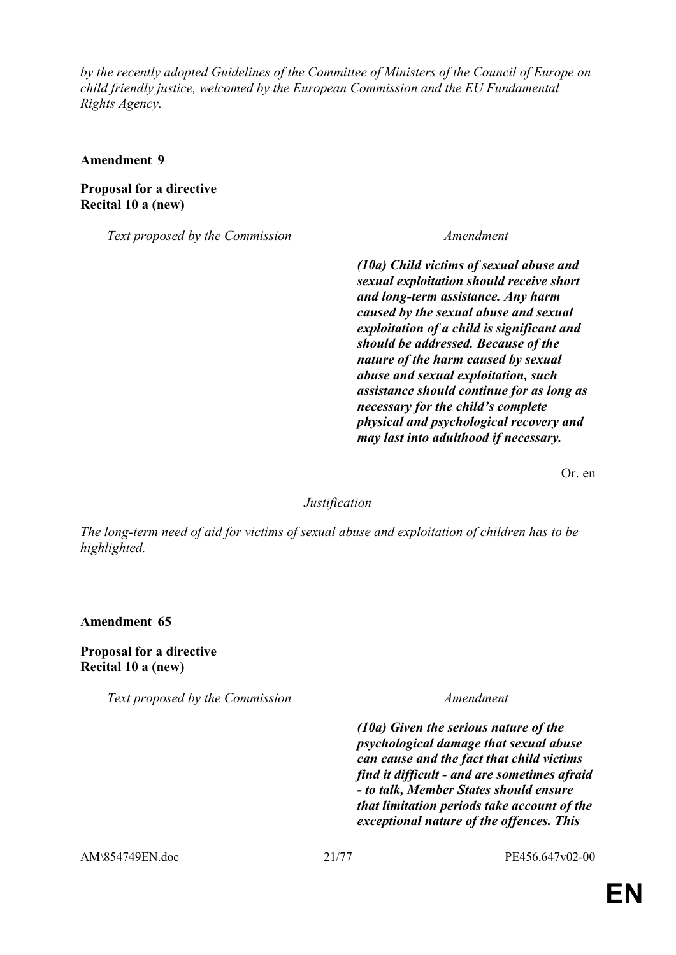*by the recently adopted Guidelines of the Committee of Ministers of the Council of Europe on child friendly justice, welcomed by the European Commission and the EU Fundamental Rights Agency.* 

**Amendment 9**

**Proposal for a directive Recital 10 a (new)**

*Text proposed by the Commission Amendment*

*(10a) Child victims of sexual abuse and sexual exploitation should receive short and long-term assistance. Any harm caused by the sexual abuse and sexual exploitation of a child is significant and should be addressed. Because of the nature of the harm caused by sexual abuse and sexual exploitation, such assistance should continue for as long as necessary for the child's complete physical and psychological recovery and may last into adulthood if necessary.*

Or. en

*Justification*

*The long-term need of aid for victims of sexual abuse and exploitation of children has to be highlighted.*

**Amendment 65**

**Proposal for a directive Recital 10 a (new)** 

*Text proposed by the Commission Amendment*

*(10a) Given the serious nature of the psychological damage that sexual abuse can cause and the fact that child victims find it difficult - and are sometimes afraid - to talk, Member States should ensure that limitation periods take account of the exceptional nature of the offences. This* 

AM\854749EN.doc 21/77 PE456.647v02-00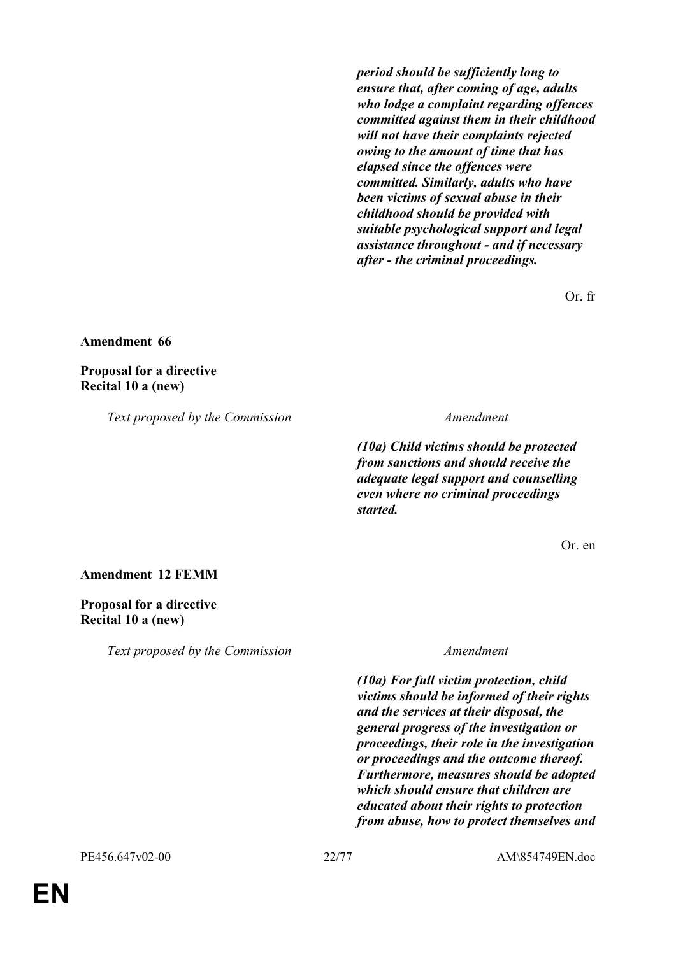*period should be sufficiently long to ensure that, after coming of age, adults who lodge a complaint regarding offences committed against them in their childhood will not have their complaints rejected owing to the amount of time that has elapsed since the offences were committed. Similarly, adults who have been victims of sexual abuse in their childhood should be provided with suitable psychological support and legal assistance throughout - and if necessary after - the criminal proceedings.*

Or. fr

**Amendment 66**

# **Proposal for a directive Recital 10 a (new)**

*Text proposed by the Commission Amendment*

*(10a) Child victims should be protected from sanctions and should receive the adequate legal support and counselling even where no criminal proceedings started.*

Or. en

# **Amendment 12 FEMM**

# **Proposal for a directive Recital 10 a (new)**

*Text proposed by the Commission Amendment*

*(10a) For full victim protection, child victims should be informed of their rights and the services at their disposal, the general progress of the investigation or proceedings, their role in the investigation or proceedings and the outcome thereof. Furthermore, measures should be adopted which should ensure that children are educated about their rights to protection from abuse, how to protect themselves and*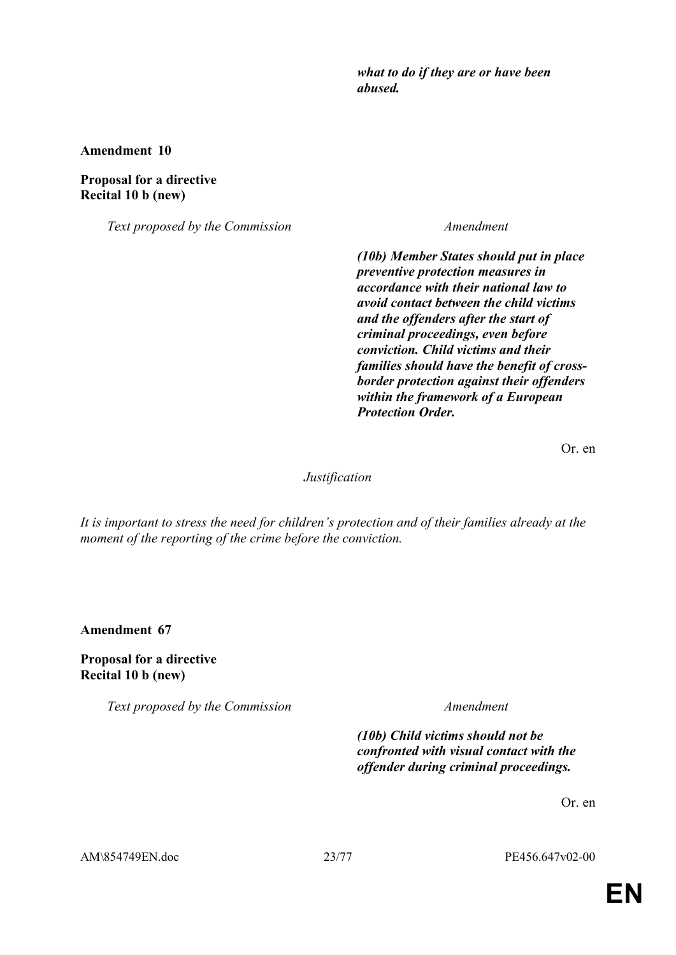*what to do if they are or have been abused.*

**Amendment 10**

# **Proposal for a directive Recital 10 b (new)**

*Text proposed by the Commission Amendment*

*(10b) Member States should put in place preventive protection measures in accordance with their national law to avoid contact between the child victims and the offenders after the start of criminal proceedings, even before conviction. Child victims and their families should have the benefit of crossborder protection against their offenders within the framework of a European Protection Order.*

Or. en

*Justification*

*It is important to stress the need for children's protection and of their families already at the moment of the reporting of the crime before the conviction.*

**Amendment 67**

**Proposal for a directive Recital 10 b (new)** 

*Text proposed by the Commission Amendment*

*(10b) Child victims should not be confronted with visual contact with the offender during criminal proceedings.*

Or. en

AM\854749EN.doc 23/77 PE456.647v02-00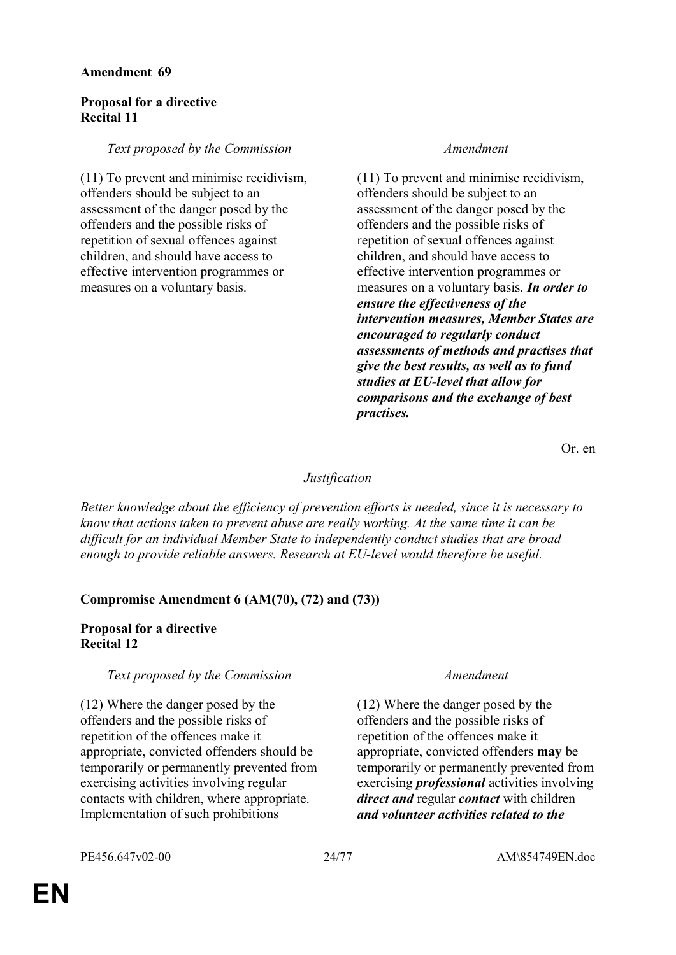# **Proposal for a directive Recital 11**

# *Text proposed by the Commission Amendment*

(11) To prevent and minimise recidivism, offenders should be subject to an assessment of the danger posed by the offenders and the possible risks of repetition of sexual offences against children, and should have access to effective intervention programmes or measures on a voluntary basis.

(11) To prevent and minimise recidivism, offenders should be subject to an assessment of the danger posed by the offenders and the possible risks of repetition of sexual offences against children, and should have access to effective intervention programmes or measures on a voluntary basis. *In order to ensure the effectiveness of the intervention measures, Member States are encouraged to regularly conduct assessments of methods and practises that give the best results, as well as to fund studies at EU-level that allow for comparisons and the exchange of best practises.*

Or. en

# *Justification*

*Better knowledge about the efficiency of prevention efforts is needed, since it is necessary to know that actions taken to prevent abuse are really working. At the same time it can be difficult for an individual Member State to independently conduct studies that are broad enough to provide reliable answers. Research at EU-level would therefore be useful.*

# **Compromise Amendment 6 (AM(70), (72) and (73))**

# **Proposal for a directive Recital 12**

# *Text proposed by the Commission Amendment*

(12) Where the danger posed by the offenders and the possible risks of repetition of the offences make it appropriate, convicted offenders should be temporarily or permanently prevented from exercising activities involving regular contacts with children, where appropriate. Implementation of such prohibitions

(12) Where the danger posed by the offenders and the possible risks of repetition of the offences make it appropriate, convicted offenders **may** be temporarily or permanently prevented from exercising *professional* activities involving *direct and* regular *contact* with children *and volunteer activities related to the*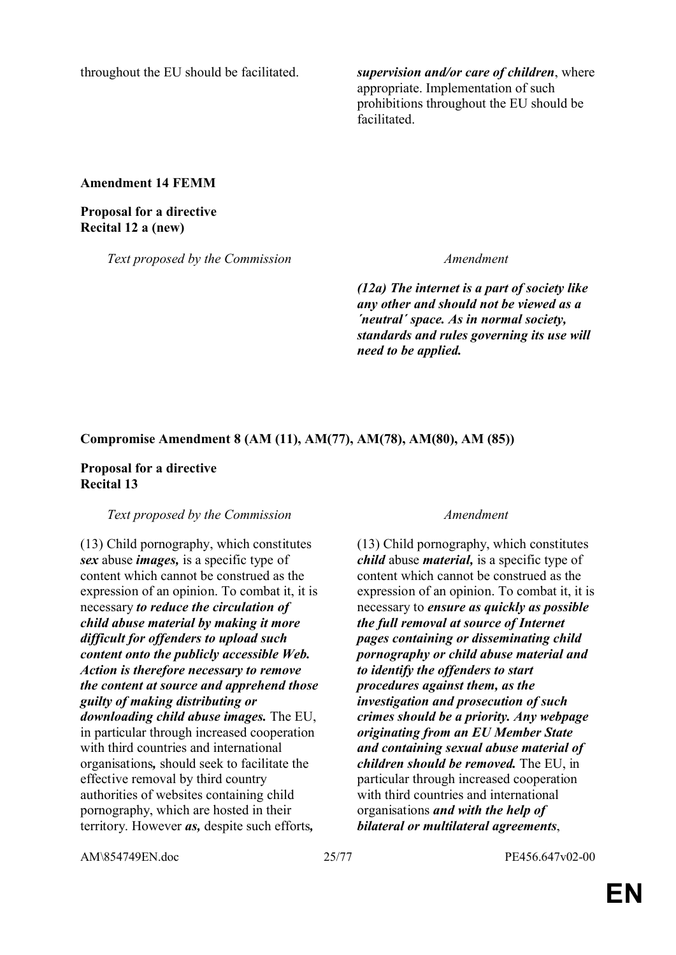throughout the EU should be facilitated. *supervision and/or care of children*, where appropriate. Implementation of such prohibitions throughout the EU should be facilitated.

**Amendment 14 FEMM**

# **Proposal for a directive Recital 12 a (new)**

*Text proposed by the Commission Amendment*

*(12a) The internet is a part of society like any other and should not be viewed as a ´neutral´ space. As in normal society, standards and rules governing its use will need to be applied.*

# **Compromise Amendment 8 (AM (11), AM(77), AM(78), AM(80), AM (85))**

# **Proposal for a directive Recital 13**

# *Text proposed by the Commission Amendment*

(13) Child pornography, which constitutes *sex* abuse *images,* is a specific type of content which cannot be construed as the expression of an opinion. To combat it, it is necessary *to reduce the circulation of child abuse material by making it more difficult for offenders to upload such content onto the publicly accessible Web. Action is therefore necessary to remove the content at source and apprehend those guilty of making distributing or downloading child abuse images.* The EU, in particular through increased cooperation with third countries and international organisations*,* should seek to facilitate the effective removal by third country authorities of websites containing child pornography, which are hosted in their territory. However *as,* despite such efforts*,* 

(13) Child pornography, which constitutes *child* abuse *material,* is a specific type of content which cannot be construed as the expression of an opinion. To combat it, it is necessary to *ensure as quickly as possible the full removal at source of Internet pages containing or disseminating child pornography or child abuse material and to identify the offenders to start procedures against them, as the investigation and prosecution of such crimes should be a priority. Any webpage originating from an EU Member State and containing sexual abuse material of children should be removed.* The EU, in particular through increased cooperation with third countries and international organisations *and with the help of bilateral or multilateral agreements*,

AM\854749EN.doc 25/77 PE456.647v02-00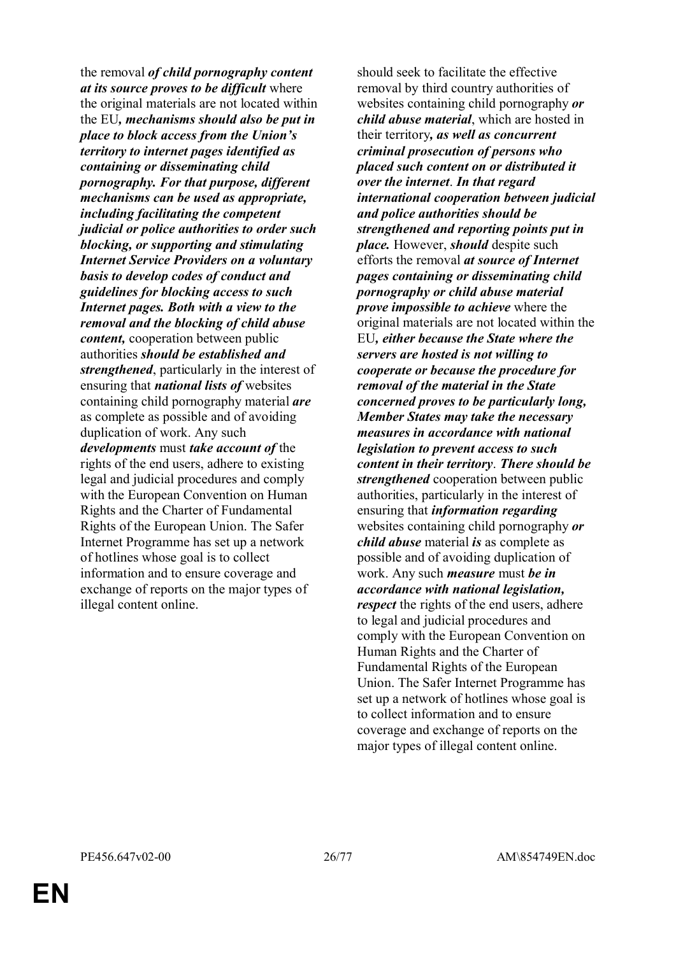the removal *of child pornography content at its source proves to be difficult* where the original materials are not located within the EU*, mechanisms should also be put in place to block access from the Union's territory to internet pages identified as containing or disseminating child pornography. For that purpose, different mechanisms can be used as appropriate, including facilitating the competent judicial or police authorities to order such blocking, or supporting and stimulating Internet Service Providers on a voluntary basis to develop codes of conduct and guidelines for blocking access to such Internet pages. Both with a view to the removal and the blocking of child abuse content,* cooperation between public authorities *should be established and strengthened*, particularly in the interest of ensuring that *national lists of* websites containing child pornography material *are*  as complete as possible and of avoiding duplication of work. Any such *developments* must *take account of* the rights of the end users, adhere to existing legal and judicial procedures and comply with the European Convention on Human Rights and the Charter of Fundamental Rights of the European Union. The Safer Internet Programme has set up a network of hotlines whose goal is to collect information and to ensure coverage and exchange of reports on the major types of illegal content online.

should seek to facilitate the effective removal by third country authorities of websites containing child pornography *or child abuse material*, which are hosted in their territory*, as well as concurrent criminal prosecution of persons who placed such content on or distributed it over the internet*. *In that regard international cooperation between judicial and police authorities should be strengthened and reporting points put in place.* However, *should* despite such efforts the removal *at source of Internet pages containing or disseminating child pornography or child abuse material prove impossible to achieve* where the original materials are not located within the EU*, either because the State where the servers are hosted is not willing to cooperate or because the procedure for removal of the material in the State concerned proves to be particularly long, Member States may take the necessary measures in accordance with national legislation to prevent access to such content in their territory*. *There should be strengthened* cooperation between public authorities, particularly in the interest of ensuring that *information regarding* websites containing child pornography *or child abuse* material *is* as complete as possible and of avoiding duplication of work. Any such *measure* must *be in accordance with national legislation, respect* the rights of the end users, adhere to legal and judicial procedures and comply with the European Convention on Human Rights and the Charter of Fundamental Rights of the European Union. The Safer Internet Programme has set up a network of hotlines whose goal is to collect information and to ensure coverage and exchange of reports on the major types of illegal content online.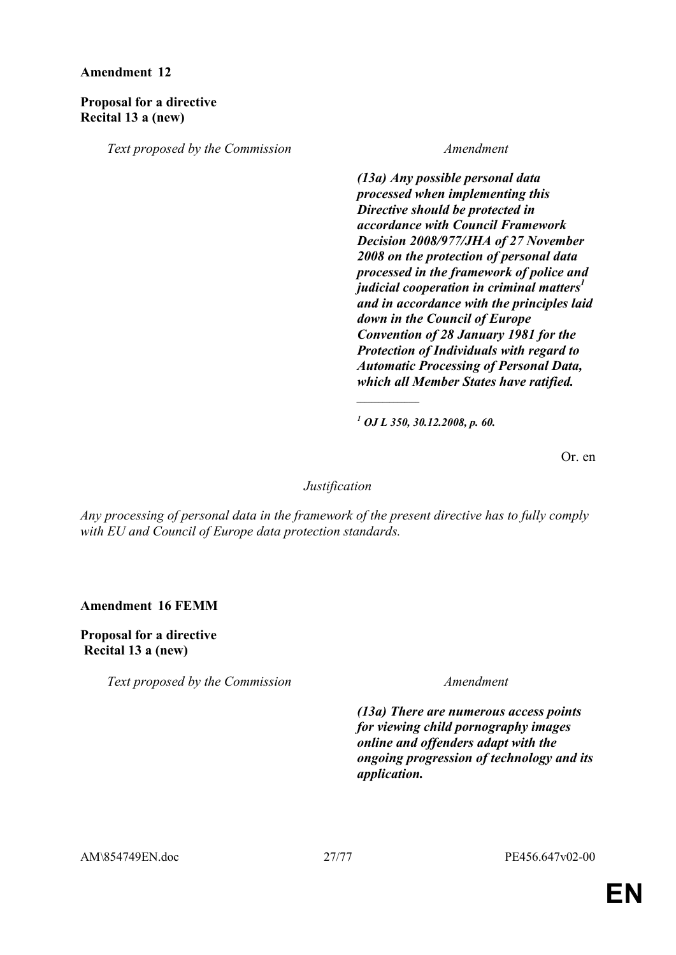# **Proposal for a directive Recital 13 a (new)**

*Text proposed by the Commission Amendment*

*(13a) Any possible personal data processed when implementing this Directive should be protected in accordance with Council Framework Decision 2008/977/JHA of 27 November 2008 on the protection of personal data processed in the framework of police and judicial cooperation in criminal matters<sup>1</sup> and in accordance with the principles laid down in the Council of Europe Convention of 28 January 1981 for the Protection of Individuals with regard to Automatic Processing of Personal Data, which all Member States have ratified.*

*1 OJ L 350, 30.12.2008, p. 60.*

*\_\_\_\_\_\_\_\_\_\_\_\_\_\_\_\_\_*

Or. en

*Justification*

*Any processing of personal data in the framework of the present directive has to fully comply with EU and Council of Europe data protection standards.*

**Amendment 16 FEMM**

**Proposal for a directive Recital 13 a (new)**

*Text proposed by the Commission Amendment*

*(13a) There are numerous access points for viewing child pornography images online and offenders adapt with the ongoing progression of technology and its application.*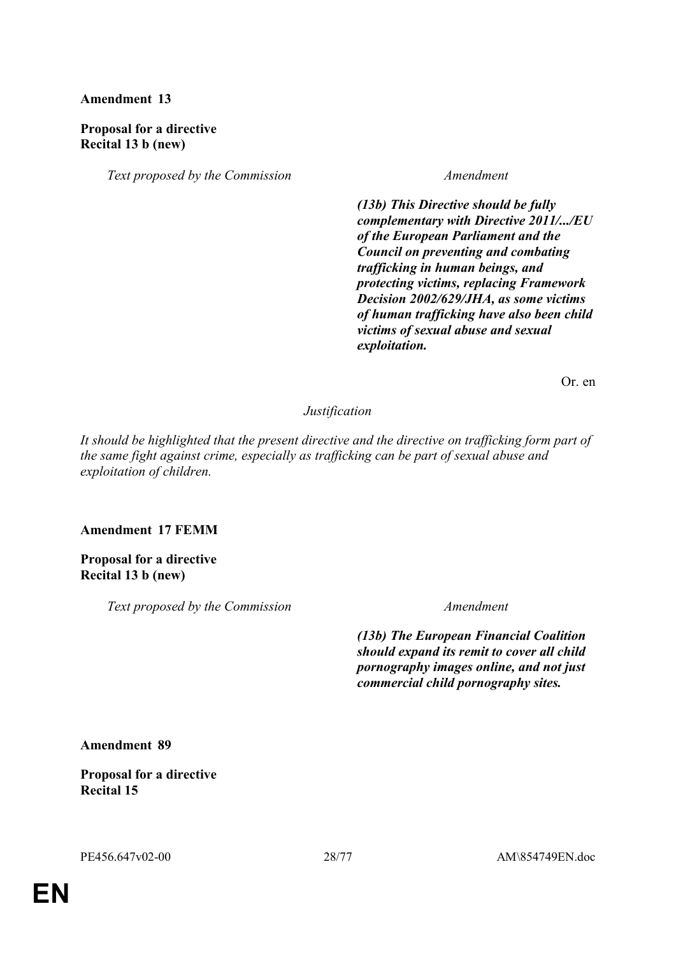# **Proposal for a directive Recital 13 b (new)**

*Text proposed by the Commission Amendment*

*(13b) This Directive should be fully complementary with Directive 2011/.../EU of the European Parliament and the Council on preventing and combating trafficking in human beings, and protecting victims, replacing Framework Decision 2002/629/JHA, as some victims of human trafficking have also been child victims of sexual abuse and sexual exploitation.*

Or. en

# *Justification*

*It should be highlighted that the present directive and the directive on trafficking form part of the same fight against crime, especially as trafficking can be part of sexual abuse and exploitation of children.*

# **Amendment 17 FEMM**

**Proposal for a directive Recital 13 b (new)** 

*Text proposed by the Commission Amendment*

*(13b) The European Financial Coalition should expand its remit to cover all child pornography images online, and not just commercial child pornography sites.*

**Amendment 89**

**Proposal for a directive Recital 15**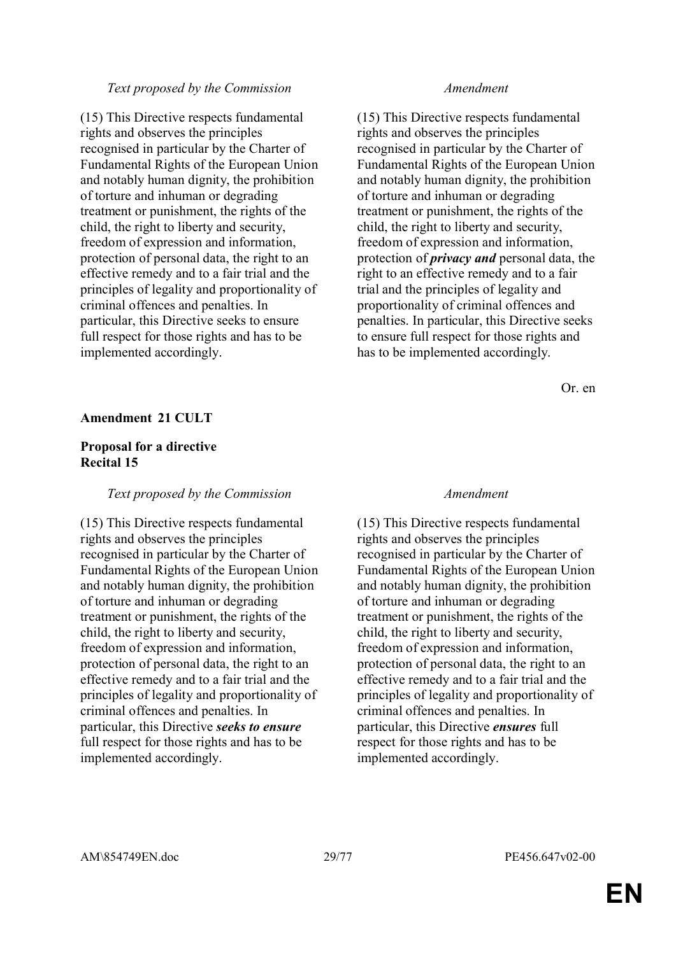### *Text proposed by the Commission Amendment*

(15) This Directive respects fundamental rights and observes the principles recognised in particular by the Charter of Fundamental Rights of the European Union and notably human dignity, the prohibition of torture and inhuman or degrading treatment or punishment, the rights of the child, the right to liberty and security, freedom of expression and information, protection of personal data, the right to an effective remedy and to a fair trial and the principles of legality and proportionality of criminal offences and penalties. In particular, this Directive seeks to ensure full respect for those rights and has to be implemented accordingly.

(15) This Directive respects fundamental rights and observes the principles recognised in particular by the Charter of Fundamental Rights of the European Union and notably human dignity, the prohibition of torture and inhuman or degrading treatment or punishment, the rights of the child, the right to liberty and security, freedom of expression and information, protection of *privacy and* personal data, the right to an effective remedy and to a fair trial and the principles of legality and proportionality of criminal offences and penalties. In particular, this Directive seeks to ensure full respect for those rights and has to be implemented accordingly.

Or. en

# **Amendment 21 CULT**

# **Proposal for a directive Recital 15**

# *Text proposed by the Commission Amendment*

(15) This Directive respects fundamental rights and observes the principles recognised in particular by the Charter of Fundamental Rights of the European Union and notably human dignity, the prohibition of torture and inhuman or degrading treatment or punishment, the rights of the child, the right to liberty and security, freedom of expression and information, protection of personal data, the right to an effective remedy and to a fair trial and the principles of legality and proportionality of criminal offences and penalties. In particular, this Directive *seeks to ensure* full respect for those rights and has to be implemented accordingly.

(15) This Directive respects fundamental rights and observes the principles recognised in particular by the Charter of Fundamental Rights of the European Union and notably human dignity, the prohibition of torture and inhuman or degrading treatment or punishment, the rights of the child, the right to liberty and security, freedom of expression and information, protection of personal data, the right to an effective remedy and to a fair trial and the principles of legality and proportionality of criminal offences and penalties. In particular, this Directive *ensures* full respect for those rights and has to be implemented accordingly.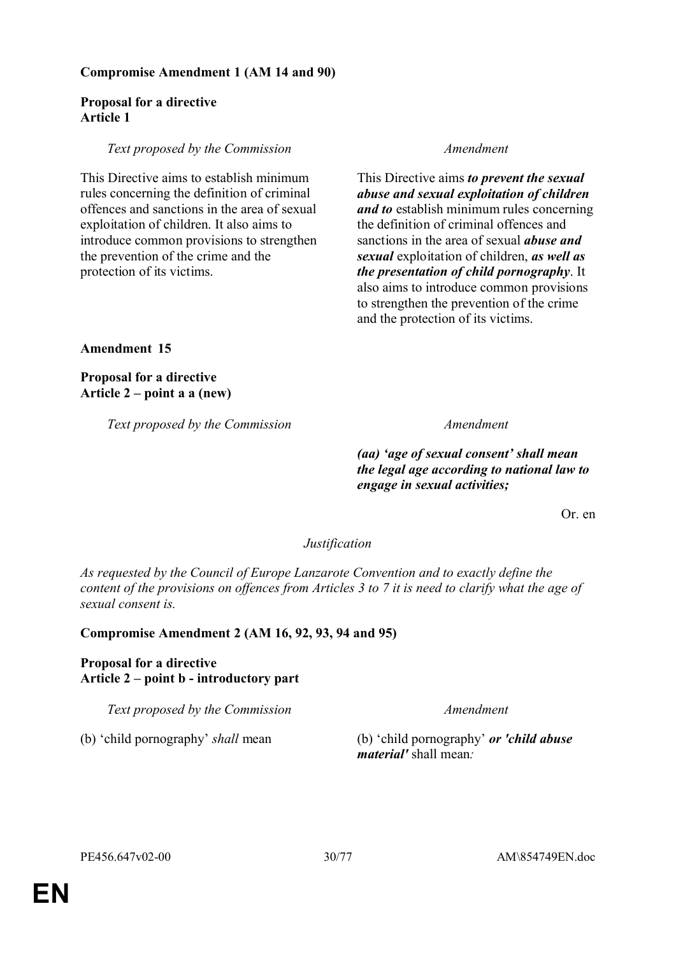# **Compromise Amendment 1 (AM 14 and 90)**

# **Proposal for a directive Article 1**

# *Text proposed by the Commission Amendment*

This Directive aims to establish minimum rules concerning the definition of criminal offences and sanctions in the area of sexual exploitation of children. It also aims to introduce common provisions to strengthen the prevention of the crime and the protection of its victims.

This Directive aims *to prevent the sexual abuse and sexual exploitation of children and to* establish minimum rules concerning the definition of criminal offences and sanctions in the area of sexual *abuse and sexual* exploitation of children, *as well as the presentation of child pornography*. It also aims to introduce common provisions to strengthen the prevention of the crime and the protection of its victims.

**Amendment 15**

**Proposal for a directive Article 2 – point a a (new)**

*Text proposed by the Commission Amendment*

*(aa) 'age of sexual consent' shall mean the legal age according to national law to engage in sexual activities;*

Or. en

# *Justification*

*As requested by the Council of Europe Lanzarote Convention and to exactly define the content of the provisions on offences from Articles 3 to 7 it is need to clarify what the age of sexual consent is.* 

# **Compromise Amendment 2 (AM 16, 92, 93, 94 and 95)**

# **Proposal for a directive Article 2 – point b - introductory part**

*Text proposed by the Commission Amendment*

(b) 'child pornography' *shall* mean (b) 'child pornography' *or 'child abuse* 

*material'* shall mean*:*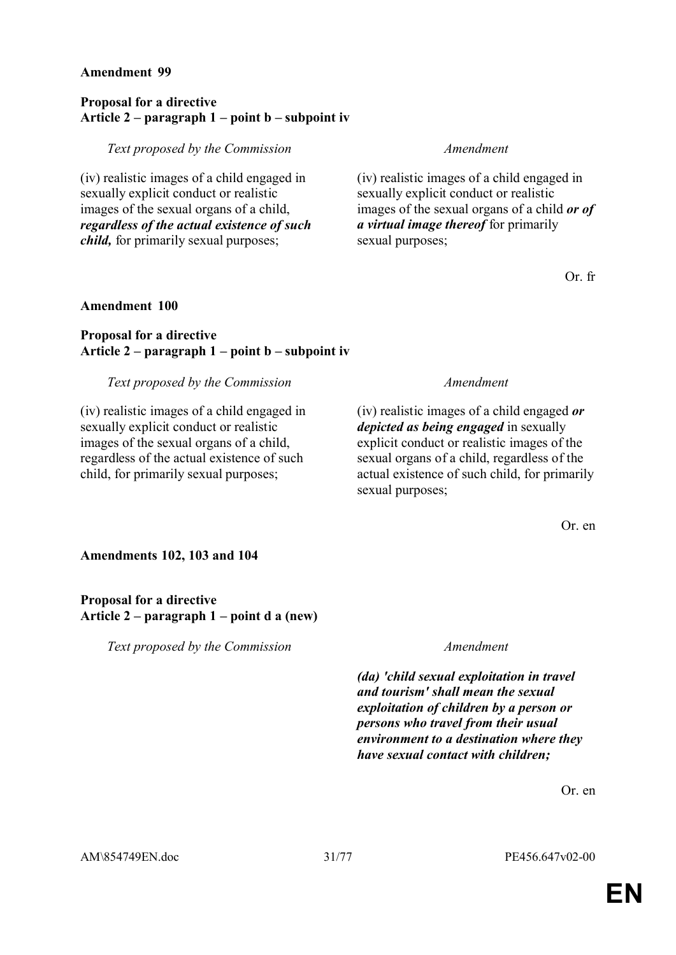### **Proposal for a directive Article 2 – paragraph 1 – point b – subpoint iv**

*Text proposed by the Commission Amendment*

(iv) realistic images of a child engaged in sexually explicit conduct or realistic images of the sexual organs of a child, *regardless of the actual existence of such child,* for primarily sexual purposes;

(iv) realistic images of a child engaged in sexually explicit conduct or realistic images of the sexual organs of a child *or of a virtual image thereof* for primarily sexual purposes;

Or. fr

# **Amendment 100**

# **Proposal for a directive Article 2 – paragraph 1 – point b – subpoint iv**

# *Text proposed by the Commission Amendment*

(iv) realistic images of a child engaged in sexually explicit conduct or realistic images of the sexual organs of a child, regardless of the actual existence of such child, for primarily sexual purposes;

(iv) realistic images of a child engaged *or depicted as being engaged* in sexually explicit conduct or realistic images of the sexual organs of a child, regardless of the actual existence of such child, for primarily sexual purposes;

Or. en

**Amendments 102, 103 and 104**

# **Proposal for a directive Article 2 – paragraph 1 – point d a (new)**

*Text proposed by the Commission Amendment*

*(da) 'child sexual exploitation in travel and tourism' shall mean the sexual exploitation of children by a person or persons who travel from their usual environment to a destination where they have sexual contact with children;*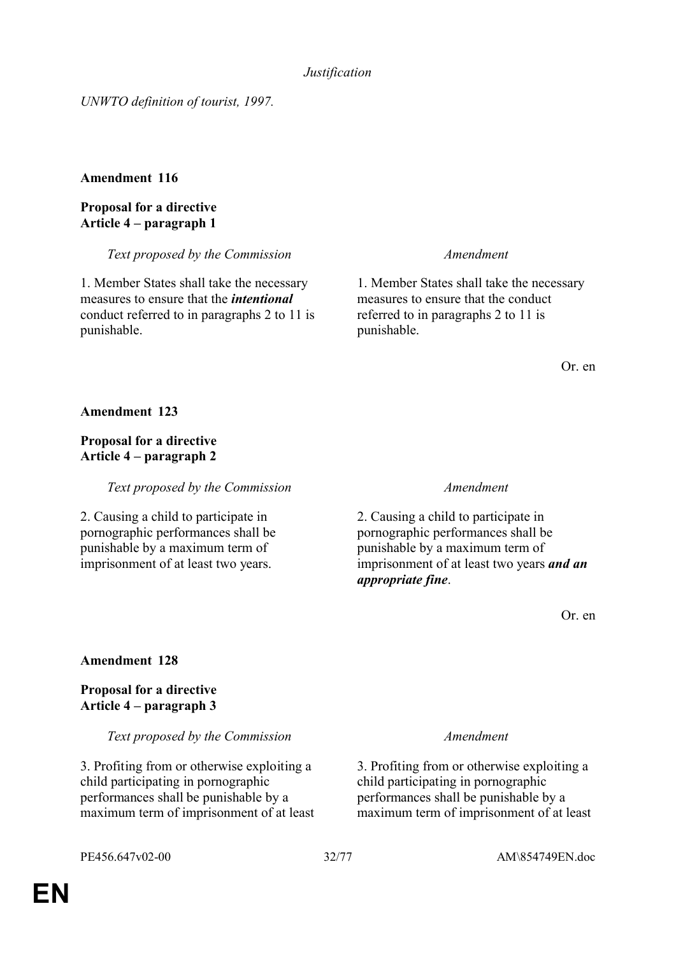*UNWTO definition of tourist, 1997.*

# **Amendment 116**

# **Proposal for a directive Article 4 – paragraph 1**

# *Text proposed by the Commission Amendment*

1. Member States shall take the necessary measures to ensure that the *intentional* conduct referred to in paragraphs 2 to 11 is punishable.

1. Member States shall take the necessary measures to ensure that the conduct referred to in paragraphs 2 to 11 is punishable.

Or. en

**Amendment 123**

# **Proposal for a directive Article 4 – paragraph 2**

*Text proposed by the Commission Amendment*

2. Causing a child to participate in pornographic performances shall be punishable by a maximum term of imprisonment of at least two years.

2. Causing a child to participate in pornographic performances shall be punishable by a maximum term of imprisonment of at least two years *and an appropriate fine*.

Or. en

# **Amendment 128**

**Proposal for a directive Article 4 – paragraph 3** 

# *Text proposed by the Commission Amendment*

3. Profiting from or otherwise exploiting a child participating in pornographic performances shall be punishable by a maximum term of imprisonment of at least

3. Profiting from or otherwise exploiting a child participating in pornographic performances shall be punishable by a maximum term of imprisonment of at least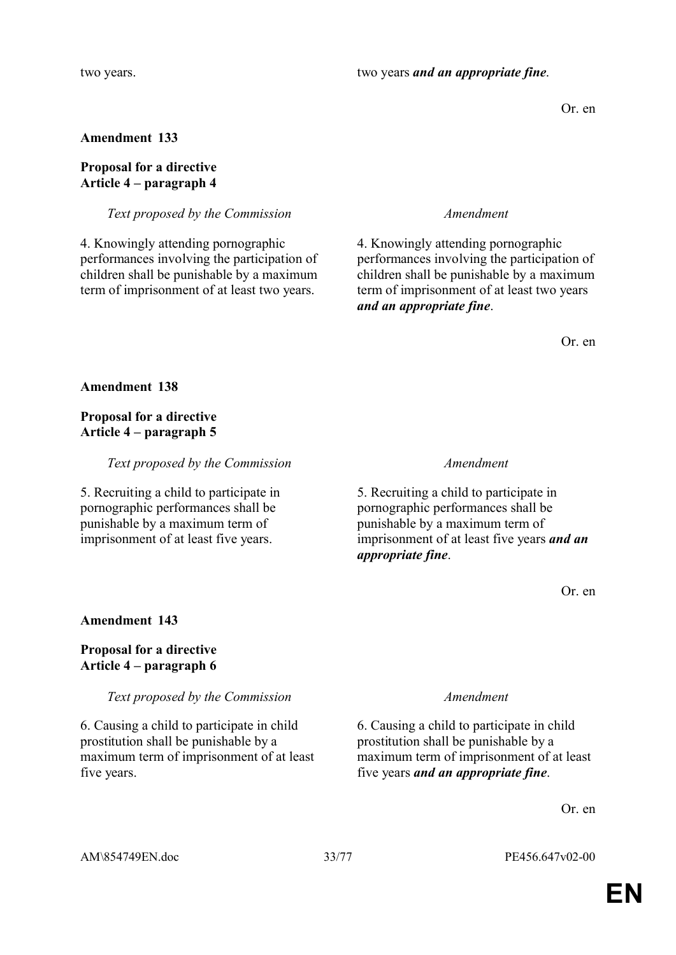Or. en

### **Amendment 133**

### **Proposal for a directive Article 4 – paragraph 4**

*Text proposed by the Commission Amendment*

4. Knowingly attending pornographic performances involving the participation of children shall be punishable by a maximum term of imprisonment of at least two years.

4. Knowingly attending pornographic performances involving the participation of children shall be punishable by a maximum term of imprisonment of at least two years *and an appropriate fine*.

Or. en

**Amendment 138**

# **Proposal for a directive Article 4 – paragraph 5**

*Text proposed by the Commission Amendment*

5. Recruiting a child to participate in pornographic performances shall be punishable by a maximum term of imprisonment of at least five years.

5. Recruiting a child to participate in pornographic performances shall be punishable by a maximum term of imprisonment of at least five years *and an appropriate fine*.

Or. en

# **Amendment 143**

# **Proposal for a directive Article 4 – paragraph 6**

*Text proposed by the Commission Amendment*

6. Causing a child to participate in child prostitution shall be punishable by a maximum term of imprisonment of at least five years.

6. Causing a child to participate in child prostitution shall be punishable by a maximum term of imprisonment of at least five years *and an appropriate fine*.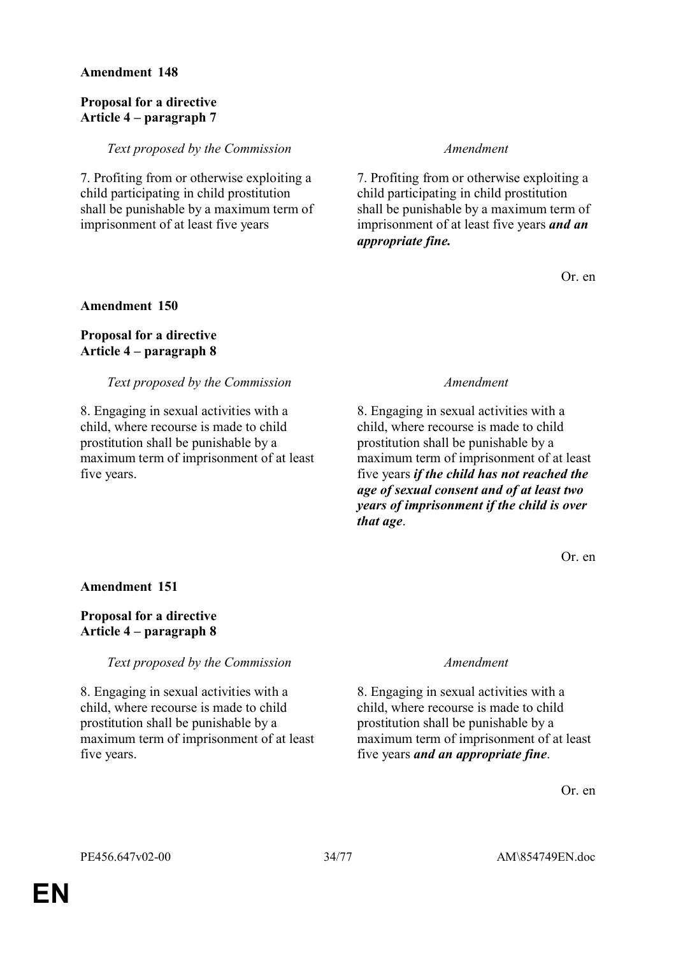# **Proposal for a directive Article 4 – paragraph 7**

# *Text proposed by the Commission Amendment*

7. Profiting from or otherwise exploiting a child participating in child prostitution shall be punishable by a maximum term of imprisonment of at least five years

7. Profiting from or otherwise exploiting a child participating in child prostitution shall be punishable by a maximum term of imprisonment of at least five years *and an appropriate fine.*

Or. en

# **Amendment 150**

# **Proposal for a directive Article 4 – paragraph 8**

# *Text proposed by the Commission Amendment*

8. Engaging in sexual activities with a child, where recourse is made to child prostitution shall be punishable by a maximum term of imprisonment of at least five years.

8. Engaging in sexual activities with a child, where recourse is made to child prostitution shall be punishable by a maximum term of imprisonment of at least five years *if the child has not reached the age of sexual consent and of at least two years of imprisonment if the child is over that age*.

Or. en

# **Amendment 151**

# **Proposal for a directive Article 4 – paragraph 8**

*Text proposed by the Commission Amendment*

8. Engaging in sexual activities with a child, where recourse is made to child prostitution shall be punishable by a maximum term of imprisonment of at least five years.

8. Engaging in sexual activities with a child, where recourse is made to child prostitution shall be punishable by a maximum term of imprisonment of at least five years *and an appropriate fine*.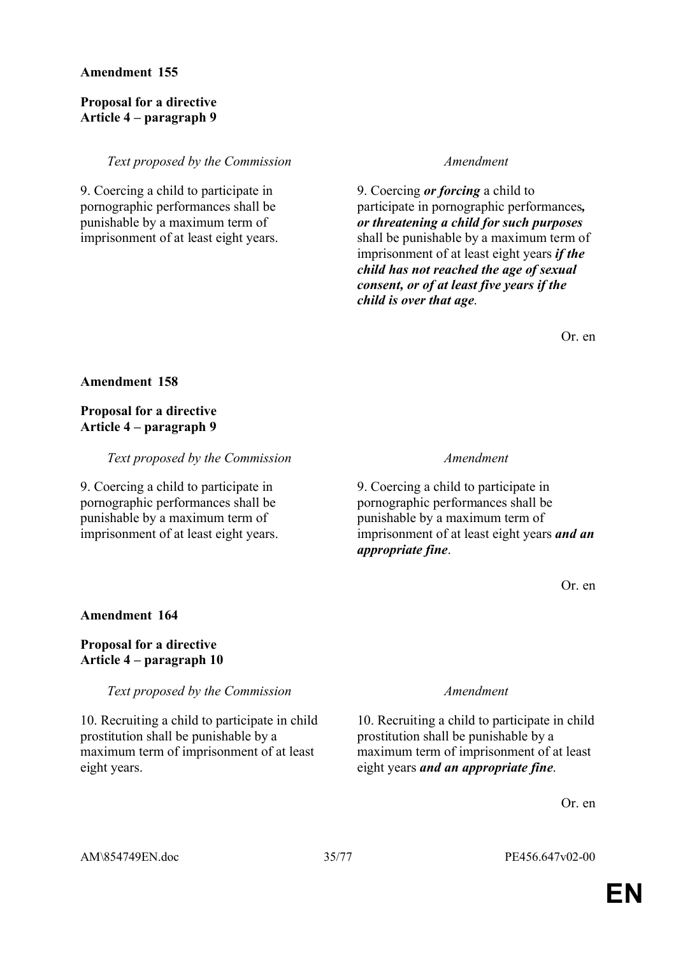# **Proposal for a directive Article 4 – paragraph 9**

# *Text proposed by the Commission Amendment*

9. Coercing a child to participate in pornographic performances shall be punishable by a maximum term of imprisonment of at least eight years.

9. Coercing *or forcing* a child to participate in pornographic performances*, or threatening a child for such purposes* shall be punishable by a maximum term of imprisonment of at least eight years *if the child has not reached the age of sexual consent, or of at least five years if the child is over that age*.

Or. en

# **Amendment 158**

# **Proposal for a directive Article 4 – paragraph 9**

# *Text proposed by the Commission Amendment*

9. Coercing a child to participate in pornographic performances shall be punishable by a maximum term of imprisonment of at least eight years.

9. Coercing a child to participate in pornographic performances shall be punishable by a maximum term of imprisonment of at least eight years *and an appropriate fine*.

Or. en

# **Amendment 164**

# **Proposal for a directive Article 4 – paragraph 10**

*Text proposed by the Commission Amendment*

10. Recruiting a child to participate in child prostitution shall be punishable by a maximum term of imprisonment of at least eight years.

10. Recruiting a child to participate in child prostitution shall be punishable by a maximum term of imprisonment of at least eight years *and an appropriate fine*.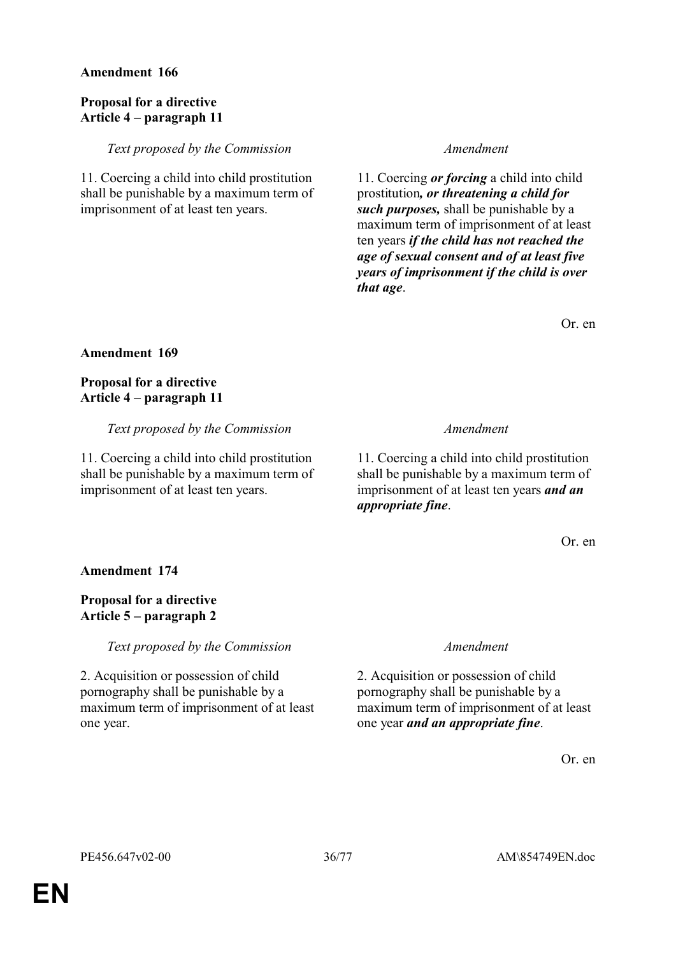# **Proposal for a directive Article 4 – paragraph 11**

# *Text proposed by the Commission Amendment*

11. Coercing a child into child prostitution shall be punishable by a maximum term of imprisonment of at least ten years.

11. Coercing *or forcing* a child into child prostitution*, or threatening a child for such purposes,* shall be punishable by a maximum term of imprisonment of at least ten years *if the child has not reached the age of sexual consent and of at least five years of imprisonment if the child is over that age*.

Or. en

# **Amendment 169**

# **Proposal for a directive Article 4 – paragraph 11**

*Text proposed by the Commission Amendment*

11. Coercing a child into child prostitution shall be punishable by a maximum term of imprisonment of at least ten years.

11. Coercing a child into child prostitution shall be punishable by a maximum term of imprisonment of at least ten years *and an appropriate fine*.

Or. en

# **Amendment 174**

# **Proposal for a directive Article 5 – paragraph 2**

*Text proposed by the Commission Amendment*

2. Acquisition or possession of child pornography shall be punishable by a maximum term of imprisonment of at least one year.

2. Acquisition or possession of child pornography shall be punishable by a maximum term of imprisonment of at least one year *and an appropriate fine*.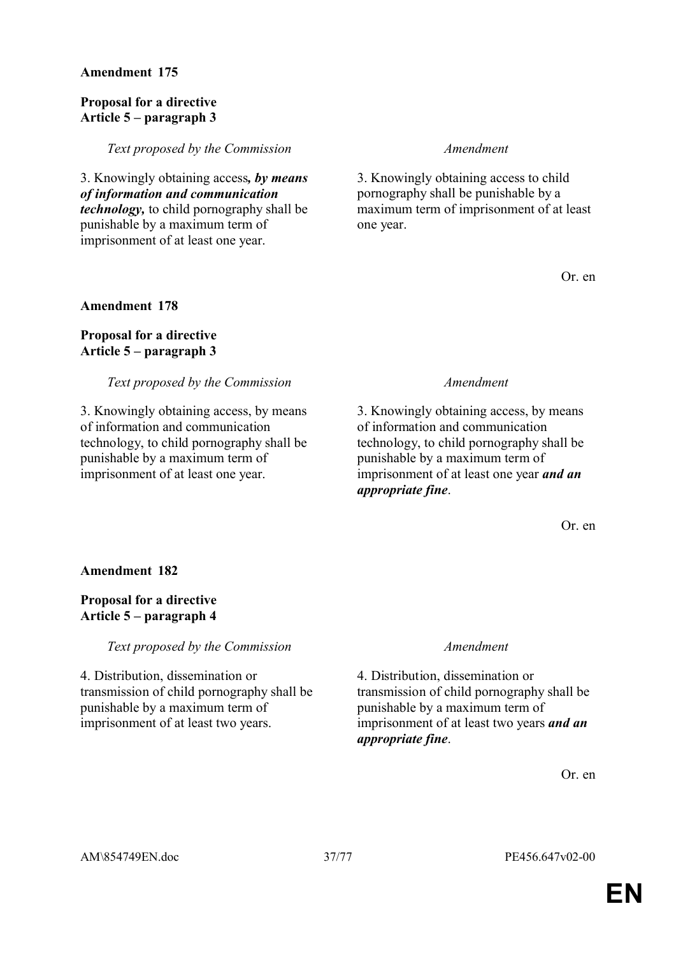# **Amendment 175**

## **Proposal for a directive Article 5 – paragraph 3**

*Text proposed by the Commission Amendment*

3. Knowingly obtaining access*, by means of information and communication technology,* to child pornography shall be punishable by a maximum term of imprisonment of at least one year.

3. Knowingly obtaining access to child pornography shall be punishable by a maximum term of imprisonment of at least one year.

Or. en

# **Amendment 178**

# **Proposal for a directive Article 5 – paragraph 3**

# *Text proposed by the Commission Amendment*

3. Knowingly obtaining access, by means of information and communication technology, to child pornography shall be punishable by a maximum term of imprisonment of at least one year.

3. Knowingly obtaining access, by means of information and communication technology, to child pornography shall be punishable by a maximum term of imprisonment of at least one year *and an appropriate fine*.

Or. en

## **Amendment 182**

# **Proposal for a directive Article 5 – paragraph 4**

*Text proposed by the Commission Amendment*

4. Distribution, dissemination or transmission of child pornography shall be punishable by a maximum term of imprisonment of at least two years.

4. Distribution, dissemination or transmission of child pornography shall be punishable by a maximum term of imprisonment of at least two years *and an appropriate fine*.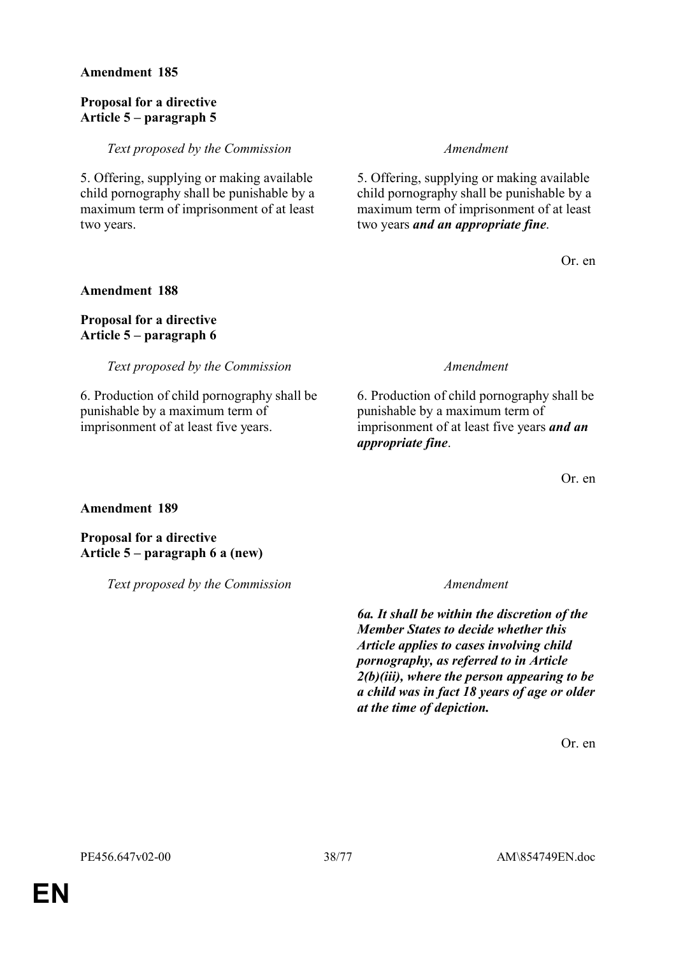# **Amendment 185**

## **Proposal for a directive Article 5 – paragraph 5**

# *Text proposed by the Commission Amendment*

5. Offering, supplying or making available child pornography shall be punishable by a maximum term of imprisonment of at least two years.

5. Offering, supplying or making available child pornography shall be punishable by a maximum term of imprisonment of at least two years *and an appropriate fine*.

Or. en

# **Amendment 188**

# **Proposal for a directive Article 5 – paragraph 6**

*Text proposed by the Commission Amendment*

6. Production of child pornography shall be punishable by a maximum term of imprisonment of at least five years.

6. Production of child pornography shall be punishable by a maximum term of imprisonment of at least five years *and an appropriate fine*.

Or. en

# **Amendment 189**

**Proposal for a directive Article 5 – paragraph 6 a (new)** 

*Text proposed by the Commission Amendment*

*6a. It shall be within the discretion of the Member States to decide whether this Article applies to cases involving child pornography, as referred to in Article 2(b)(iii), where the person appearing to be a child was in fact 18 years of age or older at the time of depiction.*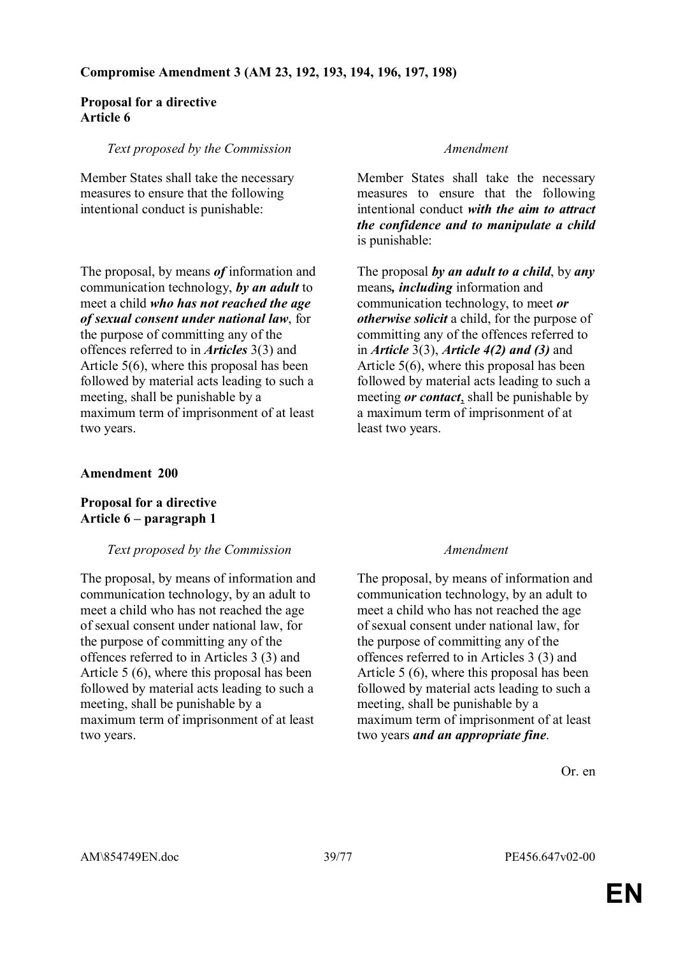# **Proposal for a directive Article 6**

# *Text proposed by the Commission Amendment*

Member States shall take the necessary measures to ensure that the following intentional conduct is punishable:

The proposal, by means *of* information and communication technology, *by an adult* to meet a child *who has not reached the age of sexual consent under national law*, for the purpose of committing any of the offences referred to in *Articles* 3(3) and Article 5(6), where this proposal has been followed by material acts leading to such a meeting, shall be punishable by a maximum term of imprisonment of at least two years.

# **Amendment 200**

# **Proposal for a directive Article 6 – paragraph 1**

# *Text proposed by the Commission Amendment*

The proposal, by means of information and communication technology, by an adult to meet a child who has not reached the age of sexual consent under national law, for the purpose of committing any of the offences referred to in Articles 3 (3) and Article 5 (6), where this proposal has been followed by material acts leading to such a meeting, shall be punishable by a maximum term of imprisonment of at least two years.

Member States shall take the necessary measures to ensure that the following intentional conduct *with the aim to attract the confidence and to manipulate a child*  is punishable:

The proposal *by an adult to a child*, by *any*  means*, including* information and communication technology, to meet *or otherwise solicit* a child, for the purpose of committing any of the offences referred to in *Article* 3(3), *Article 4(2) and (3)* and Article 5(6), where this proposal has been followed by material acts leading to such a meeting *or contact*, shall be punishable by a maximum term of imprisonment of at least two years.

The proposal, by means of information and communication technology, by an adult to meet a child who has not reached the age of sexual consent under national law, for the purpose of committing any of the offences referred to in Articles 3 (3) and Article 5 (6), where this proposal has been followed by material acts leading to such a meeting, shall be punishable by a maximum term of imprisonment of at least two years *and an appropriate fine*.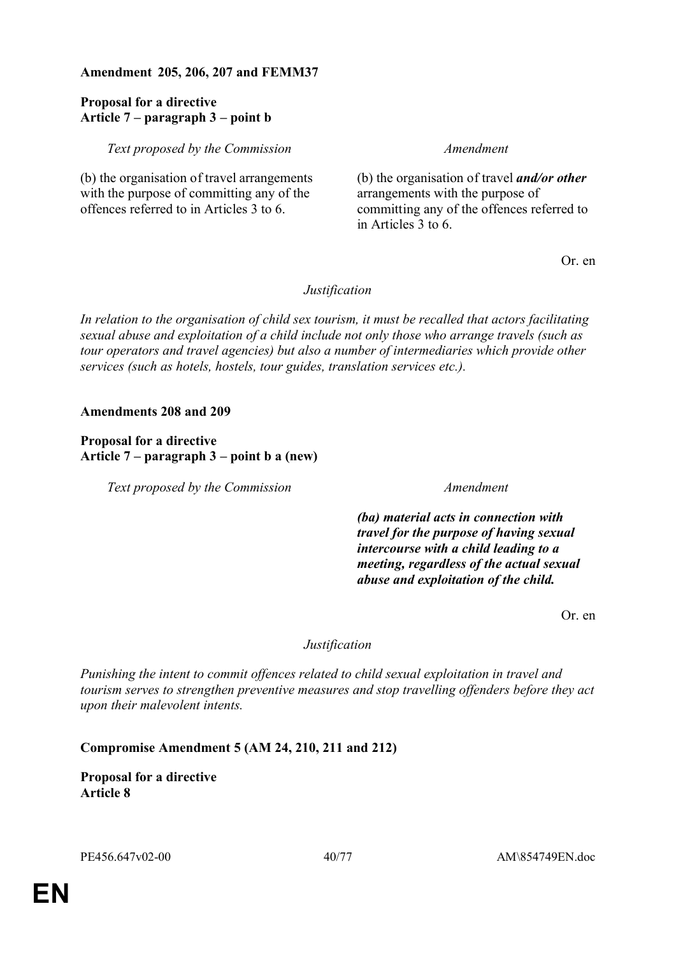# **Amendment 205, 206, 207 and FEMM37**

# **Proposal for a directive Article 7 – paragraph 3 – point b**

*Text proposed by the Commission Amendment*

(b) the organisation of travel arrangements with the purpose of committing any of the offences referred to in Articles 3 to 6.

(b) the organisation of travel *and/or other* arrangements with the purpose of committing any of the offences referred to in Articles 3 to 6.

Or. en

# *Justification*

*In relation to the organisation of child sex tourism, it must be recalled that actors facilitating sexual abuse and exploitation of a child include not only those who arrange travels (such as tour operators and travel agencies) but also a number of intermediaries which provide other services (such as hotels, hostels, tour guides, translation services etc.).*

# **Amendments 208 and 209**

**Proposal for a directive Article 7 – paragraph 3 – point b a (new)** 

*Text proposed by the Commission Amendment*

*(ba) material acts in connection with travel for the purpose of having sexual intercourse with a child leading to a meeting, regardless of the actual sexual abuse and exploitation of the child.*

Or. en

# *Justification*

*Punishing the intent to commit offences related to child sexual exploitation in travel and tourism serves to strengthen preventive measures and stop travelling offenders before they act upon their malevolent intents.*

# **Compromise Amendment 5 (AM 24, 210, 211 and 212)**

**Proposal for a directive Article 8**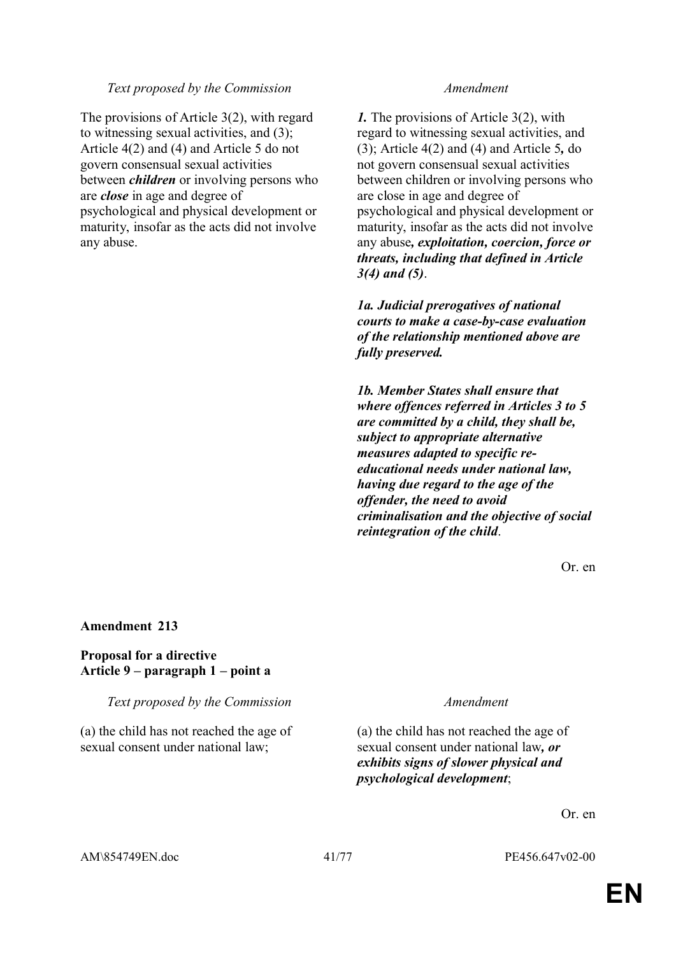The provisions of Article 3(2), with regard to witnessing sexual activities, and (3); Article 4(2) and (4) and Article 5 do not govern consensual sexual activities between *children* or involving persons who are *close* in age and degree of psychological and physical development or maturity, insofar as the acts did not involve any abuse.

*1.* The provisions of Article 3(2), with regard to witnessing sexual activities, and (3); Article 4(2) and (4) and Article 5*,* do not govern consensual sexual activities between children or involving persons who are close in age and degree of psychological and physical development or maturity, insofar as the acts did not involve any abuse*, exploitation, coercion, force or threats, including that defined in Article 3(4) and (5)*.

*1a. Judicial prerogatives of national courts to make a case-by-case evaluation of the relationship mentioned above are fully preserved.*

*1b. Member States shall ensure that where offences referred in Articles 3 to 5 are committed by a child, they shall be, subject to appropriate alternative measures adapted to specific reeducational needs under national law, having due regard to the age of the offender, the need to avoid criminalisation and the objective of social reintegration of the child*.

Or. en

## **Amendment 213**

## **Proposal for a directive Article 9 – paragraph 1 – point a**

*Text proposed by the Commission Amendment*

(a) the child has not reached the age of sexual consent under national law;

(a) the child has not reached the age of sexual consent under national law*, or exhibits signs of slower physical and psychological development*;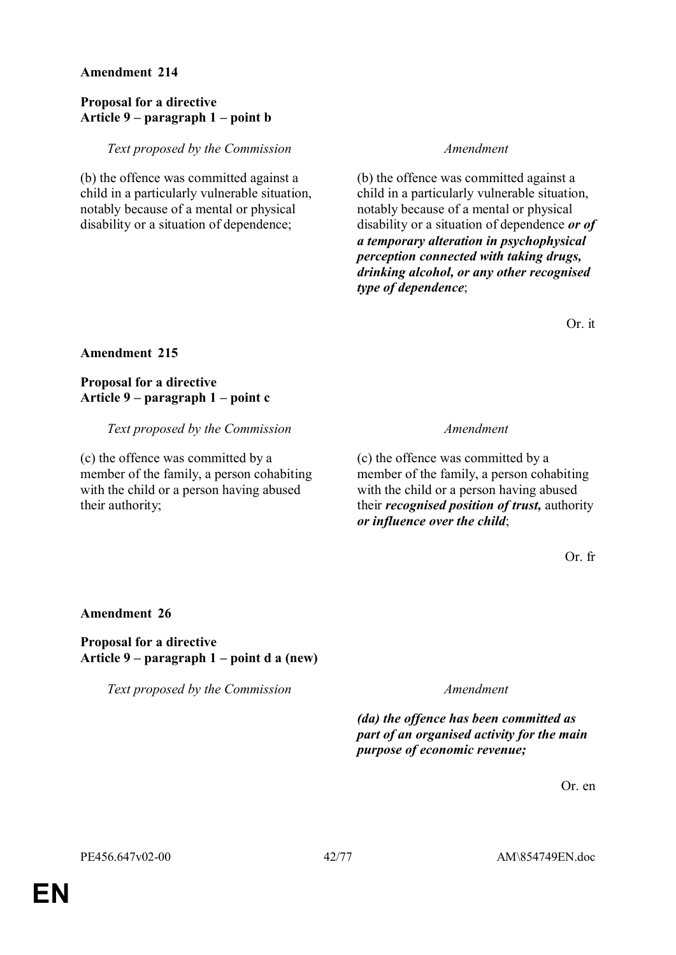# **Amendment 214**

# **Proposal for a directive Article 9 – paragraph 1 – point b**

*Text proposed by the Commission Amendment*

(b) the offence was committed against a child in a particularly vulnerable situation, notably because of a mental or physical disability or a situation of dependence;

(b) the offence was committed against a child in a particularly vulnerable situation, notably because of a mental or physical disability or a situation of dependence *or of a temporary alteration in psychophysical perception connected with taking drugs, drinking alcohol, or any other recognised type of dependence*;

Or. it

# **Amendment 215**

**Proposal for a directive Article 9 – paragraph 1 – point c** 

*Text proposed by the Commission Amendment*

(c) the offence was committed by a member of the family, a person cohabiting with the child or a person having abused their authority;

(c) the offence was committed by a member of the family, a person cohabiting with the child or a person having abused their *recognised position of trust,* authority *or influence over the child*;

Or. fr

# **Amendment 26**

**Proposal for a directive Article 9 – paragraph 1 – point d a (new)**

*Text proposed by the Commission Amendment*

*(da) the offence has been committed as part of an organised activity for the main purpose of economic revenue;*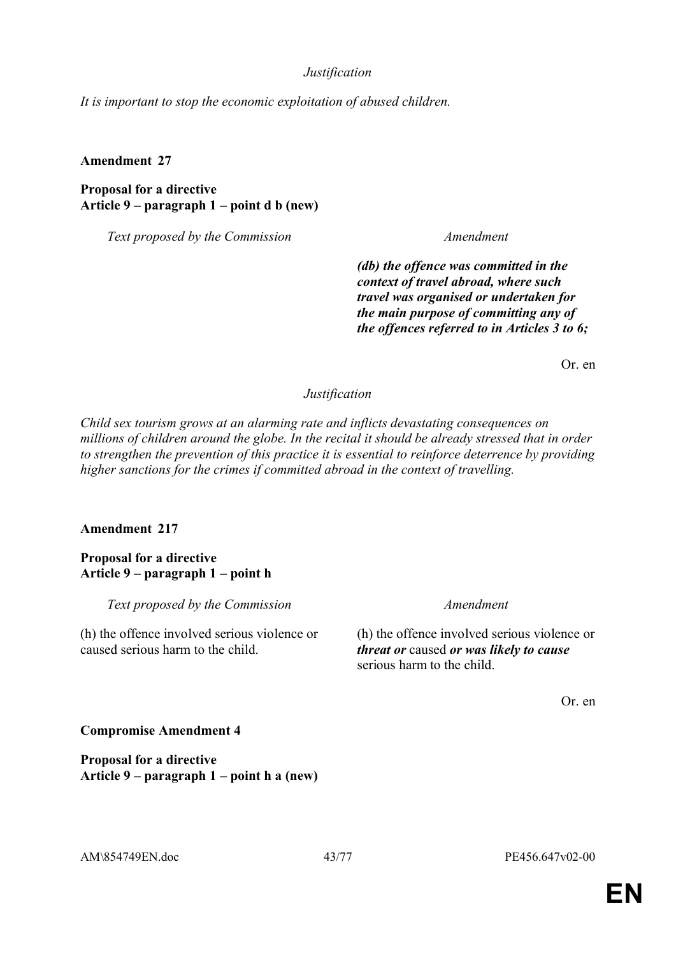*Justification*

*It is important to stop the economic exploitation of abused children.* 

**Amendment 27**

**Proposal for a directive Article 9 – paragraph 1 – point d b (new)**

*Text proposed by the Commission Amendment*

*(db) the offence was committed in the context of travel abroad, where such travel was organised or undertaken for the main purpose of committing any of the offences referred to in Articles 3 to 6;*

Or. en

## *Justification*

*Child sex tourism grows at an alarming rate and inflicts devastating consequences on millions of children around the globe. In the recital it should be already stressed that in order to strengthen the prevention of this practice it is essential to reinforce deterrence by providing higher sanctions for the crimes if committed abroad in the context of travelling.*

## **Amendment 217**

**Proposal for a directive Article 9 – paragraph 1 – point h** 

*Text proposed by the Commission Amendment*

(h) the offence involved serious violence or caused serious harm to the child.

(h) the offence involved serious violence or *threat or* caused *or was likely to cause* serious harm to the child.

Or. en

## **Compromise Amendment 4**

**Proposal for a directive Article 9 – paragraph 1 – point h a (new)**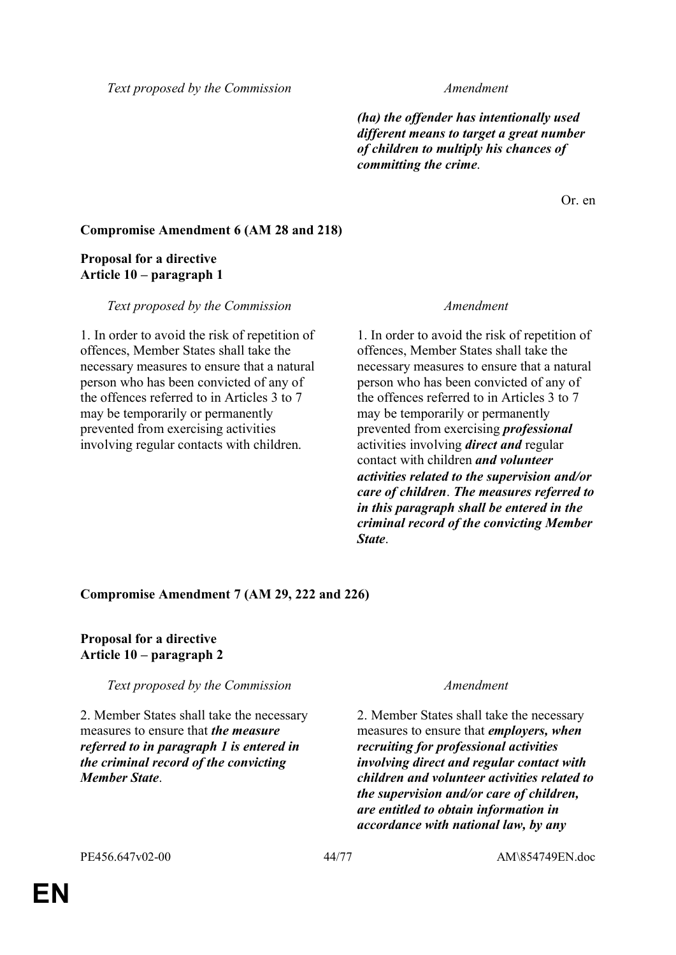*(ha) the offender has intentionally used different means to target a great number of children to multiply his chances of committing the crime*.

Or. en

# **Compromise Amendment 6 (AM 28 and 218)**

# **Proposal for a directive Article 10 – paragraph 1**

## *Text proposed by the Commission Amendment*

1. In order to avoid the risk of repetition of offences, Member States shall take the necessary measures to ensure that a natural person who has been convicted of any of the offences referred to in Articles 3 to 7 may be temporarily or permanently prevented from exercising activities involving regular contacts with children.

1. In order to avoid the risk of repetition of offences, Member States shall take the necessary measures to ensure that a natural person who has been convicted of any of the offences referred to in Articles 3 to 7 may be temporarily or permanently prevented from exercising *professional*  activities involving *direct and* regular contact with children *and volunteer activities related to the supervision and/or care of children*. *The measures referred to in this paragraph shall be entered in the criminal record of the convicting Member State*.

## **Compromise Amendment 7 (AM 29, 222 and 226)**

## **Proposal for a directive Article 10 – paragraph 2**

### *Text proposed by the Commission Amendment*

2. Member States shall take the necessary measures to ensure that *the measure referred to in paragraph 1 is entered in the criminal record of the convicting Member State*.

2. Member States shall take the necessary measures to ensure that *employers, when recruiting for professional activities involving direct and regular contact with children and volunteer activities related to the supervision and/or care of children, are entitled to obtain information in accordance with national law, by any*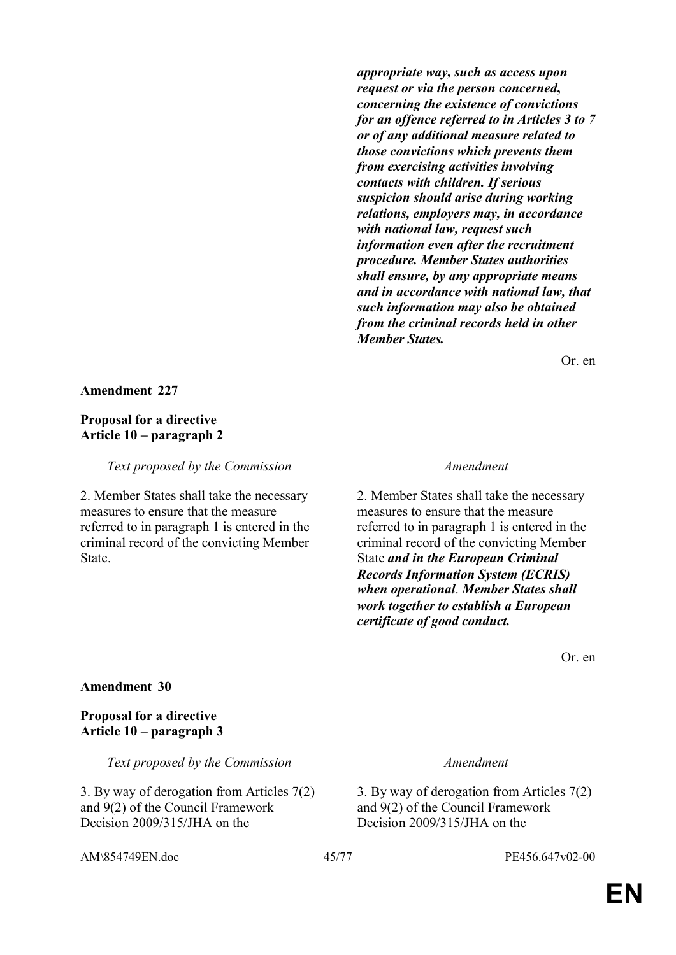*appropriate way, such as access upon request or via the person concerned***,**  *concerning the existence of convictions for an offence referred to in Articles 3 to 7 or of any additional measure related to those convictions which prevents them from exercising activities involving contacts with children. If serious suspicion should arise during working relations, employers may, in accordance with national law, request such information even after the recruitment procedure. Member States authorities shall ensure, by any appropriate means and in accordance with national law, that such information may also be obtained from the criminal records held in other Member States.*

Or. en

### **Amendment 227**

## **Proposal for a directive Article 10 – paragraph 2**

*Text proposed by the Commission Amendment*

2. Member States shall take the necessary measures to ensure that the measure referred to in paragraph 1 is entered in the criminal record of the convicting Member State.

2. Member States shall take the necessary measures to ensure that the measure referred to in paragraph 1 is entered in the criminal record of the convicting Member State *and in the European Criminal Records Information System (ECRIS) when operational*. *Member States shall work together to establish a European certificate of good conduct.*

Or. en

### **Amendment 30**

## **Proposal for a directive Article 10 – paragraph 3**

*Text proposed by the Commission Amendment*

3. By way of derogation from Articles 7(2) and 9(2) of the Council Framework Decision 2009/315/JHA on the

AM\854749EN.doc 45/77 PE456.647v02-00

3. By way of derogation from Articles 7(2) and 9(2) of the Council Framework Decision 2009/315/JHA on the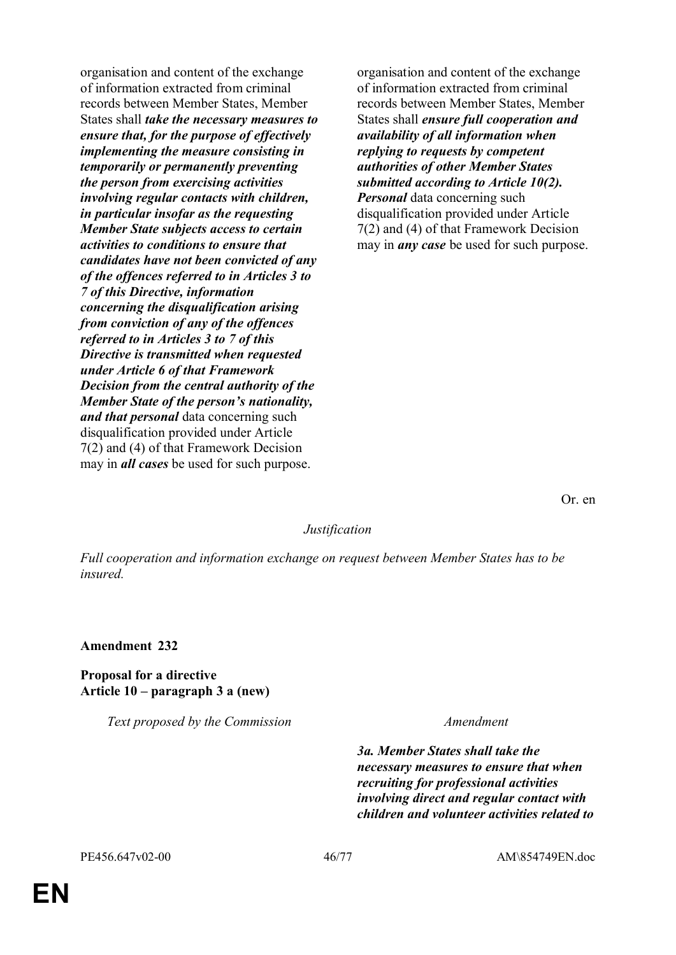organisation and content of the exchange of information extracted from criminal records between Member States, Member States shall *take the necessary measures to ensure that, for the purpose of effectively implementing the measure consisting in temporarily or permanently preventing the person from exercising activities involving regular contacts with children, in particular insofar as the requesting Member State subjects access to certain activities to conditions to ensure that candidates have not been convicted of any of the offences referred to in Articles 3 to 7 of this Directive, information concerning the disqualification arising from conviction of any of the offences referred to in Articles 3 to 7 of this Directive is transmitted when requested under Article 6 of that Framework Decision from the central authority of the Member State of the person's nationality, and that personal* data concerning such disqualification provided under Article 7(2) and (4) of that Framework Decision may in *all cases* be used for such purpose.

organisation and content of the exchange of information extracted from criminal records between Member States, Member States shall *ensure full cooperation and availability of all information when replying to requests by competent authorities of other Member States submitted according to Article 10(2). Personal* data concerning such disqualification provided under Article 7(2) and (4) of that Framework Decision may in *any case* be used for such purpose.

Or. en

## *Justification*

*Full cooperation and information exchange on request between Member States has to be insured.*

**Amendment 232**

**Proposal for a directive Article 10 – paragraph 3 a (new)** 

*Text proposed by the Commission Amendment*

*3a. Member States shall take the necessary measures to ensure that when recruiting for professional activities involving direct and regular contact with children and volunteer activities related to*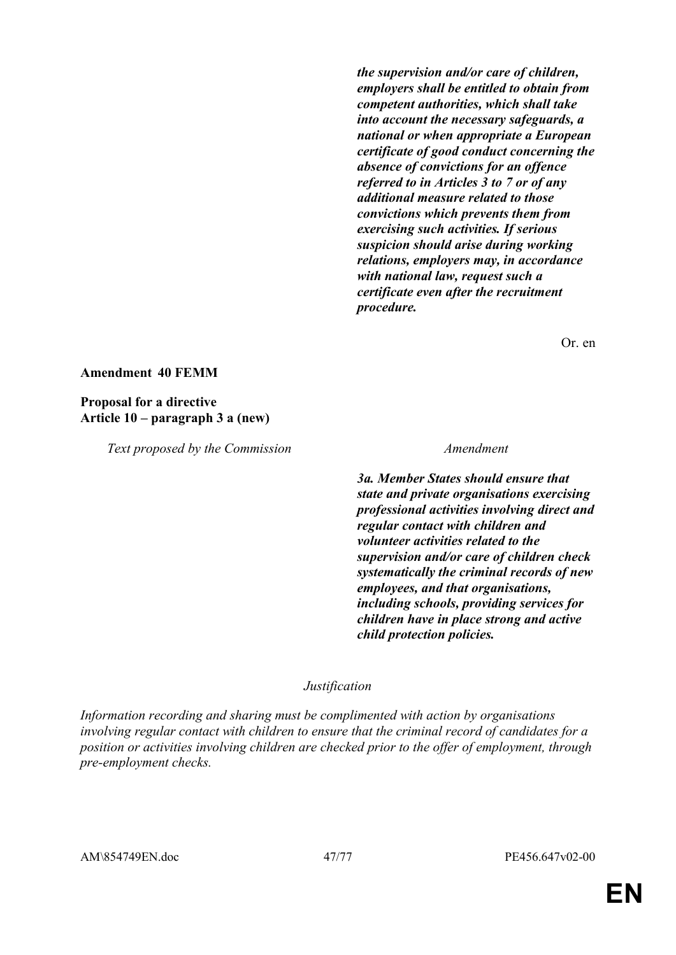*the supervision and/or care of children, employers shall be entitled to obtain from competent authorities, which shall take into account the necessary safeguards, a national or when appropriate a European certificate of good conduct concerning the absence of convictions for an offence referred to in Articles 3 to 7 or of any additional measure related to those convictions which prevents them from exercising such activities. If serious suspicion should arise during working relations, employers may, in accordance with national law, request such a certificate even after the recruitment procedure.*

Or. en

## **Amendment 40 FEMM**

**Proposal for a directive Article 10 – paragraph 3 a (new)** 

*Text proposed by the Commission Amendment*

*3a. Member States should ensure that state and private organisations exercising professional activities involving direct and regular contact with children and volunteer activities related to the supervision and/or care of children check systematically the criminal records of new employees, and that organisations, including schools, providing services for children have in place strong and active child protection policies.*

## *Justification*

*Information recording and sharing must be complimented with action by organisations involving regular contact with children to ensure that the criminal record of candidates for a position or activities involving children are checked prior to the offer of employment, through pre-employment checks.*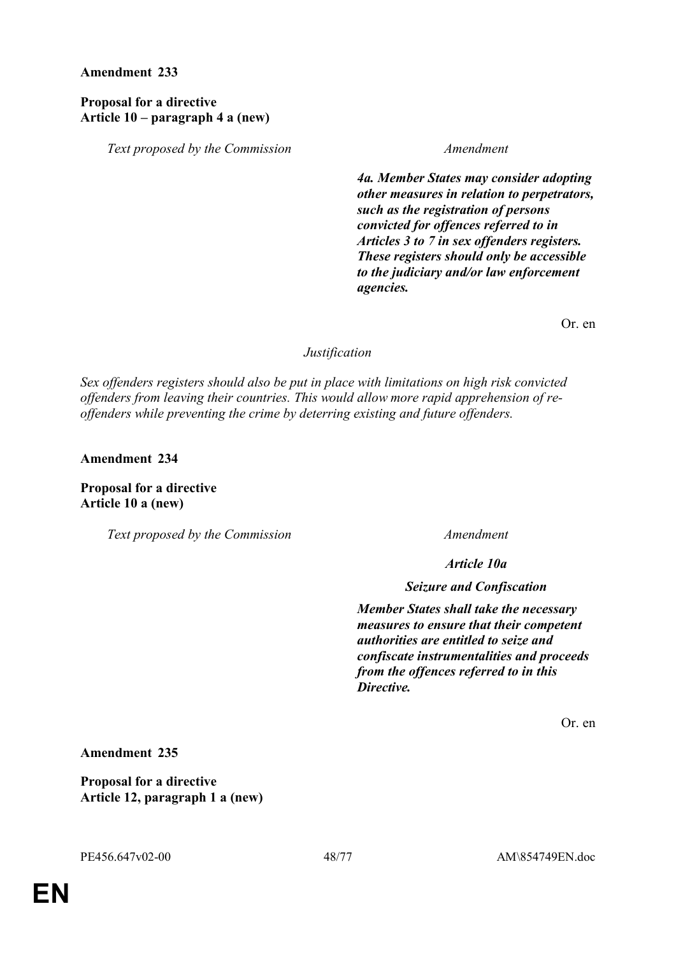## **Amendment 233**

# **Proposal for a directive Article 10 – paragraph 4 a (new)**

*Text proposed by the Commission Amendment*

*4a. Member States may consider adopting other measures in relation to perpetrators, such as the registration of persons convicted for offences referred to in Articles 3 to 7 in sex offenders registers. These registers should only be accessible to the judiciary and/or law enforcement agencies.*

Or. en

## *Justification*

*Sex offenders registers should also be put in place with limitations on high risk convicted offenders from leaving their countries. This would allow more rapid apprehension of reoffenders while preventing the crime by deterring existing and future offenders.*

**Amendment 234**

**Proposal for a directive Article 10 a (new)** 

*Text proposed by the Commission Amendment*

*Article 10a*

*Seizure and Confiscation*

*Member States shall take the necessary measures to ensure that their competent authorities are entitled to seize and confiscate instrumentalities and proceeds from the offences referred to in this Directive.*

Or. en

**Amendment 235**

**Proposal for a directive Article 12, paragraph 1 a (new)**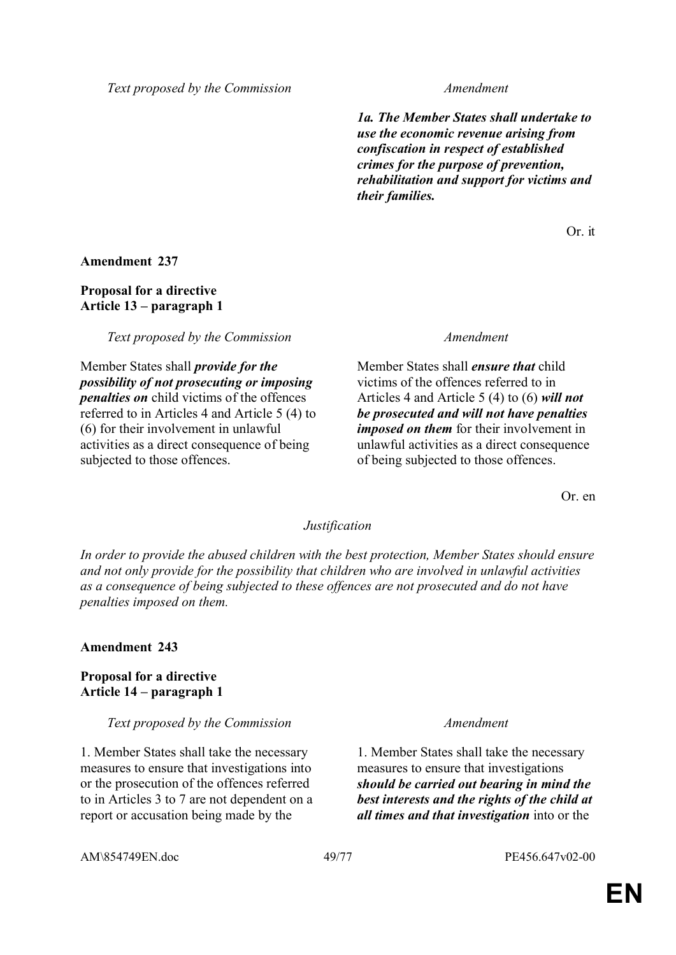*1a. The Member States shall undertake to use the economic revenue arising from confiscation in respect of established crimes for the purpose of prevention, rehabilitation and support for victims and their families.*

Or. it

**Amendment 237**

# **Proposal for a directive Article 13 – paragraph 1**

*Text proposed by the Commission Amendment*

Member States shall *provide for the possibility of not prosecuting or imposing penalties on* child victims of the offences referred to in Articles 4 and Article 5 (4) to (6) for their involvement in unlawful activities as a direct consequence of being subjected to those offences.

Member States shall *ensure that* child victims of the offences referred to in Articles 4 and Article 5 (4) to (6) *will not be prosecuted and will not have penalties imposed on them* for their involvement in unlawful activities as a direct consequence of being subjected to those offences.

Or. en

## *Justification*

*In order to provide the abused children with the best protection, Member States should ensure and not only provide for the possibility that children who are involved in unlawful activities as a consequence of being subjected to these offences are not prosecuted and do not have penalties imposed on them.*

## **Amendment 243**

# **Proposal for a directive Article 14 – paragraph 1**

## *Text proposed by the Commission Amendment*

1. Member States shall take the necessary measures to ensure that investigations into or the prosecution of the offences referred to in Articles 3 to 7 are not dependent on a report or accusation being made by the

1. Member States shall take the necessary measures to ensure that investigations *should be carried out bearing in mind the best interests and the rights of the child at all times and that investigation* into or the

AM\854749EN.doc 49/77 PE456.647v02-00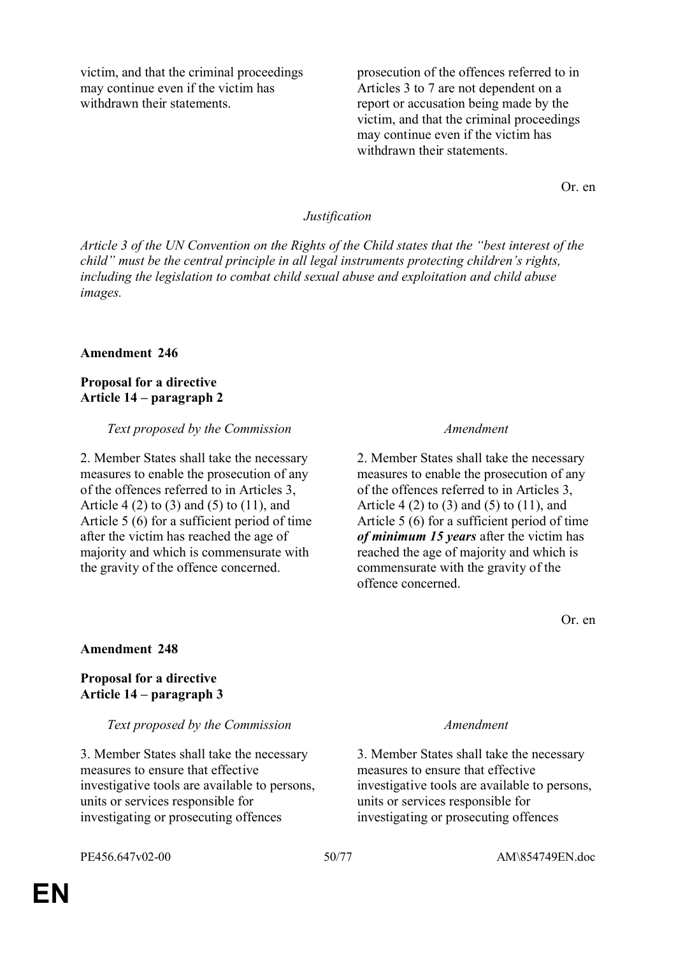victim, and that the criminal proceedings may continue even if the victim has withdrawn their statements.

prosecution of the offences referred to in Articles 3 to 7 are not dependent on a report or accusation being made by the victim, and that the criminal proceedings may continue even if the victim has withdrawn their statements.

Or. en

### *Justification*

*Article 3 of the UN Convention on the Rights of the Child states that the "best interest of the child" must be the central principle in all legal instruments protecting children's rights, including the legislation to combat child sexual abuse and exploitation and child abuse images.*

### **Amendment 246**

## **Proposal for a directive Article 14 – paragraph 2**

### *Text proposed by the Commission Amendment*

2. Member States shall take the necessary measures to enable the prosecution of any of the offences referred to in Articles 3, Article 4 (2) to (3) and (5) to (11), and Article 5 (6) for a sufficient period of time after the victim has reached the age of majority and which is commensurate with the gravity of the offence concerned.

2. Member States shall take the necessary measures to enable the prosecution of any of the offences referred to in Articles 3, Article 4 (2) to (3) and (5) to (11), and Article 5 (6) for a sufficient period of time *of minimum 15 years* after the victim has reached the age of majority and which is commensurate with the gravity of the offence concerned.

Or. en

### **Amendment 248**

**Proposal for a directive Article 14 – paragraph 3** 

### *Text proposed by the Commission Amendment*

3. Member States shall take the necessary measures to ensure that effective investigative tools are available to persons, units or services responsible for investigating or prosecuting offences

3. Member States shall take the necessary measures to ensure that effective investigative tools are available to persons, units or services responsible for investigating or prosecuting offences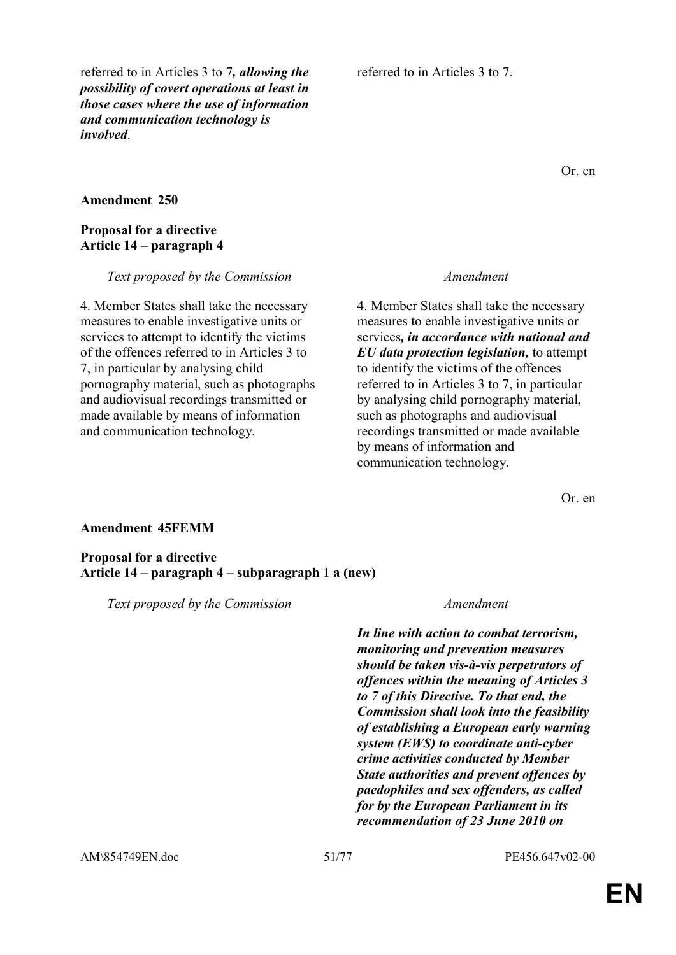referred to in Articles 3 to 7*, allowing the possibility of covert operations at least in those cases where the use of information and communication technology is involved*.

Or. en

## **Amendment 250**

### **Proposal for a directive Article 14 – paragraph 4**

*Text proposed by the Commission Amendment*

4. Member States shall take the necessary measures to enable investigative units or services to attempt to identify the victims of the offences referred to in Articles 3 to 7, in particular by analysing child pornography material, such as photographs and audiovisual recordings transmitted or made available by means of information and communication technology.

4. Member States shall take the necessary measures to enable investigative units or services*, in accordance with national and EU data protection legislation,* to attempt to identify the victims of the offences referred to in Articles 3 to 7, in particular by analysing child pornography material, such as photographs and audiovisual recordings transmitted or made available by means of information and communication technology.

Or. en

### **Amendment 45FEMM**

## **Proposal for a directive Article 14 – paragraph 4 – subparagraph 1 a (new)**

*Text proposed by the Commission Amendment*

*In line with action to combat terrorism, monitoring and prevention measures should be taken vis-à-vis perpetrators of offences within the meaning of Articles 3 to 7 of this Directive. To that end, the Commission shall look into the feasibility of establishing a European early warning system (EWS) to coordinate anti-cyber crime activities conducted by Member State authorities and prevent offences by paedophiles and sex offenders, as called for by the European Parliament in its recommendation of 23 June 2010 on*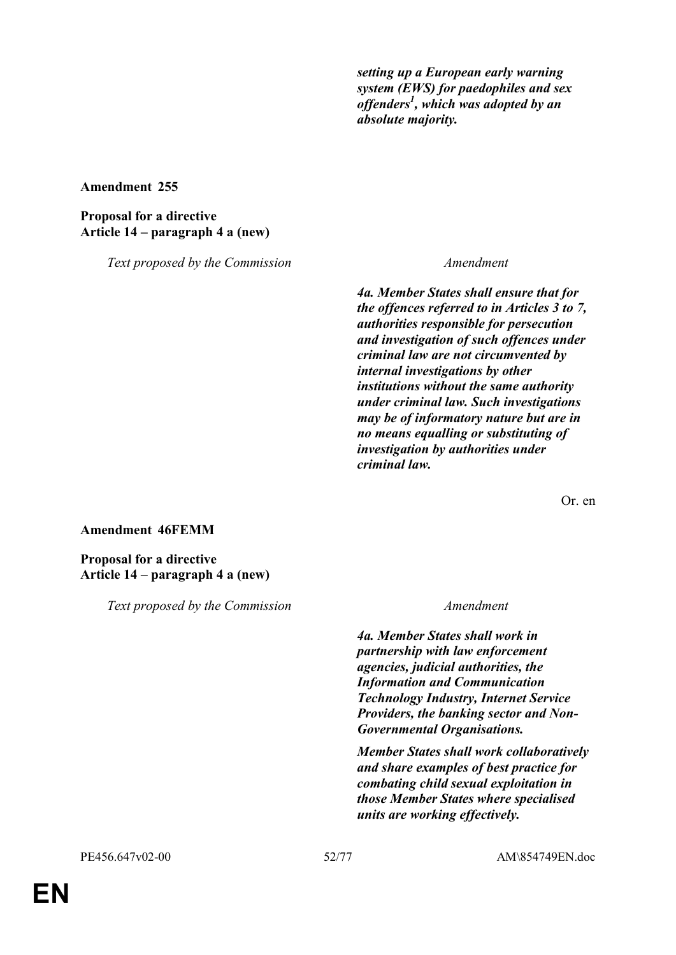*setting up a European early warning system (EWS) for paedophiles and sex offenders<sup>1</sup> , which was adopted by an absolute majority.*

## **Amendment 255**

## **Proposal for a directive Article 14 – paragraph 4 a (new)**

*Text proposed by the Commission Amendment*

*4a. Member States shall ensure that for the offences referred to in Articles 3 to 7, authorities responsible for persecution and investigation of such offences under criminal law are not circumvented by internal investigations by other institutions without the same authority under criminal law. Such investigations may be of informatory nature but are in no means equalling or substituting of investigation by authorities under criminal law.*

Or. en

## **Amendment 46FEMM**

## **Proposal for a directive Article 14 – paragraph 4 a (new)**

*Text proposed by the Commission Amendment*

*4a. Member States shall work in partnership with law enforcement agencies, judicial authorities, the Information and Communication Technology Industry, Internet Service Providers, the banking sector and Non-Governmental Organisations.*

*Member States shall work collaboratively and share examples of best practice for combating child sexual exploitation in those Member States where specialised units are working effectively.*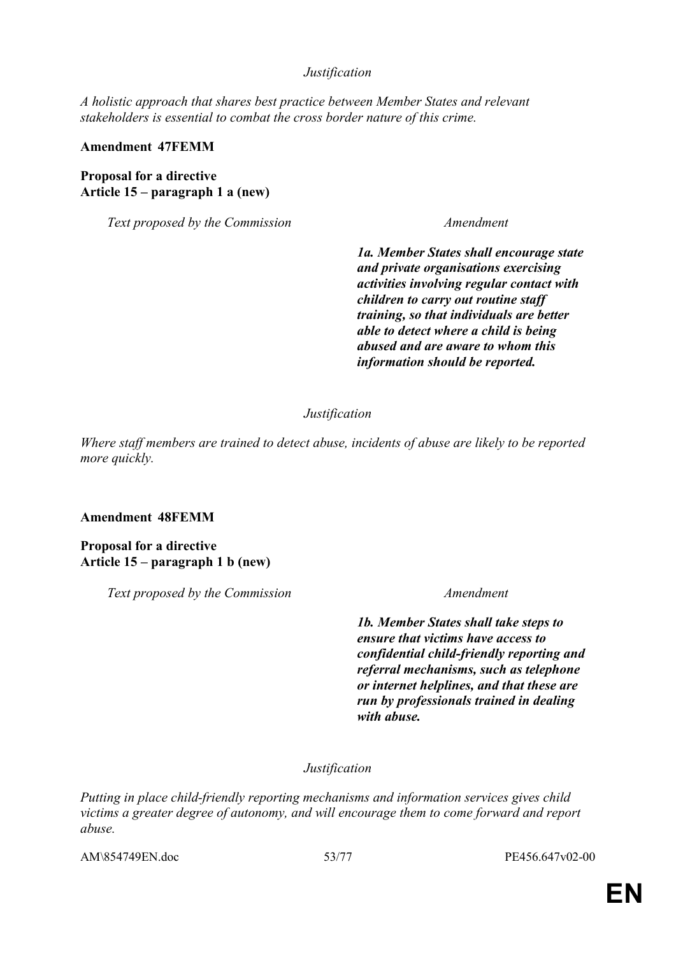# *Justification*

*A holistic approach that shares best practice between Member States and relevant stakeholders is essential to combat the cross border nature of this crime.*

## **Amendment 47FEMM**

**Proposal for a directive Article 15 – paragraph 1 a (new)** 

*Text proposed by the Commission Amendment*

*1a. Member States shall encourage state and private organisations exercising activities involving regular contact with children to carry out routine staff training, so that individuals are better able to detect where a child is being abused and are aware to whom this information should be reported.*

# *Justification*

*Where staff members are trained to detect abuse, incidents of abuse are likely to be reported more quickly.*

## **Amendment 48FEMM**

**Proposal for a directive Article 15 – paragraph 1 b (new)** 

*Text proposed by the Commission Amendment*

*1b. Member States shall take steps to ensure that victims have access to confidential child-friendly reporting and referral mechanisms, such as telephone or internet helplines, and that these are run by professionals trained in dealing with abuse.*

# *Justification*

*Putting in place child-friendly reporting mechanisms and information services gives child victims a greater degree of autonomy, and will encourage them to come forward and report abuse.*

AM\854749EN.doc 53/77 PE456.647v02-00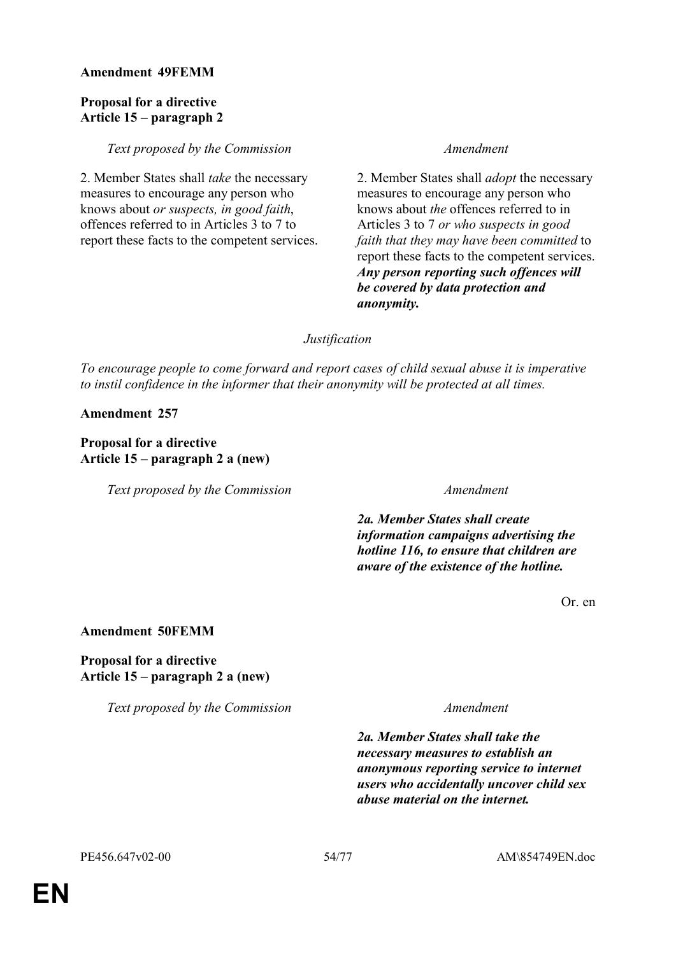## **Amendment 49FEMM**

## **Proposal for a directive Article 15 – paragraph 2**

### *Text proposed by the Commission Amendment*

2. Member States shall *take* the necessary measures to encourage any person who knows about *or suspects, in good faith*, offences referred to in Articles 3 to 7 to report these facts to the competent services.

2. Member States shall *adopt* the necessary measures to encourage any person who knows about *the* offences referred to in Articles 3 to 7 *or who suspects in good faith that they may have been committed* to report these facts to the competent services. *Any person reporting such offences will be covered by data protection and anonymity.*

## *Justification*

*To encourage people to come forward and report cases of child sexual abuse it is imperative to instil confidence in the informer that their anonymity will be protected at all times.*

## **Amendment 257**

**Proposal for a directive Article 15 – paragraph 2 a (new)** 

*Text proposed by the Commission Amendment*

*2a. Member States shall create information campaigns advertising the hotline 116, to ensure that children are aware of the existence of the hotline.*

Or. en

## **Amendment 50FEMM**

# **Proposal for a directive Article 15 – paragraph 2 a (new)**

*Text proposed by the Commission Amendment*

*2a. Member States shall take the necessary measures to establish an anonymous reporting service to internet users who accidentally uncover child sex abuse material on the internet.*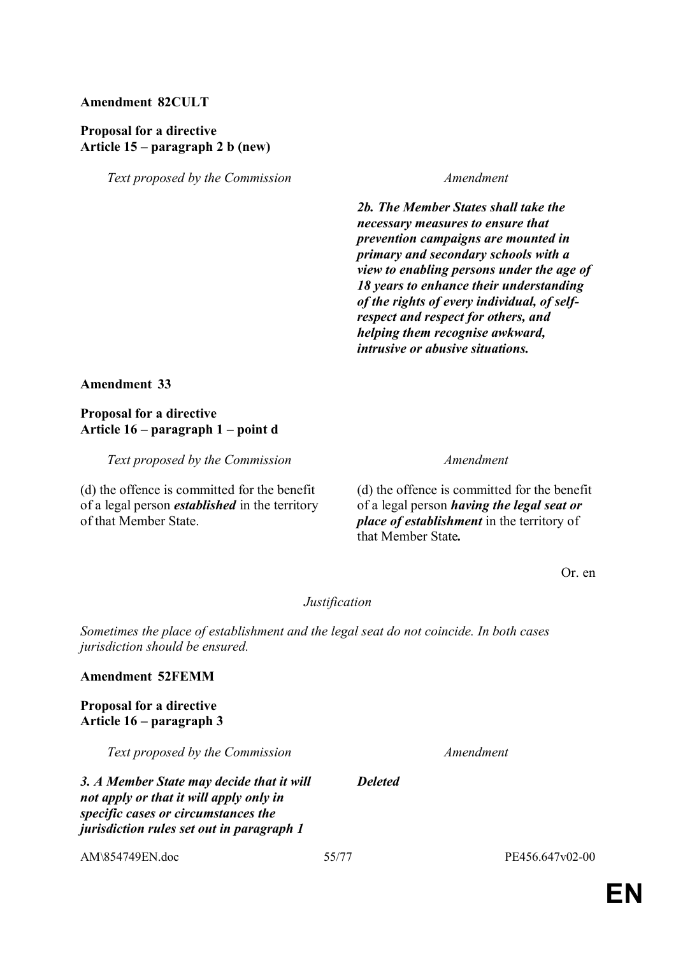## **Amendment 82CULT**

# **Proposal for a directive Article 15 – paragraph 2 b (new)**

*Text proposed by the Commission Amendment*

*2b. The Member States shall take the necessary measures to ensure that prevention campaigns are mounted in primary and secondary schools with a view to enabling persons under the age of 18 years to enhance their understanding of the rights of every individual, of selfrespect and respect for others, and helping them recognise awkward, intrusive or abusive situations.* 

## **Amendment 33**

# **Proposal for a directive Article 16 – paragraph 1 – point d**

*Text proposed by the Commission Amendment*

(d) the offence is committed for the benefit of a legal person *established* in the territory of that Member State.

(d) the offence is committed for the benefit of a legal person *having the legal seat or place of establishment* in the territory of that Member State*.*

Or. en

# *Justification*

*Sometimes the place of establishment and the legal seat do not coincide. In both cases jurisdiction should be ensured.*

## **Amendment 52FEMM**

**Proposal for a directive Article 16 – paragraph 3** 

*Text proposed by the Commission Amendment*

*3. A Member State may decide that it will not apply or that it will apply only in specific cases or circumstances the jurisdiction rules set out in paragraph 1* 

AM\854749EN.doc 55/77 PE456.647v02-00

*Deleted*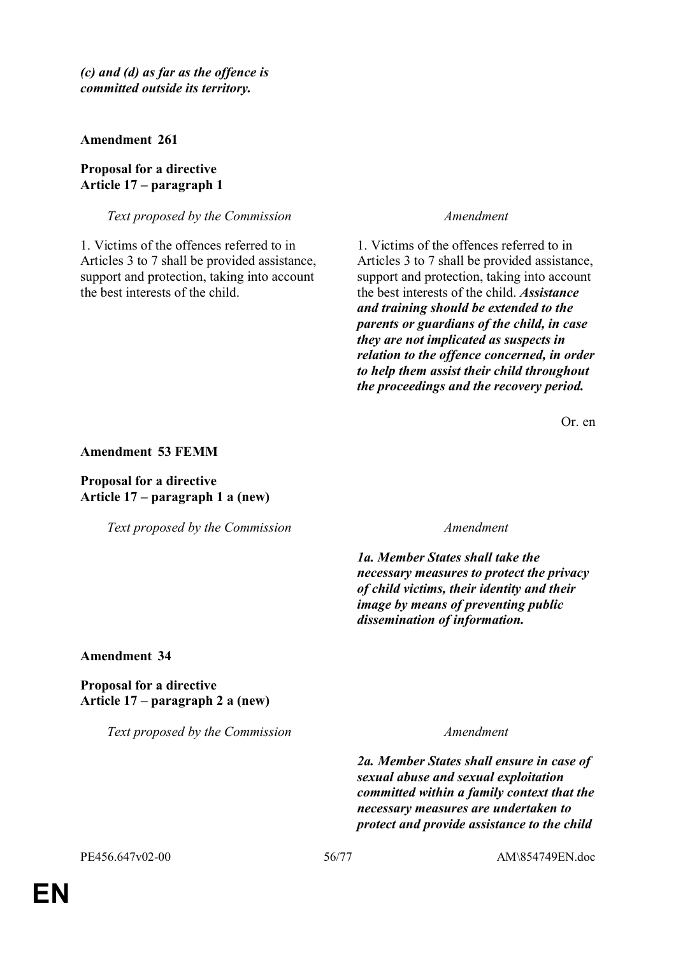*(c) and (d) as far as the offence is committed outside its territory.*

**Amendment 261**

# **Proposal for a directive Article 17 – paragraph 1**

### *Text proposed by the Commission Amendment*

1. Victims of the offences referred to in Articles 3 to 7 shall be provided assistance, support and protection, taking into account the best interests of the child.

1. Victims of the offences referred to in Articles 3 to 7 shall be provided assistance, support and protection, taking into account the best interests of the child. *Assistance and training should be extended to the parents or guardians of the child, in case they are not implicated as suspects in relation to the offence concerned, in order to help them assist their child throughout the proceedings and the recovery period.*

Or. en

## **Amendment 53 FEMM**

**Proposal for a directive Article 17 – paragraph 1 a (new)** 

*Text proposed by the Commission Amendment*

*1a. Member States shall take the necessary measures to protect the privacy of child victims, their identity and their image by means of preventing public dissemination of information.*

**Amendment 34**

**Proposal for a directive Article 17 – paragraph 2 a (new)**

*Text proposed by the Commission Amendment*

*2a. Member States shall ensure in case of sexual abuse and sexual exploitation committed within a family context that the necessary measures are undertaken to protect and provide assistance to the child*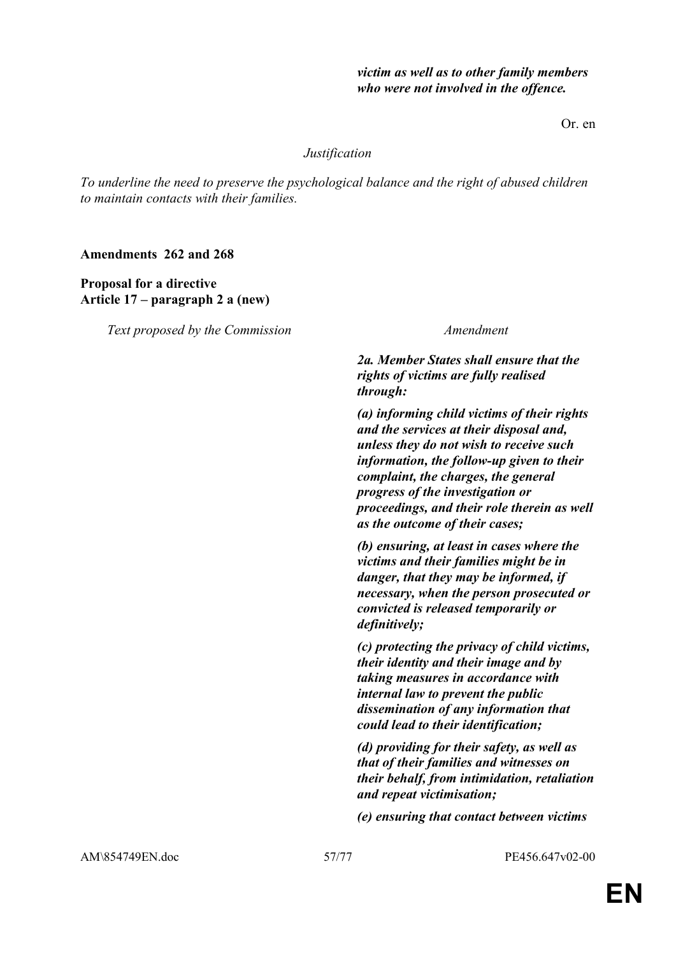Or. en

## *Justification*

*To underline the need to preserve the psychological balance and the right of abused children to maintain contacts with their families.*

## **Amendments 262 and 268**

# **Proposal for a directive Article 17 – paragraph 2 a (new)**

*Text proposed by the Commission Amendment*

*2a. Member States shall ensure that the rights of victims are fully realised through:*

*(a) informing child victims of their rights and the services at their disposal and, unless they do not wish to receive such information, the follow-up given to their complaint, the charges, the general progress of the investigation or proceedings, and their role therein as well as the outcome of their cases;*

*(b) ensuring, at least in cases where the victims and their families might be in danger, that they may be informed, if necessary, when the person prosecuted or convicted is released temporarily or definitively;*

*(c) protecting the privacy of child victims, their identity and their image and by taking measures in accordance with internal law to prevent the public dissemination of any information that could lead to their identification;*

*(d) providing for their safety, as well as that of their families and witnesses on their behalf, from intimidation, retaliation and repeat victimisation;*

*(e) ensuring that contact between victims* 

AM\854749EN.doc 57/77 PE456.647v02-00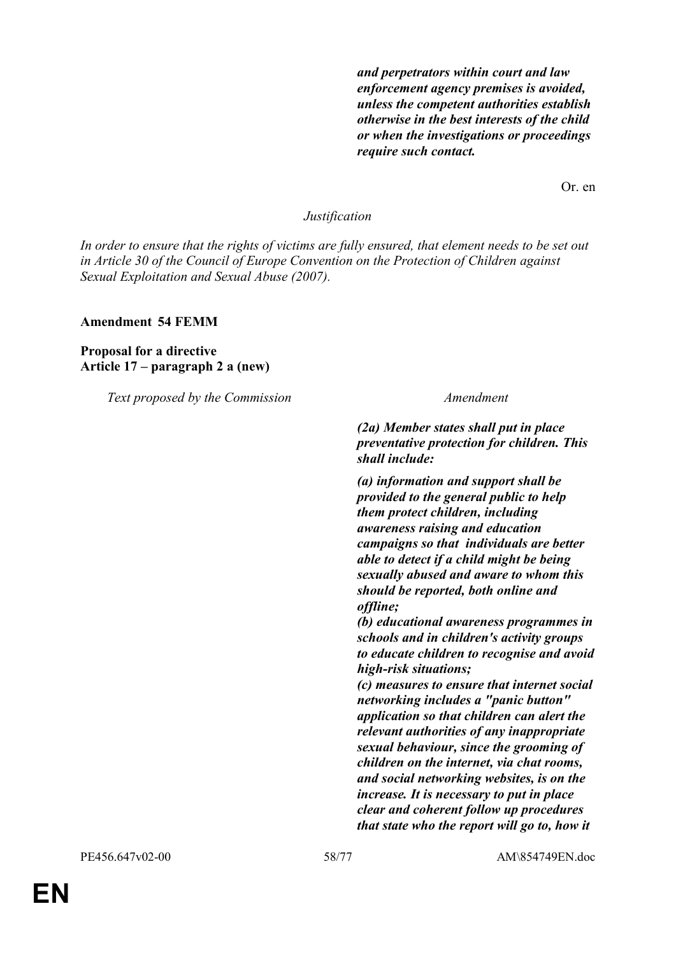*and perpetrators within court and law enforcement agency premises is avoided, unless the competent authorities establish otherwise in the best interests of the child or when the investigations or proceedings require such contact.*

Or. en

### *Justification*

*In order to ensure that the rights of victims are fully ensured, that element needs to be set out in Article 30 of the Council of Europe Convention on the Protection of Children against Sexual Exploitation and Sexual Abuse (2007).*

### **Amendment 54 FEMM**

## **Proposal for a directive Article 17 – paragraph 2 a (new)**

*Text proposed by the Commission Amendment*

*(2a) Member states shall put in place preventative protection for children. This shall include:*

*(a) information and support shall be provided to the general public to help them protect children, including awareness raising and education campaigns so that individuals are better able to detect if a child might be being sexually abused and aware to whom this should be reported, both online and offline;*

*(b) educational awareness programmes in schools and in children's activity groups to educate children to recognise and avoid high-risk situations;*

*(c) measures to ensure that internet social networking includes a "panic button" application so that children can alert the relevant authorities of any inappropriate sexual behaviour, since the grooming of children on the internet, via chat rooms, and social networking websites, is on the increase. It is necessary to put in place clear and coherent follow up procedures that state who the report will go to, how it*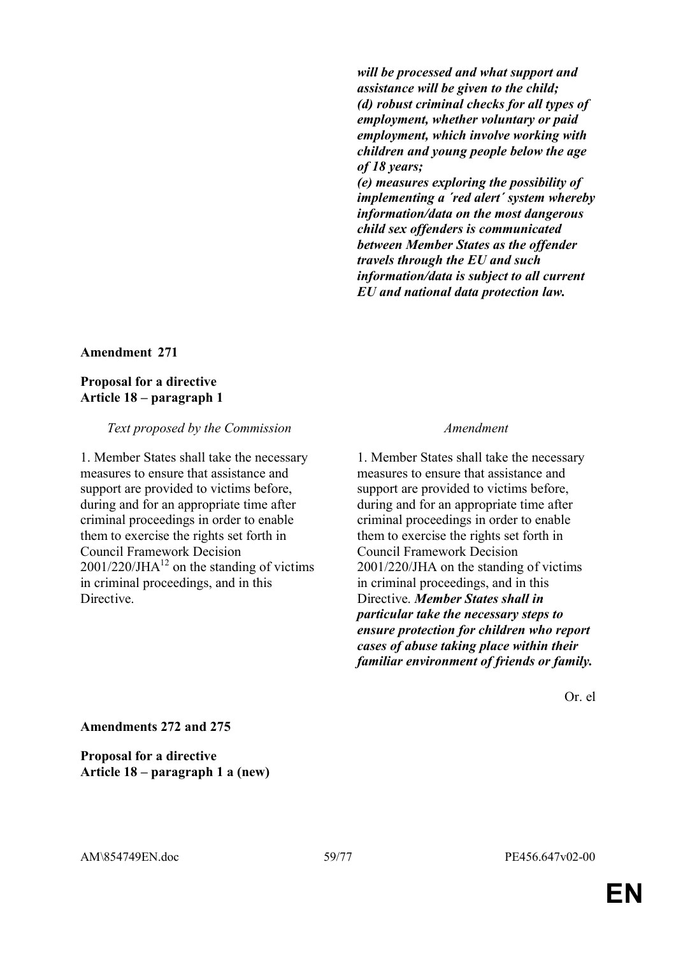*will be processed and what support and assistance will be given to the child; (d) robust criminal checks for all types of employment, whether voluntary or paid employment, which involve working with children and young people below the age of 18 years;*

*(e) measures exploring the possibility of implementing a ´red alert´ system whereby information/data on the most dangerous child sex offenders is communicated between Member States as the offender travels through the EU and such information/data is subject to all current EU and national data protection law.*

### **Amendment 271**

## **Proposal for a directive Article 18 – paragraph 1**

### *Text proposed by the Commission Amendment*

1. Member States shall take the necessary measures to ensure that assistance and support are provided to victims before, during and for an appropriate time after criminal proceedings in order to enable them to exercise the rights set forth in Council Framework Decision  $2001/220/JHA^{12}$  on the standing of victims in criminal proceedings, and in this Directive.

1. Member States shall take the necessary measures to ensure that assistance and support are provided to victims before, during and for an appropriate time after criminal proceedings in order to enable them to exercise the rights set forth in Council Framework Decision 2001/220/JHA on the standing of victims in criminal proceedings, and in this Directive. *Member States shall in particular take the necessary steps to ensure protection for children who report cases of abuse taking place within their familiar environment of friends or family.*

Or. el

### **Amendments 272 and 275**

**Proposal for a directive Article 18 – paragraph 1 a (new)**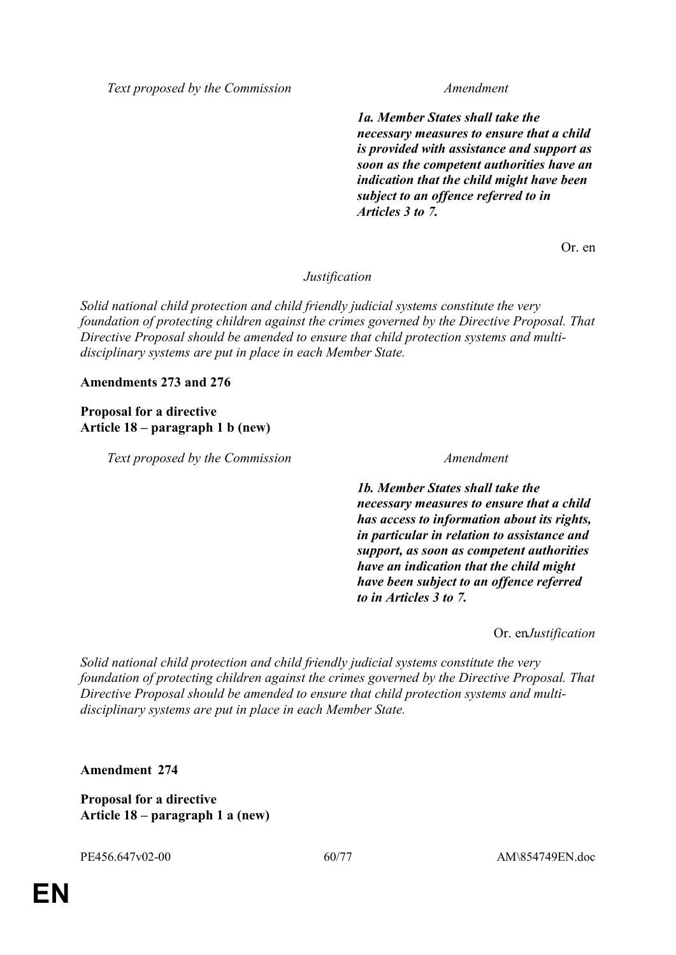*1a. Member States shall take the necessary measures to ensure that a child is provided with assistance and support as soon as the competent authorities have an indication that the child might have been subject to an offence referred to in Articles 3 to 7.*

Or. en

# *Justification*

*Solid national child protection and child friendly judicial systems constitute the very foundation of protecting children against the crimes governed by the Directive Proposal. That Directive Proposal should be amended to ensure that child protection systems and multidisciplinary systems are put in place in each Member State.*

# **Amendments 273 and 276**

# **Proposal for a directive Article 18 – paragraph 1 b (new)**

*Text proposed by the Commission Amendment*

*1b. Member States shall take the necessary measures to ensure that a child has access to information about its rights, in particular in relation to assistance and support, as soon as competent authorities have an indication that the child might have been subject to an offence referred to in Articles 3 to 7.*

Or. en*Justification*

*Solid national child protection and child friendly judicial systems constitute the very foundation of protecting children against the crimes governed by the Directive Proposal. That Directive Proposal should be amended to ensure that child protection systems and multidisciplinary systems are put in place in each Member State.*

**Amendment 274**

**Proposal for a directive Article 18 – paragraph 1 a (new)**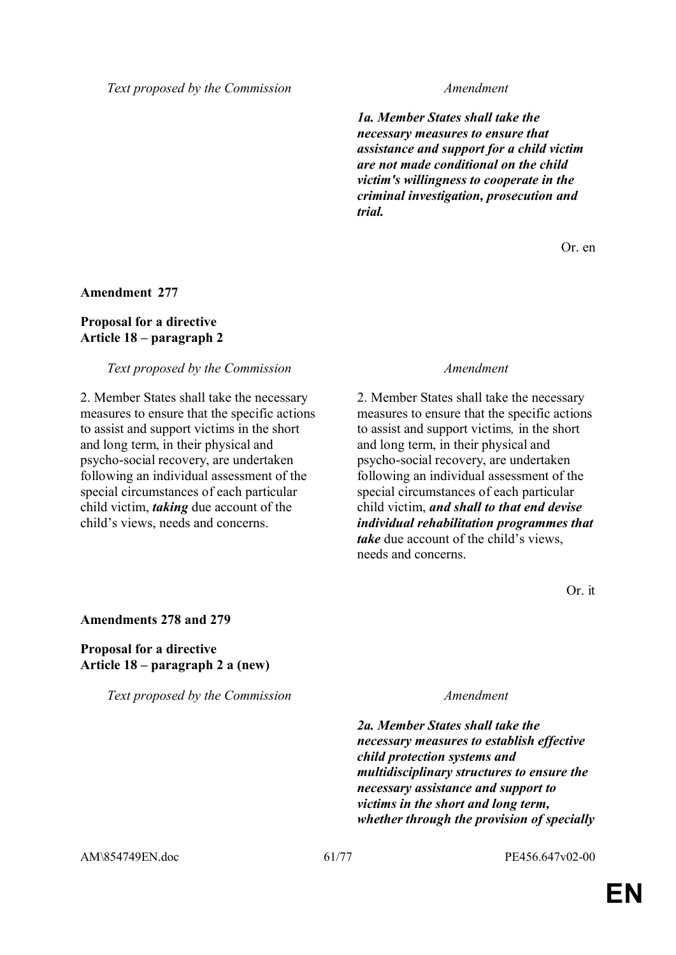*1a. Member States shall take the necessary measures to ensure that assistance and support for a child victim are not made conditional on the child victim's willingness to cooperate in the criminal investigation, prosecution and trial.*

Or. en

# **Amendment 277**

# **Proposal for a directive Article 18 – paragraph 2**

## *Text proposed by the Commission Amendment*

2. Member States shall take the necessary measures to ensure that the specific actions to assist and support victims in the short and long term, in their physical and psycho-social recovery, are undertaken following an individual assessment of the special circumstances of each particular child victim, *taking* due account of the child's views, needs and concerns.

2. Member States shall take the necessary measures to ensure that the specific actions to assist and support victims*,* in the short and long term, in their physical and psycho-social recovery, are undertaken following an individual assessment of the special circumstances of each particular child victim, *and shall to that end devise individual rehabilitation programmes that take* due account of the child's views, needs and concerns.

Or. it

**Amendments 278 and 279**

**Proposal for a directive Article 18 – paragraph 2 a (new)** 

*Text proposed by the Commission Amendment*

*2a. Member States shall take the necessary measures to establish effective child protection systems and multidisciplinary structures to ensure the necessary assistance and support to victims in the short and long term, whether through the provision of specially* 

AM\854749EN.doc 61/77 PE456.647v02-00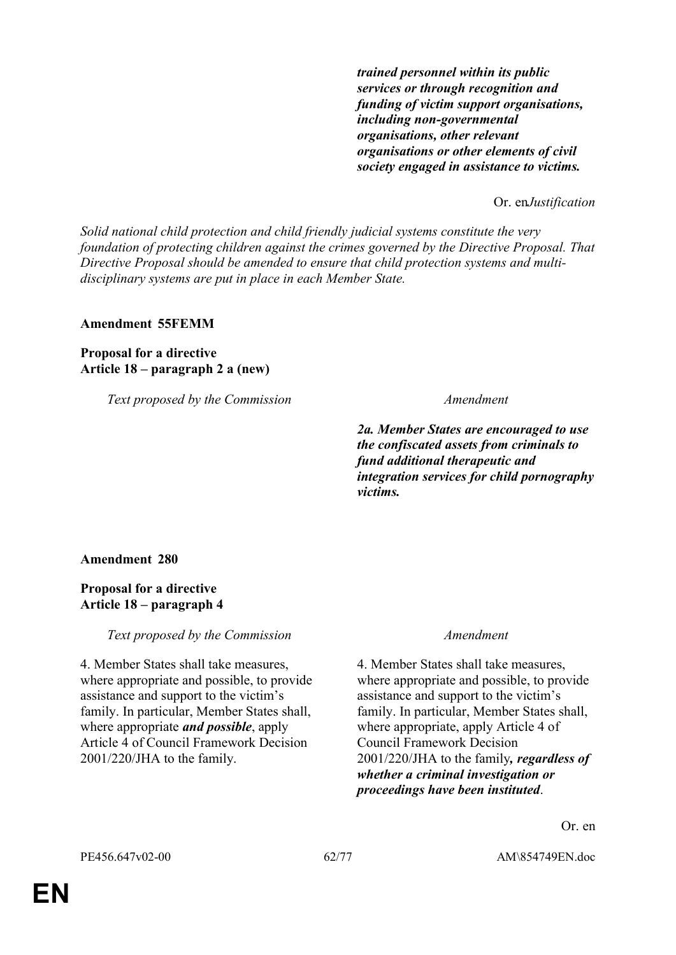*trained personnel within its public services or through recognition and funding of victim support organisations, including non-governmental organisations, other relevant organisations or other elements of civil society engaged in assistance to victims.*

Or. en*Justification*

*Solid national child protection and child friendly judicial systems constitute the very foundation of protecting children against the crimes governed by the Directive Proposal. That Directive Proposal should be amended to ensure that child protection systems and multidisciplinary systems are put in place in each Member State.*

## **Amendment 55FEMM**

**Proposal for a directive Article 18 – paragraph 2 a (new)** 

*Text proposed by the Commission Amendment*

*2a. Member States are encouraged to use the confiscated assets from criminals to fund additional therapeutic and integration services for child pornography victims.*

**Amendment 280**

**Proposal for a directive Article 18 – paragraph 4** 

*Text proposed by the Commission Amendment*

4. Member States shall take measures, where appropriate and possible, to provide assistance and support to the victim's family. In particular, Member States shall, where appropriate *and possible*, apply Article 4 of Council Framework Decision 2001/220/JHA to the family.

4. Member States shall take measures, where appropriate and possible, to provide assistance and support to the victim's family. In particular, Member States shall, where appropriate, apply Article 4 of Council Framework Decision 2001/220/JHA to the family*, regardless of whether a criminal investigation or proceedings have been instituted*.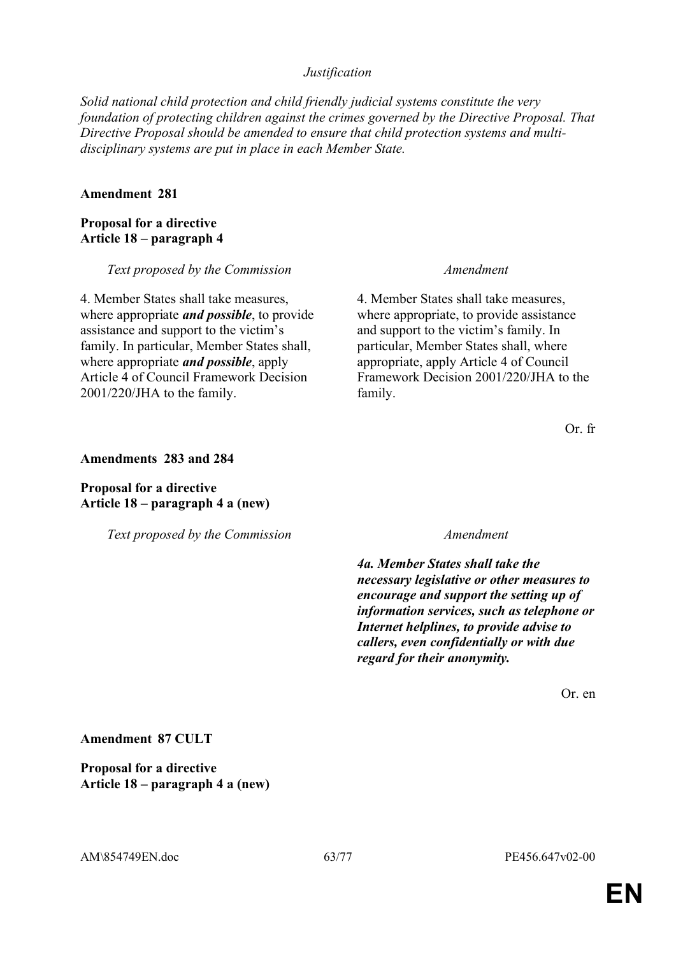# *Justification*

*Solid national child protection and child friendly judicial systems constitute the very foundation of protecting children against the crimes governed by the Directive Proposal. That Directive Proposal should be amended to ensure that child protection systems and multidisciplinary systems are put in place in each Member State.*

## **Amendment 281**

# **Proposal for a directive Article 18 – paragraph 4**

## *Text proposed by the Commission Amendment*

4. Member States shall take measures, where appropriate *and possible*, to provide assistance and support to the victim's family. In particular, Member States shall, where appropriate *and possible*, apply Article 4 of Council Framework Decision 2001/220/JHA to the family.

4. Member States shall take measures, where appropriate, to provide assistance and support to the victim's family. In particular, Member States shall, where appropriate, apply Article 4 of Council Framework Decision 2001/220/JHA to the family.

Or. fr

## **Amendments 283 and 284**

**Proposal for a directive Article 18 – paragraph 4 a (new)** 

*Text proposed by the Commission Amendment*

*4a. Member States shall take the necessary legislative or other measures to encourage and support the setting up of information services, such as telephone or Internet helplines, to provide advise to callers, even confidentially or with due regard for their anonymity.*

Or. en

## **Amendment 87 CULT**

**Proposal for a directive Article 18 – paragraph 4 a (new)**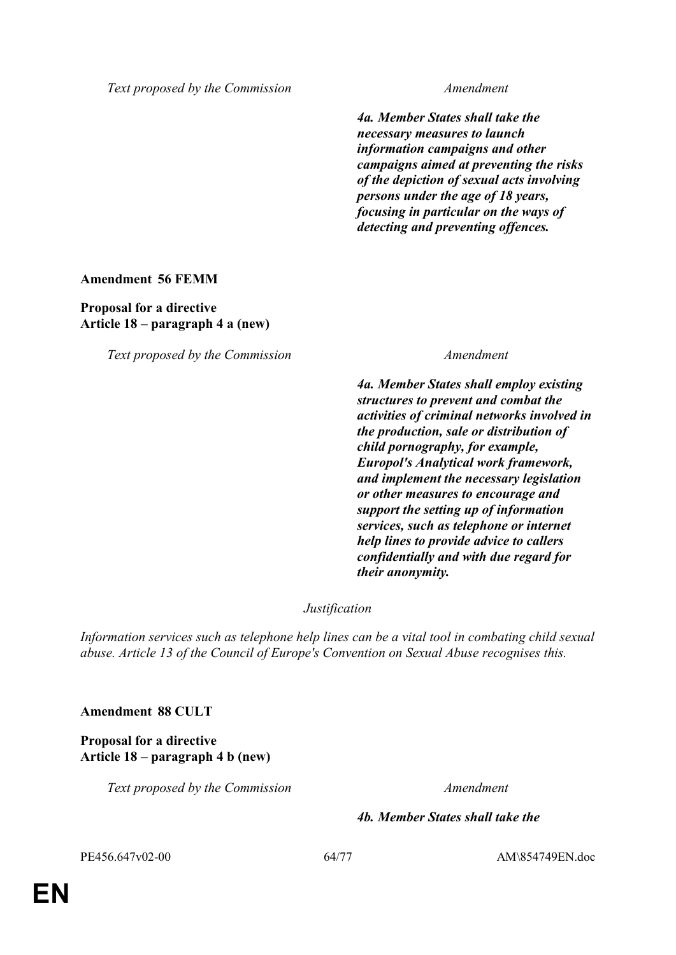*4a. Member States shall take the necessary measures to launch information campaigns and other campaigns aimed at preventing the risks of the depiction of sexual acts involving persons under the age of 18 years, focusing in particular on the ways of detecting and preventing offences.*

## **Amendment 56 FEMM**

# **Proposal for a directive Article 18 – paragraph 4 a (new)**

*Text proposed by the Commission Amendment*

*4a. Member States shall employ existing structures to prevent and combat the activities of criminal networks involved in the production, sale or distribution of child pornography, for example, Europol's Analytical work framework, and implement the necessary legislation or other measures to encourage and support the setting up of information services, such as telephone or internet help lines to provide advice to callers confidentially and with due regard for their anonymity.*

# *Justification*

*Information services such as telephone help lines can be a vital tool in combating child sexual abuse. Article 13 of the Council of Europe's Convention on Sexual Abuse recognises this.*

**Amendment 88 CULT**

**Proposal for a directive Article 18 – paragraph 4 b (new)**

*Text proposed by the Commission Amendment*

*4b. Member States shall take the* 

PE456.647v02-00 64/77 AM\854749EN.doc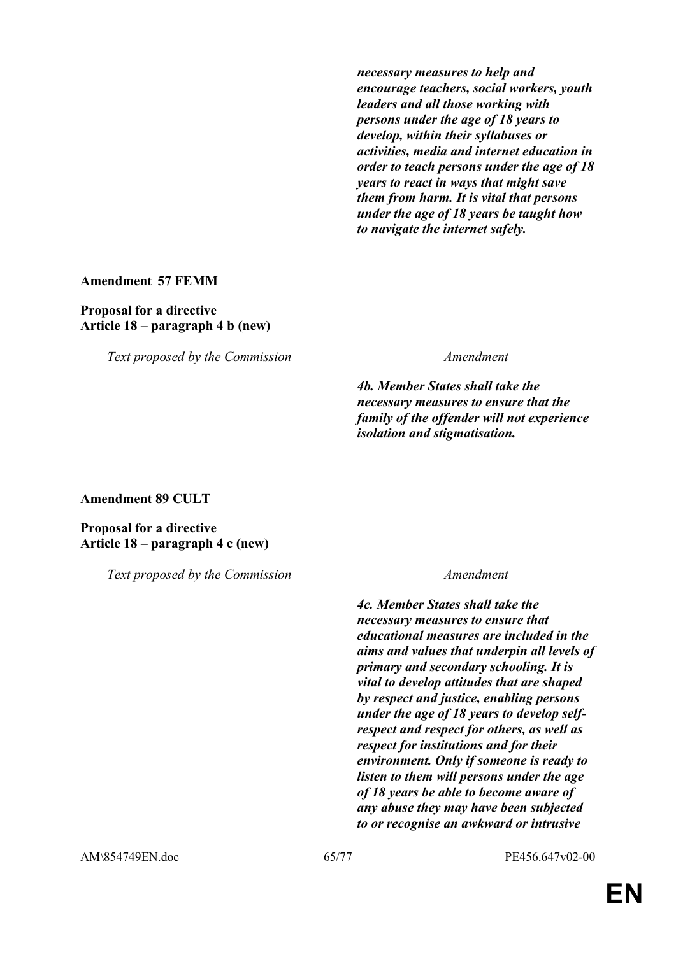*necessary measures to help and encourage teachers, social workers, youth leaders and all those working with persons under the age of 18 years to develop, within their syllabuses or activities, media and internet education in order to teach persons under the age of 18 years to react in ways that might save them from harm. It is vital that persons under the age of 18 years be taught how to navigate the internet safely.*

### **Amendment 57 FEMM**

## **Proposal for a directive Article 18 – paragraph 4 b (new)**

*Text proposed by the Commission Amendment*

*4b. Member States shall take the necessary measures to ensure that the family of the offender will not experience isolation and stigmatisation.*

### **Amendment 89 CULT**

**Proposal for a directive Article 18 – paragraph 4 c (new)**

*Text proposed by the Commission Amendment*

*4c. Member States shall take the necessary measures to ensure that educational measures are included in the aims and values that underpin all levels of primary and secondary schooling. It is vital to develop attitudes that are shaped by respect and justice, enabling persons under the age of 18 years to develop selfrespect and respect for others, as well as respect for institutions and for their environment. Only if someone is ready to listen to them will persons under the age of 18 years be able to become aware of any abuse they may have been subjected to or recognise an awkward or intrusive*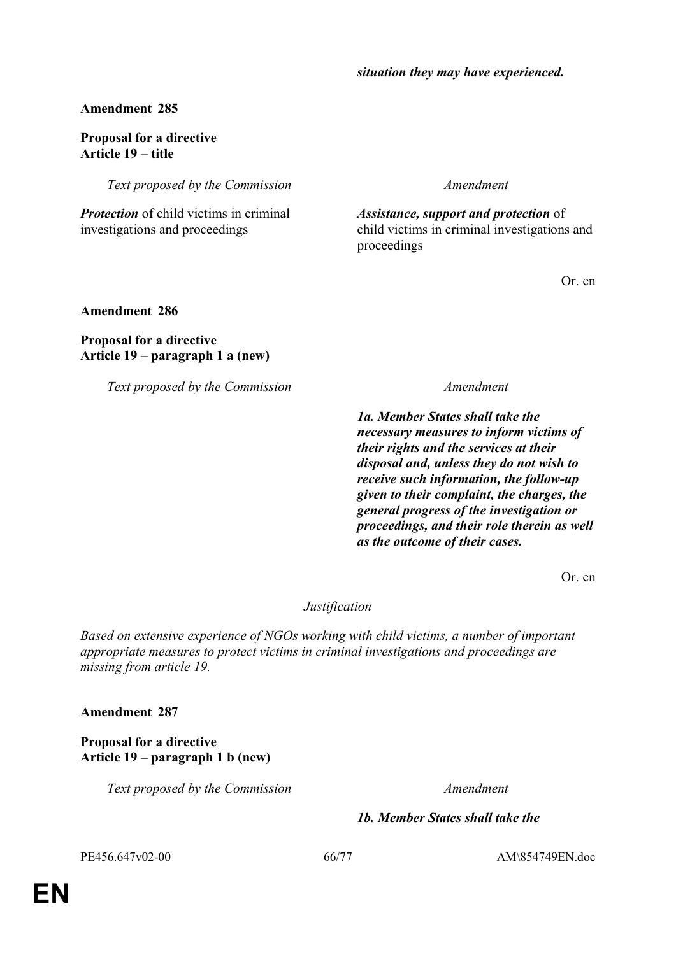# **Amendment 285**

# **Proposal for a directive Article 19 – title**

*Text proposed by the Commission Amendment*

*Protection* of child victims in criminal investigations and proceedings

*Assistance, support and protection* of child victims in criminal investigations and proceedings

Or. en

# **Amendment 286**

## **Proposal for a directive Article 19 – paragraph 1 a (new)**

*Text proposed by the Commission Amendment*

*1a. Member States shall take the necessary measures to inform victims of their rights and the services at their disposal and, unless they do not wish to receive such information, the follow-up given to their complaint, the charges, the general progress of the investigation or proceedings, and their role therein as well as the outcome of their cases.*

Or. en

## *Justification*

*Based on extensive experience of NGOs working with child victims, a number of important appropriate measures to protect victims in criminal investigations and proceedings are missing from article 19.*

**Amendment 287**

**Proposal for a directive Article 19 – paragraph 1 b (new)** 

*Text proposed by the Commission Amendment*

*1b. Member States shall take the* 

PE456.647v02-00 66/77 AM\854749EN.doc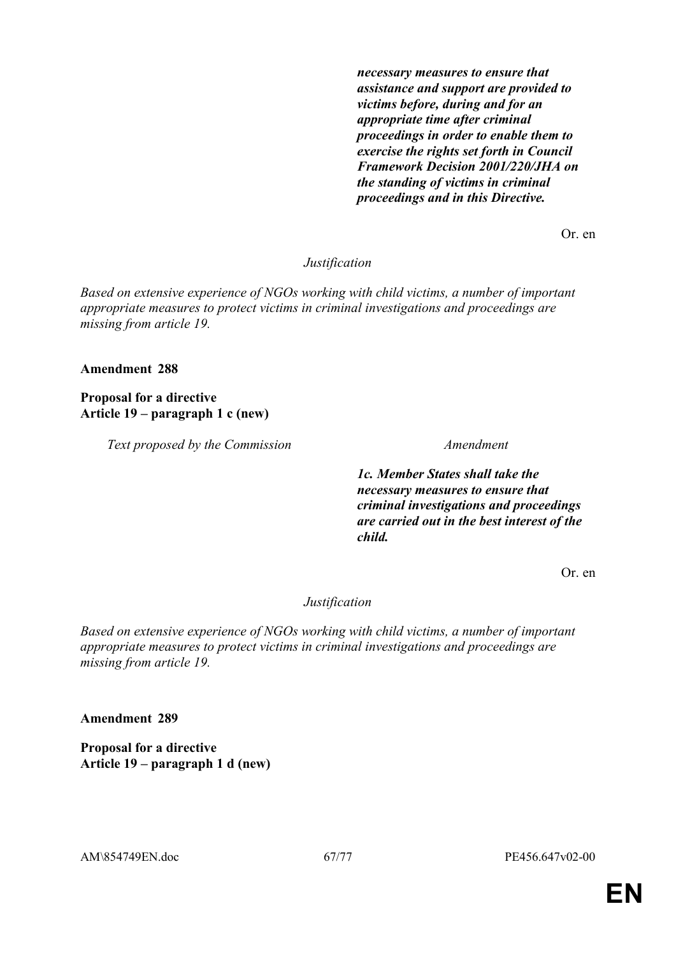*necessary measures to ensure that assistance and support are provided to victims before, during and for an appropriate time after criminal proceedings in order to enable them to exercise the rights set forth in Council Framework Decision 2001/220/JHA on the standing of victims in criminal proceedings and in this Directive.*

Or. en

# *Justification*

*Based on extensive experience of NGOs working with child victims, a number of important appropriate measures to protect victims in criminal investigations and proceedings are missing from article 19.*

## **Amendment 288**

**Proposal for a directive Article 19 – paragraph 1 c (new)** 

*Text proposed by the Commission Amendment*

*1c. Member States shall take the necessary measures to ensure that criminal investigations and proceedings are carried out in the best interest of the child.*

Or. en

# *Justification*

*Based on extensive experience of NGOs working with child victims, a number of important appropriate measures to protect victims in criminal investigations and proceedings are missing from article 19.*

**Amendment 289**

**Proposal for a directive Article 19 – paragraph 1 d (new)**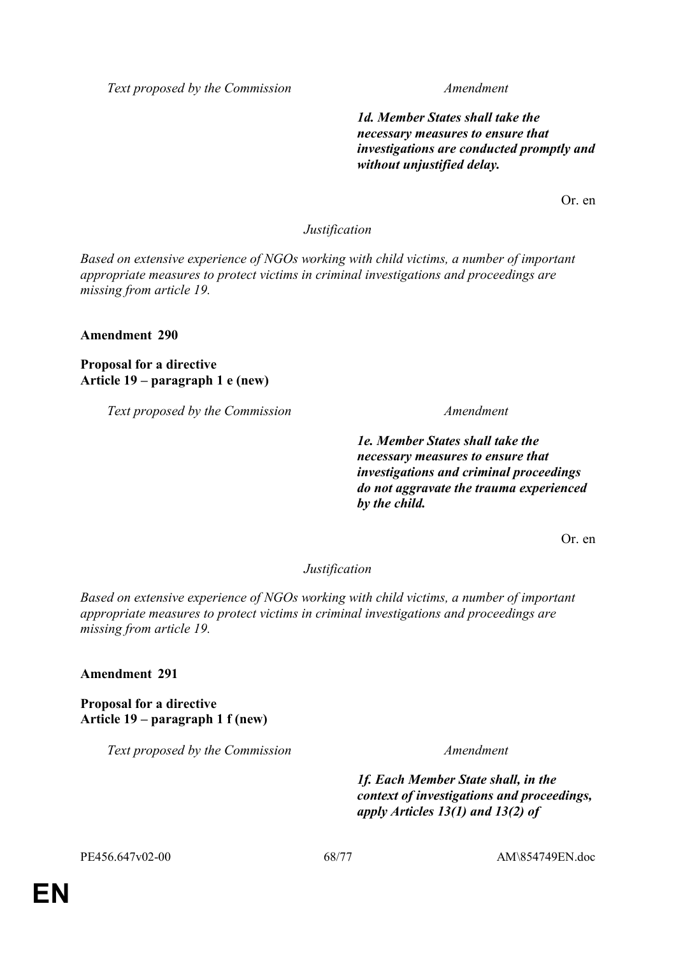*1d. Member States shall take the necessary measures to ensure that investigations are conducted promptly and without unjustified delay.*

Or. en

# *Justification*

*Based on extensive experience of NGOs working with child victims, a number of important appropriate measures to protect victims in criminal investigations and proceedings are missing from article 19.*

**Amendment 290**

**Proposal for a directive Article 19 – paragraph 1 e (new)** 

*Text proposed by the Commission Amendment*

*1e. Member States shall take the necessary measures to ensure that investigations and criminal proceedings do not aggravate the trauma experienced by the child.*

Or. en

*Justification*

*Based on extensive experience of NGOs working with child victims, a number of important appropriate measures to protect victims in criminal investigations and proceedings are missing from article 19.*

## **Amendment 291**

**Proposal for a directive Article 19 – paragraph 1 f (new)** 

*Text proposed by the Commission Amendment*

*1f. Each Member State shall, in the context of investigations and proceedings, apply Articles 13(1) and 13(2) of*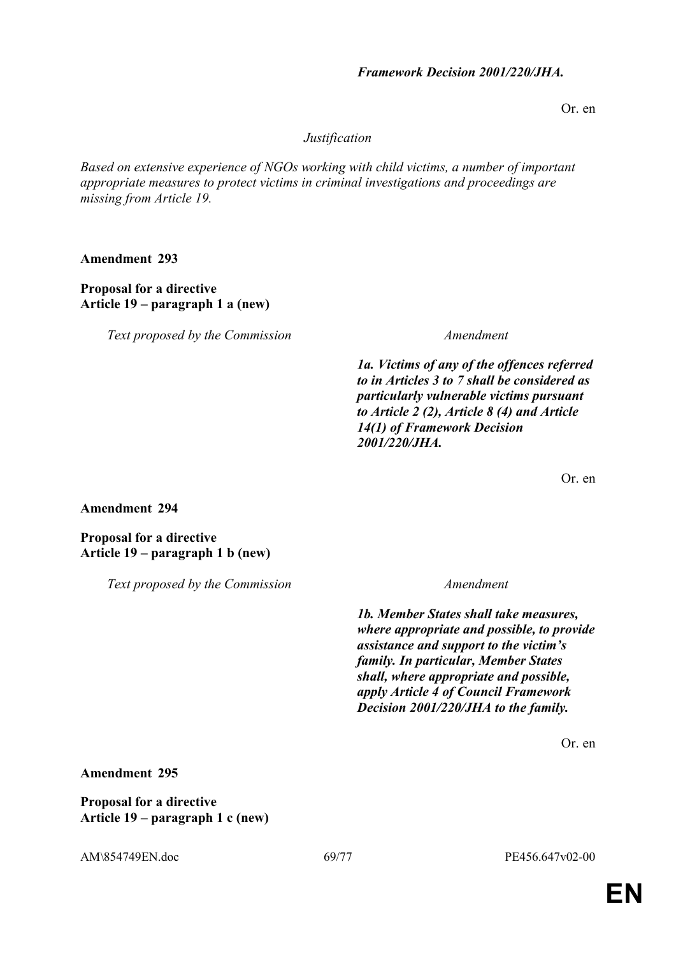Or. en

# *Justification*

*Based on extensive experience of NGOs working with child victims, a number of important appropriate measures to protect victims in criminal investigations and proceedings are missing from Article 19.*

**Amendment 293**

# **Proposal for a directive Article 19 – paragraph 1 a (new)**

*Text proposed by the Commission Amendment*

*1a. Victims of any of the offences referred to in Articles 3 to 7 shall be considered as particularly vulnerable victims pursuant to Article 2 (2), Article 8 (4) and Article 14(1) of Framework Decision 2001/220/JHA.*

Or. en

## **Amendment 294**

**Proposal for a directive Article 19 – paragraph 1 b (new)**

*Text proposed by the Commission Amendment*

*1b. Member States shall take measures, where appropriate and possible, to provide assistance and support to the victim's family. In particular, Member States shall, where appropriate and possible, apply Article 4 of Council Framework Decision 2001/220/JHA to the family.*

Or. en

**Amendment 295**

**Proposal for a directive Article 19 – paragraph 1 c (new)**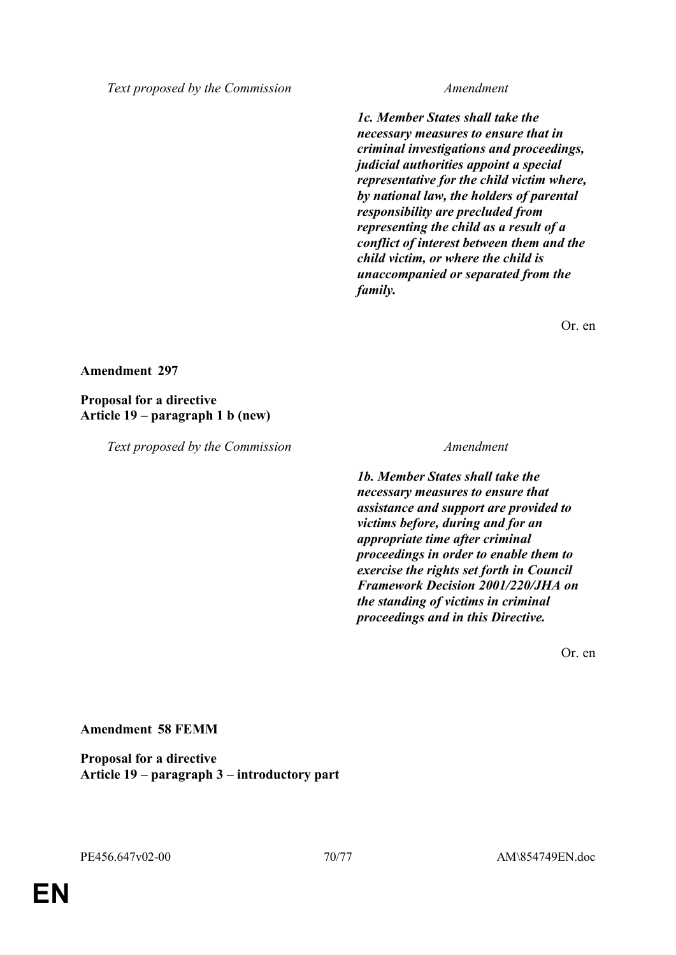*1c. Member States shall take the necessary measures to ensure that in criminal investigations and proceedings, judicial authorities appoint a special representative for the child victim where, by national law, the holders of parental responsibility are precluded from representing the child as a result of a conflict of interest between them and the child victim, or where the child is unaccompanied or separated from the family.*

Or. en

**Amendment 297**

**Proposal for a directive Article 19 – paragraph 1 b (new)** 

*Text proposed by the Commission Amendment*

*1b. Member States shall take the necessary measures to ensure that assistance and support are provided to victims before, during and for an appropriate time after criminal proceedings in order to enable them to exercise the rights set forth in Council Framework Decision 2001/220/JHA on the standing of victims in criminal proceedings and in this Directive.*

Or. en

## **Amendment 58 FEMM**

**Proposal for a directive Article 19 – paragraph 3 – introductory part**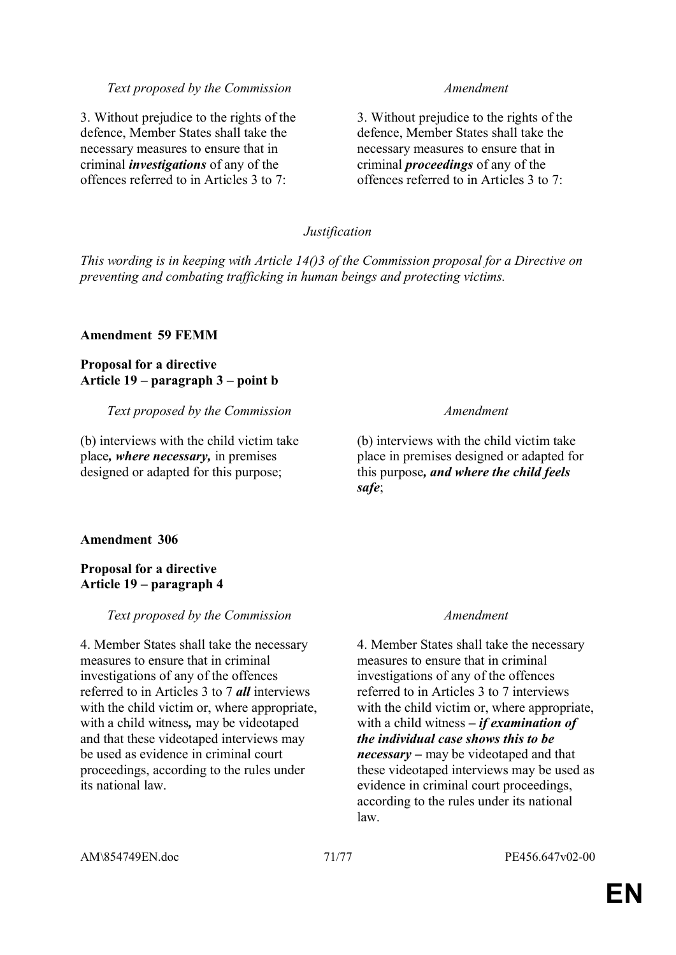3. Without prejudice to the rights of the defence, Member States shall take the necessary measures to ensure that in criminal *investigations* of any of the offences referred to in Articles 3 to 7:

3. Without prejudice to the rights of the defence, Member States shall take the necessary measures to ensure that in criminal *proceedings* of any of the offences referred to in Articles 3 to 7:

# *Justification*

*This wording is in keeping with Article 14()3 of the Commission proposal for a Directive on preventing and combating trafficking in human beings and protecting victims.*

# **Amendment 59 FEMM**

# **Proposal for a directive Article 19 – paragraph 3 – point b**

*Text proposed by the Commission Amendment*

(b) interviews with the child victim take place*, where necessary,* in premises designed or adapted for this purpose;

(b) interviews with the child victim take place in premises designed or adapted for this purpose*, and where the child feels safe*;

# **Amendment 306**

**Proposal for a directive Article 19 – paragraph 4** 

# *Text proposed by the Commission Amendment*

4. Member States shall take the necessary measures to ensure that in criminal investigations of any of the offences referred to in Articles 3 to 7 *all* interviews with the child victim or, where appropriate, with a child witness*,* may be videotaped and that these videotaped interviews may be used as evidence in criminal court proceedings, according to the rules under its national law.

4. Member States shall take the necessary measures to ensure that in criminal investigations of any of the offences referred to in Articles 3 to 7 interviews with the child victim or, where appropriate, with a child witness *– if examination of the individual case shows this to be necessary –* may be videotaped and that these videotaped interviews may be used as evidence in criminal court proceedings, according to the rules under its national law.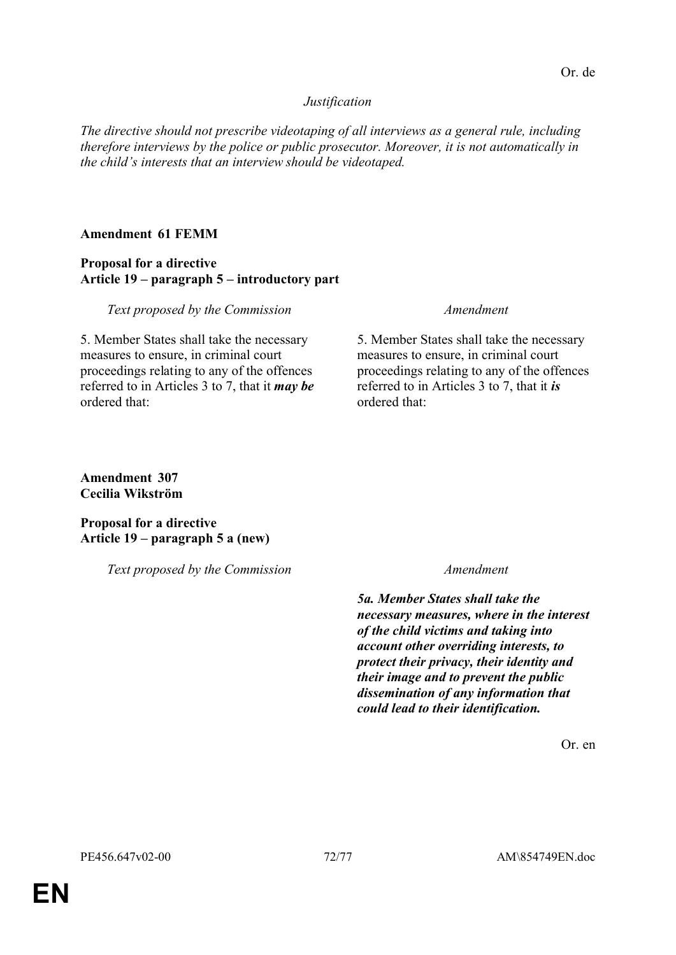# *Justification*

*The directive should not prescribe videotaping of all interviews as a general rule, including therefore interviews by the police or public prosecutor. Moreover, it is not automatically in the child's interests that an interview should be videotaped.*

# **Amendment 61 FEMM**

## **Proposal for a directive Article 19 – paragraph 5 – introductory part**

*Text proposed by the Commission Amendment*

5. Member States shall take the necessary measures to ensure, in criminal court proceedings relating to any of the offences referred to in Articles 3 to 7, that it *may be* ordered that:

5. Member States shall take the necessary measures to ensure, in criminal court proceedings relating to any of the offences referred to in Articles 3 to 7, that it *is* ordered that:

## **Amendment 307 Cecilia Wikström**

**Proposal for a directive Article 19 – paragraph 5 a (new)** 

*Text proposed by the Commission Amendment*

*5a. Member States shall take the necessary measures, where in the interest of the child victims and taking into account other overriding interests, to protect their privacy, their identity and their image and to prevent the public dissemination of any information that could lead to their identification.*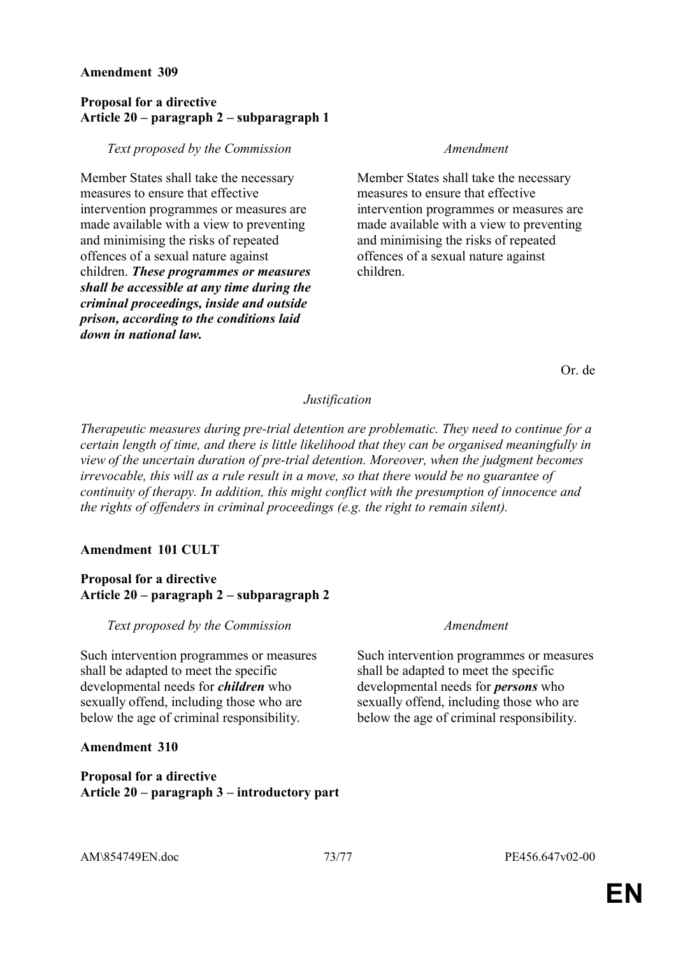#### **Amendment 309**

### **Proposal for a directive Article 20 – paragraph 2 – subparagraph 1**

*Text proposed by the Commission Amendment*

Member States shall take the necessary measures to ensure that effective intervention programmes or measures are made available with a view to preventing and minimising the risks of repeated offences of a sexual nature against children. *These programmes or measures shall be accessible at any time during the criminal proceedings, inside and outside prison, according to the conditions laid down in national law.*

Member States shall take the necessary measures to ensure that effective intervention programmes or measures are made available with a view to preventing and minimising the risks of repeated offences of a sexual nature against children.

Or. de

# *Justification*

*Therapeutic measures during pre-trial detention are problematic. They need to continue for a certain length of time, and there is little likelihood that they can be organised meaningfully in view of the uncertain duration of pre-trial detention. Moreover, when the judgment becomes irrevocable, this will as a rule result in a move, so that there would be no guarantee of continuity of therapy. In addition, this might conflict with the presumption of innocence and the rights of offenders in criminal proceedings (e.g. the right to remain silent).*

### **Amendment 101 CULT**

### **Proposal for a directive Article 20 – paragraph 2 – subparagraph 2**

*Text proposed by the Commission Amendment*

Such intervention programmes or measures shall be adapted to meet the specific developmental needs for *children* who sexually offend, including those who are below the age of criminal responsibility.

### **Amendment 310**

**Proposal for a directive Article 20 – paragraph 3 – introductory part** 

Such intervention programmes or measures shall be adapted to meet the specific developmental needs for *persons* who sexually offend, including those who are below the age of criminal responsibility.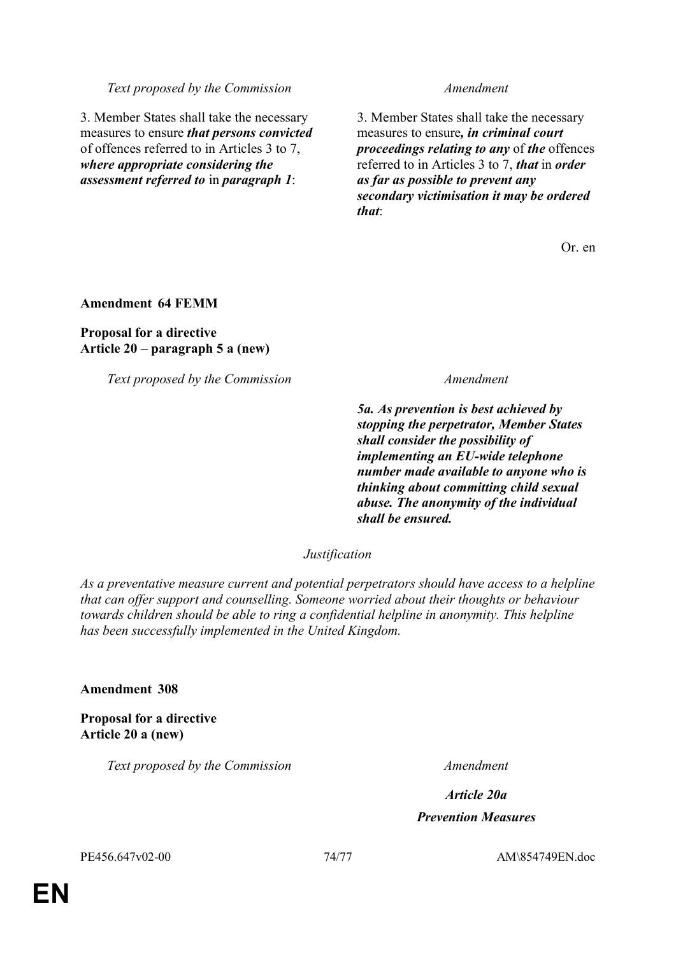*Text proposed by the Commission Amendment*

3. Member States shall take the necessary measures to ensure *that persons convicted* of offences referred to in Articles 3 to 7, *where appropriate considering the assessment referred to* in *paragraph 1*:

3. Member States shall take the necessary measures to ensure*, in criminal court proceedings relating to any* of *the* offences referred to in Articles 3 to 7, *that* in *order as far as possible to prevent any secondary victimisation it may be ordered that*:

Or. en

### **Amendment 64 FEMM**

**Proposal for a directive Article 20 – paragraph 5 a (new)**

*Text proposed by the Commission Amendment*

*5a. As prevention is best achieved by stopping the perpetrator, Member States shall consider the possibility of implementing an EU-wide telephone number made available to anyone who is thinking about committing child sexual abuse. The anonymity of the individual shall be ensured.*

*Justification*

*As a preventative measure current and potential perpetrators should have access to a helpline that can offer support and counselling. Someone worried about their thoughts or behaviour towards children should be able to ring a confidential helpline in anonymity. This helpline has been successfully implemented in the United Kingdom.*

**Amendment 308**

**Proposal for a directive Article 20 a (new)** 

*Text proposed by the Commission Amendment*

*Article 20a Prevention Measures*

PE456.647v02-00 74/77 AM\854749EN.doc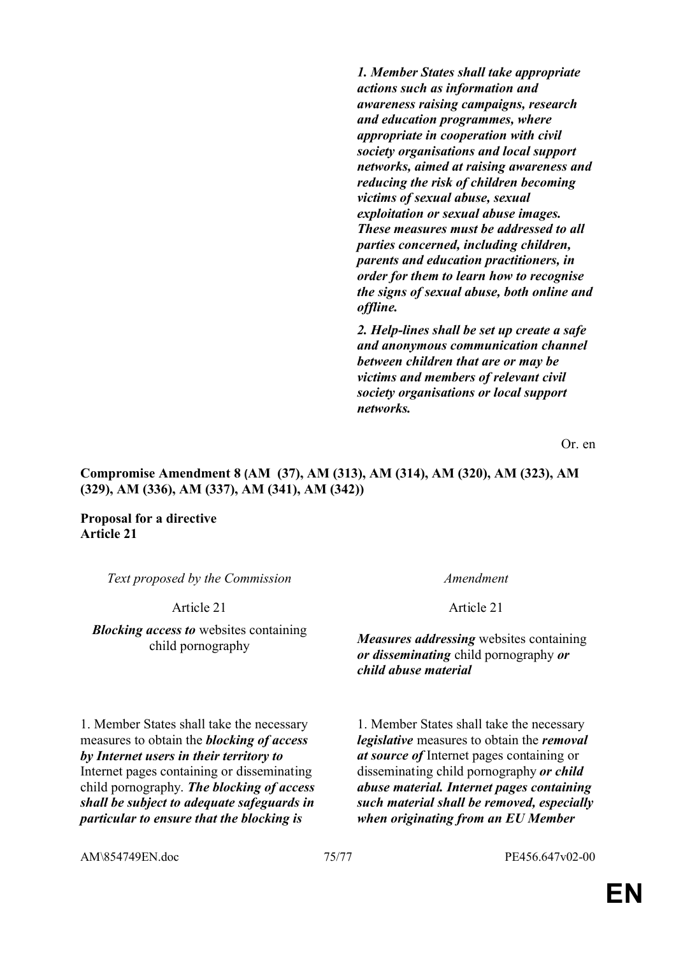*1. Member States shall take appropriate actions such as information and awareness raising campaigns, research and education programmes, where appropriate in cooperation with civil society organisations and local support networks, aimed at raising awareness and reducing the risk of children becoming victims of sexual abuse, sexual exploitation or sexual abuse images. These measures must be addressed to all parties concerned, including children, parents and education practitioners, in order for them to learn how to recognise the signs of sexual abuse, both online and offline.*

*2. Help-lines shall be set up create a safe and anonymous communication channel between children that are or may be victims and members of relevant civil society organisations or local support networks.*

Or. en

**Compromise Amendment 8 (AM (37), AM (313), AM (314), AM (320), AM (323), AM (329), AM (336), AM (337), AM (341), AM (342))**

**Proposal for a directive Article 21**

*Text proposed by the Commission Amendment*

Article 21

*Blocking access to* websites containing child pornography

1. Member States shall take the necessary measures to obtain the *blocking of access by Internet users in their territory to*  Internet pages containing or disseminating child pornography. *The blocking of access shall be subject to adequate safeguards in particular to ensure that the blocking is* 

Article 21

*Measures addressing* websites containing *or disseminating* child pornography *or child abuse material*

1. Member States shall take the necessary *legislative* measures to obtain the *removal at source of* Internet pages containing or disseminating child pornography *or child abuse material. Internet pages containing such material shall be removed, especially when originating from an EU Member*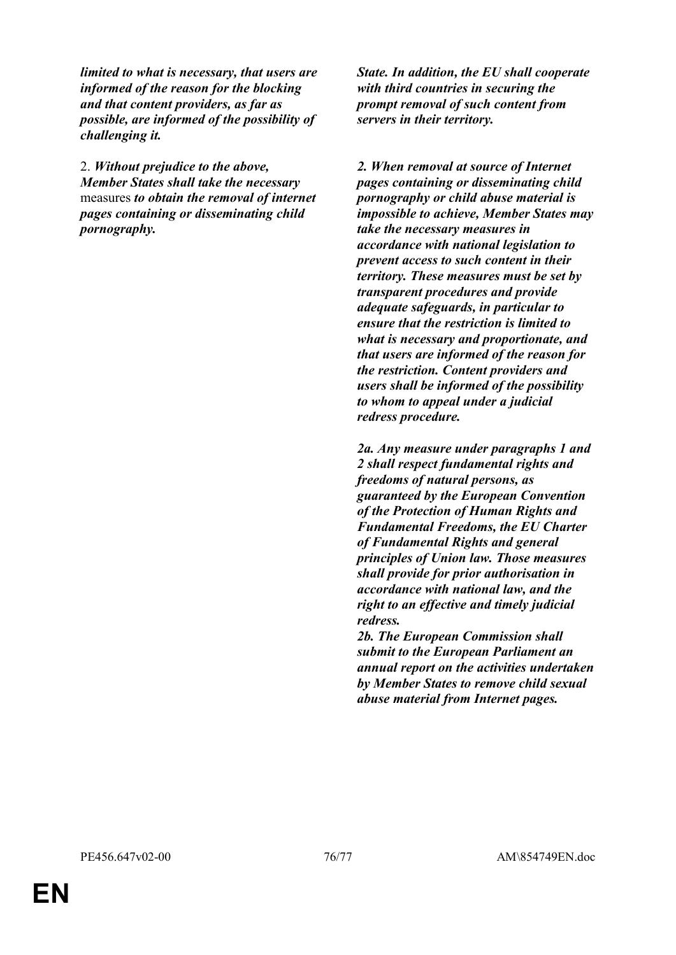*limited to what is necessary, that users are informed of the reason for the blocking and that content providers, as far as possible, are informed of the possibility of challenging it.*

2. *Without prejudice to the above, Member States shall take the necessary*  measures *to obtain the removal of internet pages containing or disseminating child pornography.*

*State. In addition, the EU shall cooperate with third countries in securing the prompt removal of such content from servers in their territory.*

*2. When removal at source of Internet pages containing or disseminating child pornography or child abuse material is impossible to achieve, Member States may take the necessary measures in accordance with national legislation to prevent access to such content in their territory. These measures must be set by transparent procedures and provide adequate safeguards, in particular to ensure that the restriction is limited to what is necessary and proportionate, and that users are informed of the reason for the restriction. Content providers and users shall be informed of the possibility to whom to appeal under a judicial redress procedure.*

*2a. Any measure under paragraphs 1 and 2 shall respect fundamental rights and freedoms of natural persons, as guaranteed by the European Convention of the Protection of Human Rights and Fundamental Freedoms, the EU Charter of Fundamental Rights and general principles of Union law. Those measures shall provide for prior authorisation in accordance with national law, and the right to an effective and timely judicial redress.*

*2b. The European Commission shall submit to the European Parliament an annual report on the activities undertaken by Member States to remove child sexual abuse material from Internet pages.*